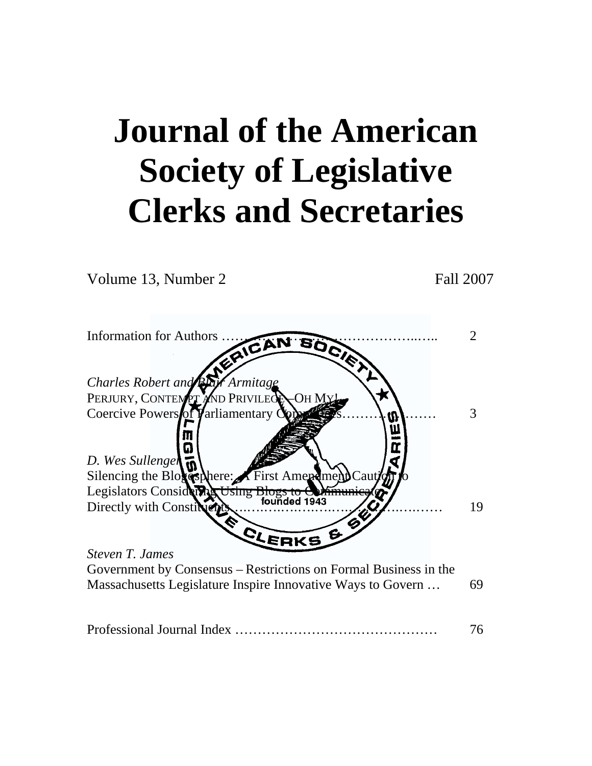# **Journal of the American Society of Legislative Clerks and Secretaries**

Volume 13, Number 2 Fall 2007



|--|--|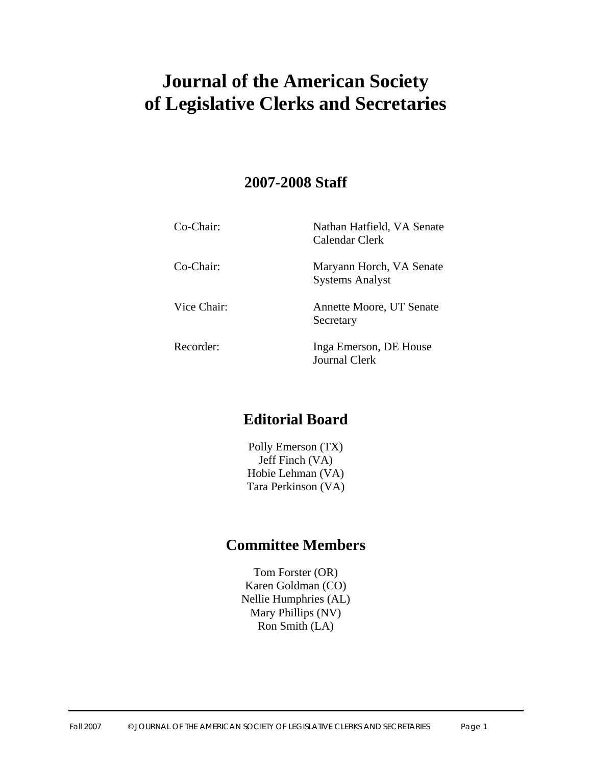# **Journal of the American Society of Legislative Clerks and Secretaries**

# **2007-2008 Staff**

| $Co-Chair$  | Nathan Hatfield, VA Senate<br>Calendar Clerk       |
|-------------|----------------------------------------------------|
| Co-Chair:   | Maryann Horch, VA Senate<br><b>Systems Analyst</b> |
| Vice Chair: | Annette Moore, UT Senate<br>Secretary              |
| Recorder:   | Inga Emerson, DE House<br>Journal Clerk            |

# **Editorial Board**

Polly Emerson (TX) Jeff Finch (VA) Hobie Lehman (VA) Tara Perkinson (VA)

# **Committee Members**

Tom Forster (OR) Karen Goldman (CO) Nellie Humphries (AL) Mary Phillips (NV) Ron Smith (LA)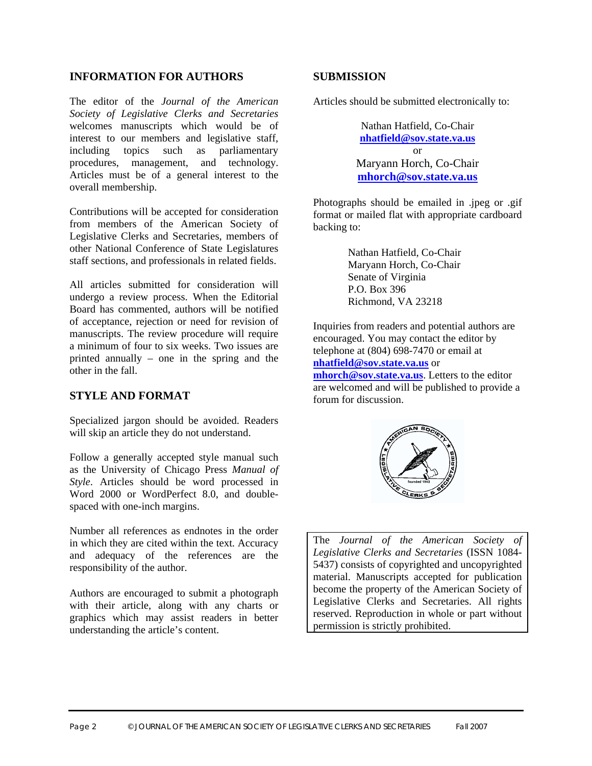#### **INFORMATION FOR AUTHORS**

The editor of the *Journal of the American Society of Legislative Clerks and Secretaries* welcomes manuscripts which would be of interest to our members and legislative staff, including topics such as parliamentary procedures, management, and technology. Articles must be of a general interest to the overall membership.

Contributions will be accepted for consideration from members of the American Society of Legislative Clerks and Secretaries, members of other National Conference of State Legislatures staff sections, and professionals in related fields.

All articles submitted for consideration will undergo a review process. When the Editorial Board has commented, authors will be notified of acceptance, rejection or need for revision of manuscripts. The review procedure will require a minimum of four to six weeks. Two issues are printed annually – one in the spring and the other in the fall.

#### **STYLE AND FORMAT**

Specialized jargon should be avoided. Readers will skip an article they do not understand.

Follow a generally accepted style manual such as the University of Chicago Press *Manual of Style*. Articles should be word processed in Word 2000 or WordPerfect 8.0, and doublespaced with one-inch margins.

Number all references as endnotes in the order in which they are cited within the text. Accuracy and adequacy of the references are the responsibility of the author.

Authors are encouraged to submit a photograph with their article, along with any charts or graphics which may assist readers in better understanding the article's content.

#### **SUBMISSION**

Articles should be submitted electronically to:

Nathan Hatfield, Co-Chair **nhatfield@sov.state.va.us** or Maryann Horch, Co-Chair **mhorch@sov.state.va.us**

Photographs should be emailed in .jpeg or .gif format or mailed flat with appropriate cardboard backing to:

> Nathan Hatfield, Co-Chair Maryann Horch, Co-Chair Senate of Virginia P.O. Box 396 Richmond, VA 23218

Inquiries from readers and potential authors are encouraged. You may contact the editor by telephone at (804) 698-7470 or email at **nhatfield@sov.state.va.us** or

**mhorch@sov.state.va.us**. Letters to the editor are welcomed and will be published to provide a forum for discussion.



The *Journal of the American Society of Legislative Clerks and Secretaries* (ISSN 1084- 5437) consists of copyrighted and uncopyrighted material. Manuscripts accepted for publication become the property of the American Society of Legislative Clerks and Secretaries. All rights reserved. Reproduction in whole or part without permission is strictly prohibited.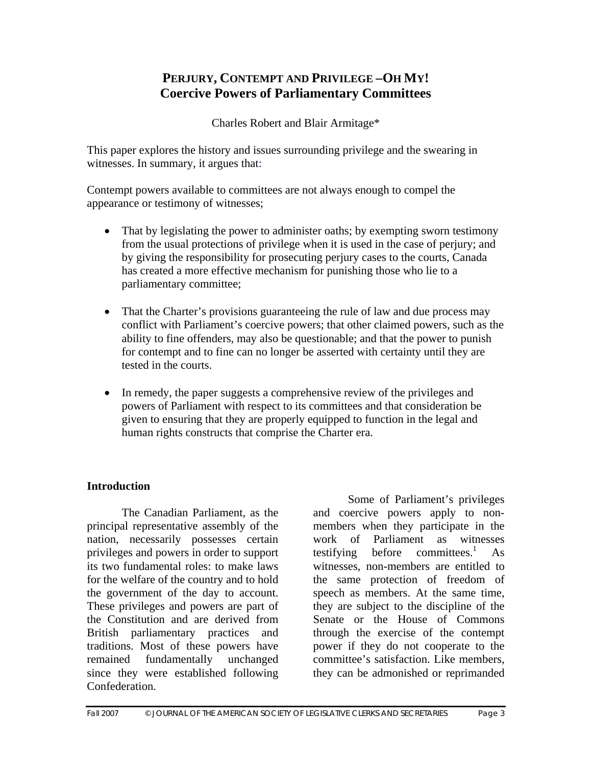# **PERJURY, CONTEMPT AND PRIVILEGE –OH MY! Coercive Powers of Parliamentary Committees**

Charles Robert and Blair Armitage\*

This paper explores the history and issues surrounding privilege and the swearing in witnesses. In summary, it argues that:

Contempt powers available to committees are not always enough to compel the appearance or testimony of witnesses;

- That by legislating the power to administer oaths; by exempting sworn testimony from the usual protections of privilege when it is used in the case of perjury; and by giving the responsibility for prosecuting perjury cases to the courts, Canada has created a more effective mechanism for punishing those who lie to a parliamentary committee;
- That the Charter's provisions guaranteeing the rule of law and due process may conflict with Parliament's coercive powers; that other claimed powers, such as the ability to fine offenders, may also be questionable; and that the power to punish for contempt and to fine can no longer be asserted with certainty until they are tested in the courts.
- In remedy, the paper suggests a comprehensive review of the privileges and powers of Parliament with respect to its committees and that consideration be given to ensuring that they are properly equipped to function in the legal and human rights constructs that comprise the Charter era.

# **Introduction**

 The Canadian Parliament, as the principal representative assembly of the nation, necessarily possesses certain privileges and powers in order to support its two fundamental roles: to make laws for the welfare of the country and to hold the government of the day to account. These privileges and powers are part of the Constitution and are derived from British parliamentary practices and traditions. Most of these powers have remained fundamentally unchanged since they were established following Confederation.

 Some of Parliament's privileges and coercive powers apply to nonmembers when they participate in the work of Parliament as witnesses testifying before committees.<sup>1</sup> As witnesses, non-members are entitled to the same protection of freedom of speech as members. At the same time, they are subject to the discipline of the Senate or the House of Commons through the exercise of the contempt power if they do not cooperate to the committee's satisfaction. Like members, they can be admonished or reprimanded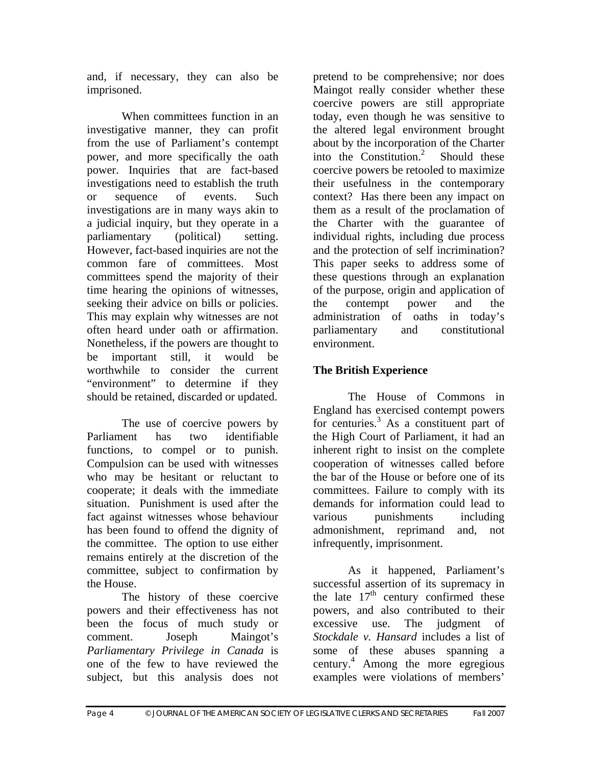and, if necessary, they can also be imprisoned.

 When committees function in an investigative manner, they can profit from the use of Parliament's contempt power, and more specifically the oath power. Inquiries that are fact-based investigations need to establish the truth or sequence of events. Such investigations are in many ways akin to a judicial inquiry, but they operate in a parliamentary (political) setting. However, fact-based inquiries are not the common fare of committees. Most committees spend the majority of their time hearing the opinions of witnesses, seeking their advice on bills or policies. This may explain why witnesses are not often heard under oath or affirmation. Nonetheless, if the powers are thought to be important still, it would be worthwhile to consider the current "environment" to determine if they should be retained, discarded or updated.

 The use of coercive powers by Parliament has two identifiable functions, to compel or to punish. Compulsion can be used with witnesses who may be hesitant or reluctant to cooperate; it deals with the immediate situation. Punishment is used after the fact against witnesses whose behaviour has been found to offend the dignity of the committee. The option to use either remains entirely at the discretion of the committee, subject to confirmation by the House.

 The history of these coercive powers and their effectiveness has not been the focus of much study or comment. Joseph Maingot's *Parliamentary Privilege in Canada* is one of the few to have reviewed the subject, but this analysis does not

pretend to be comprehensive; nor does Maingot really consider whether these coercive powers are still appropriate today, even though he was sensitive to the altered legal environment brought about by the incorporation of the Charter into the Constitution.2 Should these coercive powers be retooled to maximize their usefulness in the contemporary context? Has there been any impact on them as a result of the proclamation of the Charter with the guarantee of individual rights, including due process and the protection of self incrimination? This paper seeks to address some of these questions through an explanation of the purpose, origin and application of the contempt power and the administration of oaths in today's parliamentary and constitutional environment.

# **The British Experience**

 The House of Commons in England has exercised contempt powers for centuries.<sup>3</sup> As a constituent part of the High Court of Parliament, it had an inherent right to insist on the complete cooperation of witnesses called before the bar of the House or before one of its committees. Failure to comply with its demands for information could lead to various punishments including admonishment, reprimand and, not infrequently, imprisonment.

 As it happened, Parliament's successful assertion of its supremacy in the late  $17<sup>th</sup>$  century confirmed these powers, and also contributed to their excessive use. The judgment of *Stockdale v. Hansard* includes a list of some of these abuses spanning a century.4 Among the more egregious examples were violations of members'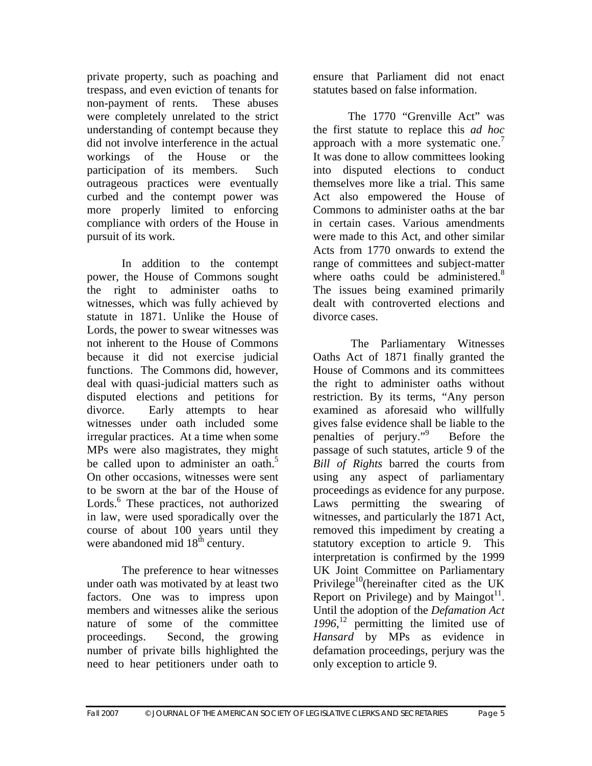private property, such as poaching and trespass, and even eviction of tenants for non-payment of rents. These abuses were completely unrelated to the strict understanding of contempt because they did not involve interference in the actual workings of the House or the participation of its members. Such outrageous practices were eventually curbed and the contempt power was more properly limited to enforcing compliance with orders of the House in pursuit of its work.

 In addition to the contempt power, the House of Commons sought the right to administer oaths to witnesses, which was fully achieved by statute in 1871. Unlike the House of Lords, the power to swear witnesses was not inherent to the House of Commons because it did not exercise judicial functions. The Commons did, however, deal with quasi-judicial matters such as disputed elections and petitions for divorce. Early attempts to hear witnesses under oath included some irregular practices. At a time when some MPs were also magistrates, they might be called upon to administer an oath.<sup>5</sup> On other occasions, witnesses were sent to be sworn at the bar of the House of Lords.<sup>6</sup> These practices, not authorized in law, were used sporadically over the course of about 100 years until they were abandoned mid 18<sup>th</sup> century.

 The preference to hear witnesses under oath was motivated by at least two factors. One was to impress upon members and witnesses alike the serious nature of some of the committee proceedings. Second, the growing number of private bills highlighted the need to hear petitioners under oath to

ensure that Parliament did not enact statutes based on false information.

 The 1770 "Grenville Act" was the first statute to replace this *ad hoc* approach with a more systematic one.<sup>7</sup> It was done to allow committees looking into disputed elections to conduct themselves more like a trial. This same Act also empowered the House of Commons to administer oaths at the bar in certain cases. Various amendments were made to this Act, and other similar Acts from 1770 onwards to extend the range of committees and subject-matter where oaths could be administered.<sup>8</sup> The issues being examined primarily dealt with controverted elections and divorce cases.

 The Parliamentary Witnesses Oaths Act of 1871 finally granted the House of Commons and its committees the right to administer oaths without restriction. By its terms, "Any person examined as aforesaid who willfully gives false evidence shall be liable to the penalties of perjury."9 Before the passage of such statutes, article 9 of the *Bill of Rights* barred the courts from using any aspect of parliamentary proceedings as evidence for any purpose. Laws permitting the swearing of witnesses, and particularly the 1871 Act, removed this impediment by creating a statutory exception to article 9. This interpretation is confirmed by the 1999 UK Joint Committee on Parliamentary Privilege<sup>10</sup>(hereinafter cited as the UK Report on Privilege) and by Maingot<sup>11</sup>. Until the adoption of the *Defamation Act 1996*, 12 permitting the limited use of *Hansard* by MPs as evidence in defamation proceedings, perjury was the only exception to article 9.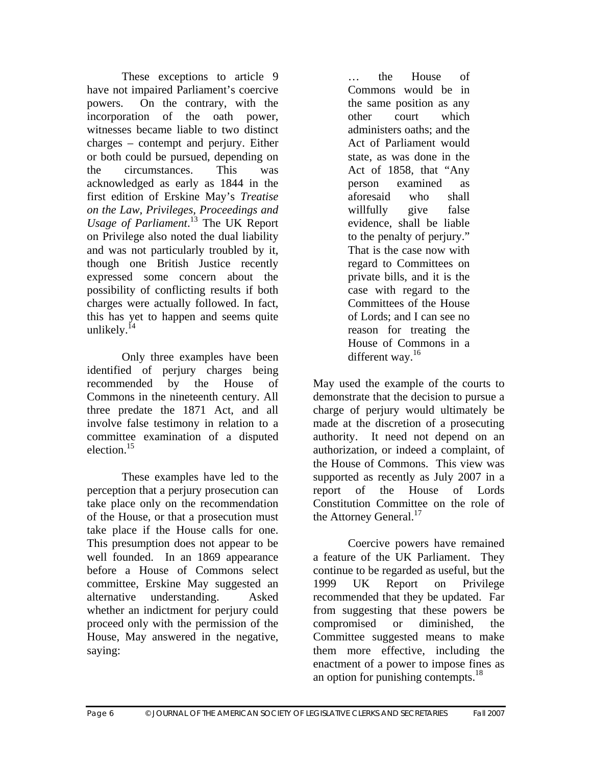These exceptions to article 9 have not impaired Parliament's coercive powers. On the contrary, with the incorporation of the oath power, witnesses became liable to two distinct charges – contempt and perjury. Either or both could be pursued, depending on the circumstances. This was acknowledged as early as 1844 in the first edition of Erskine May's *Treatise on the Law, Privileges, Proceedings and Usage of Parliament*. 13 The UK Report on Privilege also noted the dual liability and was not particularly troubled by it, though one British Justice recently expressed some concern about the possibility of conflicting results if both charges were actually followed. In fact, this has yet to happen and seems quite unlikely. $^{14}$ 

 Only three examples have been identified of perjury charges being recommended by the House of Commons in the nineteenth century. All three predate the 1871 Act, and all involve false testimony in relation to a committee examination of a disputed election  $15$ 

 These examples have led to the perception that a perjury prosecution can take place only on the recommendation of the House, or that a prosecution must take place if the House calls for one. This presumption does not appear to be well founded. In an 1869 appearance before a House of Commons select committee, Erskine May suggested an alternative understanding. Asked whether an indictment for perjury could proceed only with the permission of the House, May answered in the negative, saying:

… the House of Commons would be in the same position as any other court which administers oaths; and the Act of Parliament would state, as was done in the Act of 1858, that "Any person examined as aforesaid who shall willfully give false evidence, shall be liable to the penalty of perjury." That is the case now with regard to Committees on private bills, and it is the case with regard to the Committees of the House of Lords; and I can see no reason for treating the House of Commons in a different way.<sup>16</sup>

May used the example of the courts to demonstrate that the decision to pursue a charge of perjury would ultimately be made at the discretion of a prosecuting authority. It need not depend on an authorization, or indeed a complaint, of the House of Commons. This view was supported as recently as July 2007 in a report of the House of Lords Constitution Committee on the role of the Attorney General.<sup>17</sup>

 Coercive powers have remained a feature of the UK Parliament. They continue to be regarded as useful, but the 1999 UK Report on Privilege recommended that they be updated. Far from suggesting that these powers be compromised or diminished, the Committee suggested means to make them more effective, including the enactment of a power to impose fines as an option for punishing contempts.<sup>18</sup>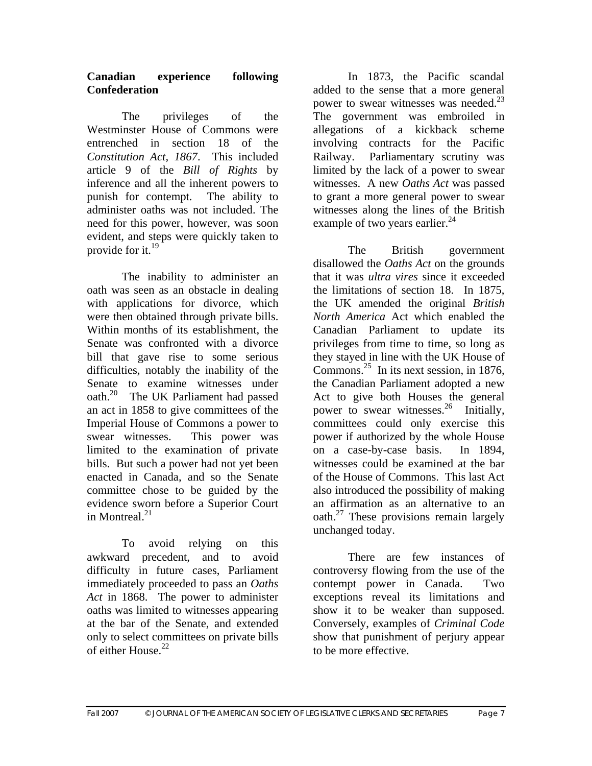#### **Canadian experience following Confederation**

 The privileges of the Westminster House of Commons were entrenched in section 18 of the *Constitution Act, 1867*. This included article 9 of the *Bill of Rights* by inference and all the inherent powers to punish for contempt. The ability to administer oaths was not included. The need for this power, however, was soon evident, and steps were quickly taken to provide for it. $^{19}$ 

 The inability to administer an oath was seen as an obstacle in dealing with applications for divorce, which were then obtained through private bills. Within months of its establishment, the Senate was confronted with a divorce bill that gave rise to some serious difficulties, notably the inability of the Senate to examine witnesses under oath.20 The UK Parliament had passed an act in 1858 to give committees of the Imperial House of Commons a power to swear witnesses. This power was limited to the examination of private bills. But such a power had not yet been enacted in Canada, and so the Senate committee chose to be guided by the evidence sworn before a Superior Court in Montreal  $^{21}$ 

 To avoid relying on this awkward precedent, and to avoid difficulty in future cases, Parliament immediately proceeded to pass an *Oaths Act* in 1868. The power to administer oaths was limited to witnesses appearing at the bar of the Senate, and extended only to select committees on private bills of either  $H_{\text{ouse.}}^{22}$ 

 In 1873, the Pacific scandal added to the sense that a more general power to swear witnesses was needed.<sup>23</sup> The government was embroiled in allegations of a kickback scheme involving contracts for the Pacific Railway. Parliamentary scrutiny was limited by the lack of a power to swear witnesses. A new *Oaths Act* was passed to grant a more general power to swear witnesses along the lines of the British example of two years earlier.<sup>24</sup>

 The British government disallowed the *Oaths Act* on the grounds that it was *ultra vires* since it exceeded the limitations of section 18. In 1875, the UK amended the original *British North America* Act which enabled the Canadian Parliament to update its privileges from time to time, so long as they stayed in line with the UK House of Commons.<sup>25</sup> In its next session, in 1876, the Canadian Parliament adopted a new Act to give both Houses the general power to swear witnesses.<sup>26</sup> Initially, committees could only exercise this power if authorized by the whole House on a case-by-case basis. In 1894, witnesses could be examined at the bar of the House of Commons. This last Act also introduced the possibility of making an affirmation as an alternative to an oath.<sup>27</sup> These provisions remain largely unchanged today.

 There are few instances of controversy flowing from the use of the contempt power in Canada. Two exceptions reveal its limitations and show it to be weaker than supposed. Conversely, examples of *Criminal Code* show that punishment of perjury appear to be more effective.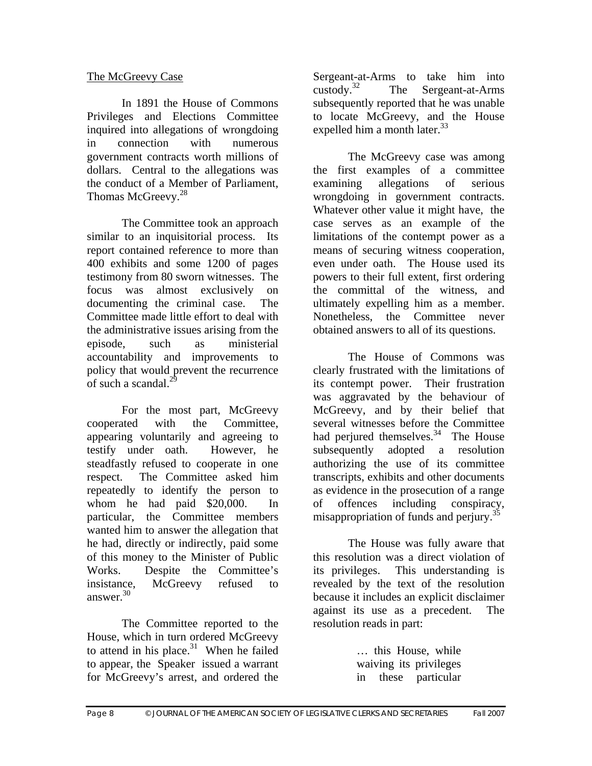# The McGreevy Case

 In 1891 the House of Commons Privileges and Elections Committee inquired into allegations of wrongdoing in connection with numerous government contracts worth millions of dollars. Central to the allegations was the conduct of a Member of Parliament, Thomas McGreevy.<sup>28</sup>

 The Committee took an approach similar to an inquisitorial process. Its report contained reference to more than 400 exhibits and some 1200 of pages testimony from 80 sworn witnesses. The focus was almost exclusively on documenting the criminal case. The Committee made little effort to deal with the administrative issues arising from the episode, such as ministerial accountability and improvements to policy that would prevent the recurrence of such a scandal. $^{29}$ 

 For the most part, McGreevy cooperated with the Committee, appearing voluntarily and agreeing to testify under oath. However, he steadfastly refused to cooperate in one respect. The Committee asked him repeatedly to identify the person to whom he had paid \$20,000. In particular, the Committee members wanted him to answer the allegation that he had, directly or indirectly, paid some of this money to the Minister of Public Works. Despite the Committee's insistance, McGreevy refused to answer. $30$ 

 The Committee reported to the House, which in turn ordered McGreevy to attend in his place. $31$  When he failed to appear, the Speaker issued a warrant for McGreevy's arrest, and ordered the

Sergeant-at-Arms to take him into<br>custody.<sup>32</sup> The Sergeant-at-Arms The Sergeant-at-Arms subsequently reported that he was unable to locate McGreevy, and the House expelled him a month later. $33$ 

 The McGreevy case was among the first examples of a committee examining allegations of serious wrongdoing in government contracts. Whatever other value it might have, the case serves as an example of the limitations of the contempt power as a means of securing witness cooperation, even under oath. The House used its powers to their full extent, first ordering the committal of the witness, and ultimately expelling him as a member. Nonetheless, the Committee never obtained answers to all of its questions.

 The House of Commons was clearly frustrated with the limitations of its contempt power. Their frustration was aggravated by the behaviour of McGreevy, and by their belief that several witnesses before the Committee had perjured themselves.<sup>34</sup> The House subsequently adopted a resolution authorizing the use of its committee transcripts, exhibits and other documents as evidence in the prosecution of a range of offences including conspiracy, misappropriation of funds and perjury.<sup>35</sup>

 The House was fully aware that this resolution was a direct violation of its privileges. This understanding is revealed by the text of the resolution because it includes an explicit disclaimer against its use as a precedent. The resolution reads in part:

> … this House, while waiving its privileges in these particular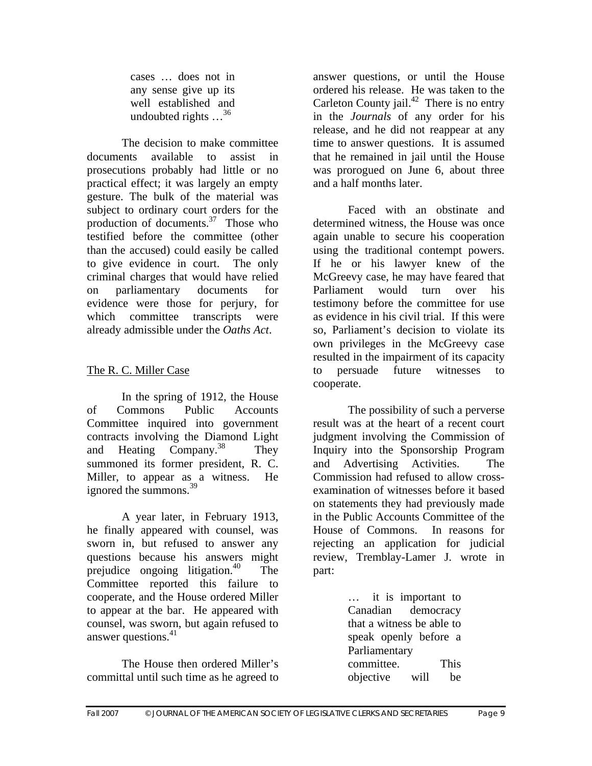cases … does not in any sense give up its well established and undoubted rights  $\ldots^{36}$ 

 The decision to make committee documents available to assist in prosecutions probably had little or no practical effect; it was largely an empty gesture. The bulk of the material was subject to ordinary court orders for the production of documents. $37$  Those who testified before the committee (other than the accused) could easily be called to give evidence in court. The only criminal charges that would have relied on parliamentary documents for evidence were those for perjury, for which committee transcripts were already admissible under the *Oaths Act*.

# The R. C. Miller Case

 In the spring of 1912, the House of Commons Public Accounts Committee inquired into government contracts involving the Diamond Light and Heating Company.<sup>38</sup> They summoned its former president, R. C. Miller, to appear as a witness. He ignored the summons.<sup>39</sup>

 A year later, in February 1913, he finally appeared with counsel, was sworn in, but refused to answer any questions because his answers might prejudice ongoing litigation.<sup>40</sup> The Committee reported this failure to cooperate, and the House ordered Miller to appear at the bar. He appeared with counsel, was sworn, but again refused to answer questions. $41$ 

 The House then ordered Miller's committal until such time as he agreed to

answer questions, or until the House ordered his release. He was taken to the Carleton County jail. $^{42}$  There is no entry in the *Journals* of any order for his release, and he did not reappear at any time to answer questions. It is assumed that he remained in jail until the House was prorogued on June 6, about three and a half months later.

 Faced with an obstinate and determined witness, the House was once again unable to secure his cooperation using the traditional contempt powers. If he or his lawyer knew of the McGreevy case, he may have feared that Parliament would turn over his testimony before the committee for use as evidence in his civil trial. If this were so, Parliament's decision to violate its own privileges in the McGreevy case resulted in the impairment of its capacity to persuade future witnesses to cooperate.

 The possibility of such a perverse result was at the heart of a recent court judgment involving the Commission of Inquiry into the Sponsorship Program and Advertising Activities. The Commission had refused to allow crossexamination of witnesses before it based on statements they had previously made in the Public Accounts Committee of the House of Commons. In reasons for rejecting an application for judicial review, Tremblay-Lamer J. wrote in part:

> … it is important to Canadian democracy that a witness be able to speak openly before a Parliamentary committee. This objective will be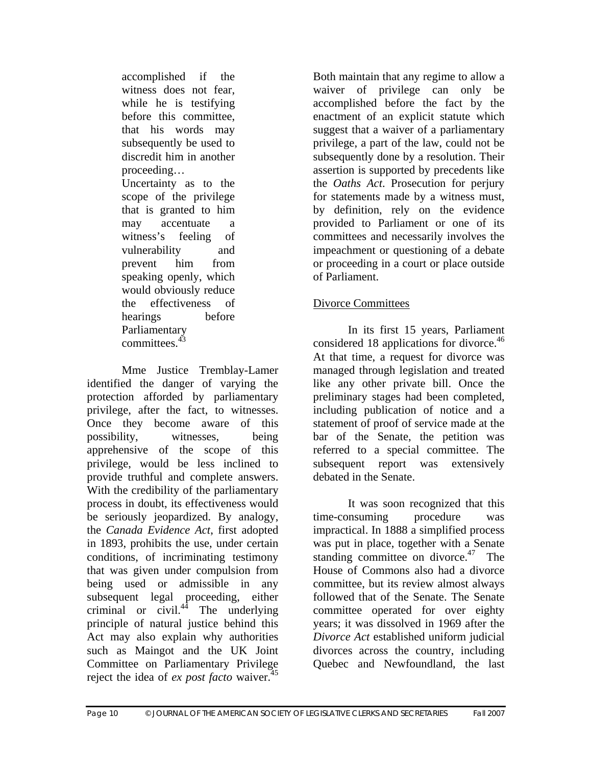accomplished if the witness does not fear, while he is testifying before this committee, that his words may subsequently be used to discredit him in another proceeding… Uncertainty as to the scope of the privilege that is granted to him may accentuate a witness's feeling of vulnerability and prevent him from speaking openly, which would obviously reduce the effectiveness of hearings before Parliamentary committees.<sup>43</sup>

 Mme Justice Tremblay-Lamer identified the danger of varying the protection afforded by parliamentary privilege, after the fact, to witnesses. Once they become aware of this possibility, witnesses, being apprehensive of the scope of this privilege, would be less inclined to provide truthful and complete answers. With the credibility of the parliamentary process in doubt, its effectiveness would be seriously jeopardized. By analogy, the *Canada Evidence Act*, first adopted in 1893, prohibits the use, under certain conditions, of incriminating testimony that was given under compulsion from being used or admissible in any subsequent legal proceeding, either criminal or civil. $4\overline{4}$  The underlying principle of natural justice behind this Act may also explain why authorities such as Maingot and the UK Joint Committee on Parliamentary Privilege reject the idea of *ex post facto* waiver.<sup>45</sup>

Both maintain that any regime to allow a waiver of privilege can only be accomplished before the fact by the enactment of an explicit statute which suggest that a waiver of a parliamentary privilege, a part of the law, could not be subsequently done by a resolution. Their assertion is supported by precedents like the *Oaths Act*. Prosecution for perjury for statements made by a witness must, by definition, rely on the evidence provided to Parliament or one of its committees and necessarily involves the impeachment or questioning of a debate or proceeding in a court or place outside of Parliament.

# Divorce Committees

 In its first 15 years, Parliament considered 18 applications for divorce.<sup>46</sup> At that time, a request for divorce was managed through legislation and treated like any other private bill. Once the preliminary stages had been completed, including publication of notice and a statement of proof of service made at the bar of the Senate, the petition was referred to a special committee. The subsequent report was extensively debated in the Senate.

 It was soon recognized that this time-consuming procedure was impractical. In 1888 a simplified process was put in place, together with a Senate standing committee on divorce.<sup>47</sup> The House of Commons also had a divorce committee, but its review almost always followed that of the Senate. The Senate committee operated for over eighty years; it was dissolved in 1969 after the *Divorce Act* established uniform judicial divorces across the country, including Quebec and Newfoundland, the last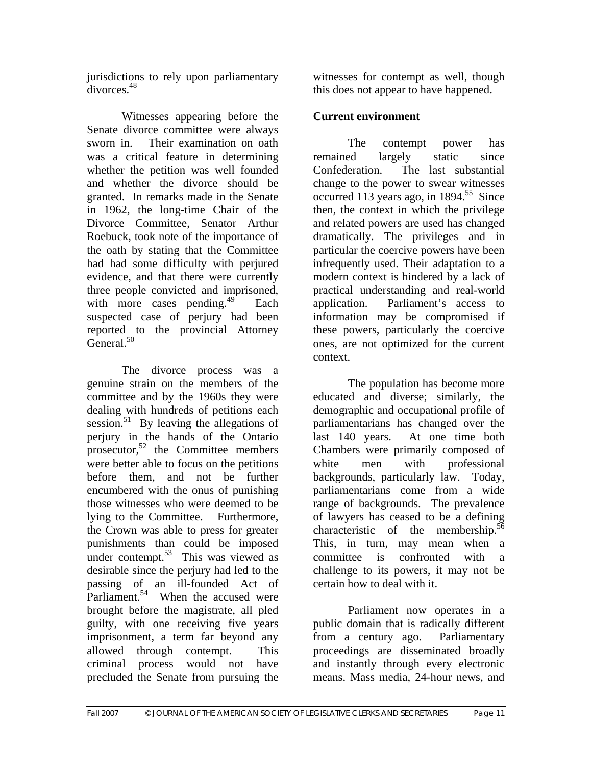jurisdictions to rely upon parliamentary divorces.48

 Witnesses appearing before the Senate divorce committee were always sworn in. Their examination on oath was a critical feature in determining whether the petition was well founded and whether the divorce should be granted. In remarks made in the Senate in 1962, the long-time Chair of the Divorce Committee, Senator Arthur Roebuck, took note of the importance of the oath by stating that the Committee had had some difficulty with perjured evidence, and that there were currently three people convicted and imprisoned, with more cases pending. $^{49}$  Each suspected case of perjury had been reported to the provincial Attorney  $General<sup>50</sup>$ 

 The divorce process was a genuine strain on the members of the committee and by the 1960s they were dealing with hundreds of petitions each session.<sup>51</sup> By leaving the allegations of perjury in the hands of the Ontario prosecutor, $52$  the Committee members were better able to focus on the petitions before them, and not be further encumbered with the onus of punishing those witnesses who were deemed to be lying to the Committee. Furthermore, the Crown was able to press for greater punishments than could be imposed under contempt. $53$  This was viewed as desirable since the perjury had led to the passing of an ill-founded Act of Parliament.<sup>54</sup> When the accused were brought before the magistrate, all pled guilty, with one receiving five years imprisonment, a term far beyond any allowed through contempt. This criminal process would not have precluded the Senate from pursuing the

witnesses for contempt as well, though this does not appear to have happened.

# **Current environment**

 The contempt power has remained largely static since Confederation. The last substantial change to the power to swear witnesses occurred 113 years ago, in  $1894$ <sup>55</sup> Since then, the context in which the privilege and related powers are used has changed dramatically. The privileges and in particular the coercive powers have been infrequently used. Their adaptation to a modern context is hindered by a lack of practical understanding and real-world application. Parliament's access to information may be compromised if these powers, particularly the coercive ones, are not optimized for the current context.

 The population has become more educated and diverse; similarly, the demographic and occupational profile of parliamentarians has changed over the last 140 years. At one time both Chambers were primarily composed of white men with professional backgrounds, particularly law. Today, parliamentarians come from a wide range of backgrounds. The prevalence of lawyers has ceased to be a defining characteristic of the membership. $56$ This, in turn, may mean when a committee is confronted with a challenge to its powers, it may not be certain how to deal with it.

 Parliament now operates in a public domain that is radically different from a century ago. Parliamentary proceedings are disseminated broadly and instantly through every electronic means. Mass media, 24-hour news, and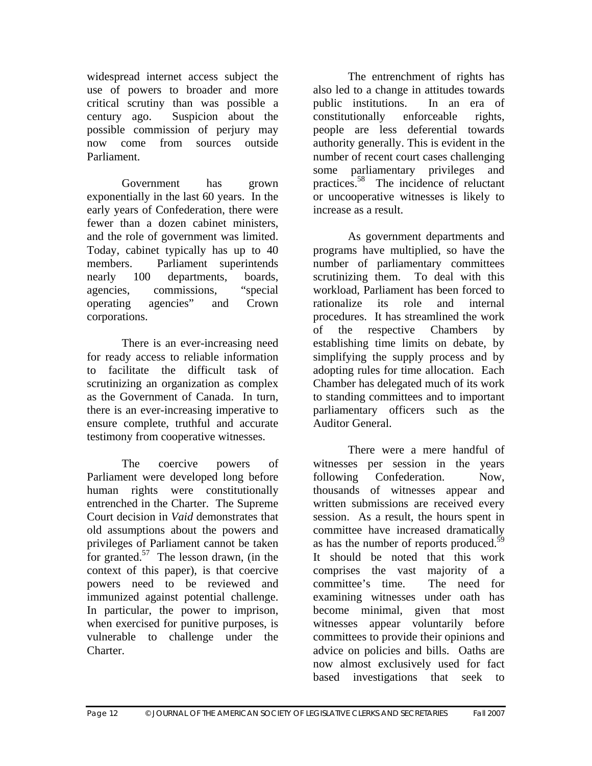widespread internet access subject the use of powers to broader and more critical scrutiny than was possible a century ago. Suspicion about the possible commission of perjury may now come from sources outside Parliament.

 Government has grown exponentially in the last 60 years. In the early years of Confederation, there were fewer than a dozen cabinet ministers, and the role of government was limited. Today, cabinet typically has up to 40 members. Parliament superintends nearly 100 departments, boards, agencies, commissions, "special operating agencies" and Crown corporations.

 There is an ever-increasing need for ready access to reliable information to facilitate the difficult task of scrutinizing an organization as complex as the Government of Canada. In turn, there is an ever-increasing imperative to ensure complete, truthful and accurate testimony from cooperative witnesses.

 The coercive powers of Parliament were developed long before human rights were constitutionally entrenched in the Charter. The Supreme Court decision in *Vaid* demonstrates that old assumptions about the powers and privileges of Parliament cannot be taken for granted. $57$  The lesson drawn, (in the context of this paper), is that coercive powers need to be reviewed and immunized against potential challenge. In particular, the power to imprison, when exercised for punitive purposes, is vulnerable to challenge under the Charter.

 The entrenchment of rights has also led to a change in attitudes towards public institutions. In an era of constitutionally enforceable rights, people are less deferential towards authority generally. This is evident in the number of recent court cases challenging some parliamentary privileges and practices.<sup>58</sup> The incidence of reluctant or uncooperative witnesses is likely to increase as a result.

 As government departments and programs have multiplied, so have the number of parliamentary committees scrutinizing them. To deal with this workload, Parliament has been forced to rationalize its role and internal procedures. It has streamlined the work of the respective Chambers by establishing time limits on debate, by simplifying the supply process and by adopting rules for time allocation. Each Chamber has delegated much of its work to standing committees and to important parliamentary officers such as the Auditor General.

 There were a mere handful of witnesses per session in the years following Confederation. Now, thousands of witnesses appear and written submissions are received every session. As a result, the hours spent in committee have increased dramatically as has the number of reports produced.<sup>59</sup> It should be noted that this work comprises the vast majority of a committee's time. The need for examining witnesses under oath has become minimal, given that most witnesses appear voluntarily before committees to provide their opinions and advice on policies and bills. Oaths are now almost exclusively used for fact based investigations that seek to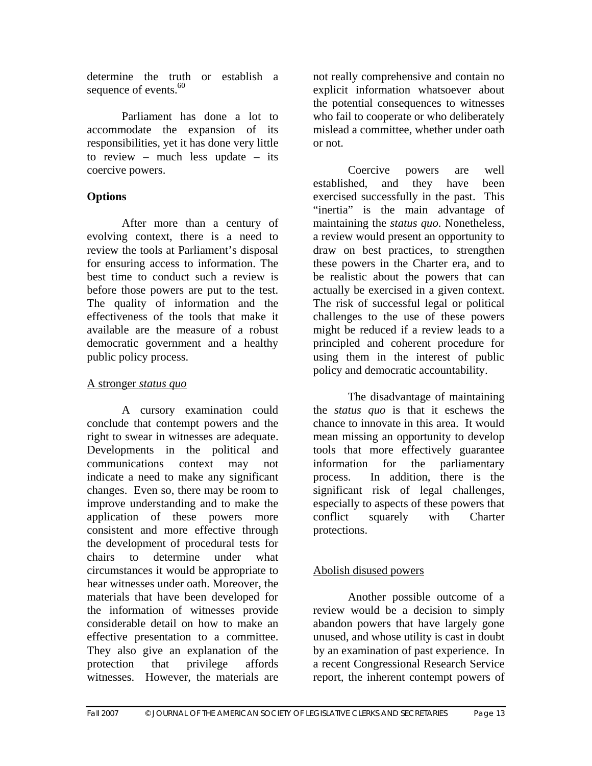determine the truth or establish a sequence of events. $60$ 

 Parliament has done a lot to accommodate the expansion of its responsibilities, yet it has done very little to review – much less update – its coercive powers.

# **Options**

 After more than a century of evolving context, there is a need to review the tools at Parliament's disposal for ensuring access to information. The best time to conduct such a review is before those powers are put to the test. The quality of information and the effectiveness of the tools that make it available are the measure of a robust democratic government and a healthy public policy process.

# A stronger *status quo*

 A cursory examination could conclude that contempt powers and the right to swear in witnesses are adequate. Developments in the political and communications context may not indicate a need to make any significant changes. Even so, there may be room to improve understanding and to make the application of these powers more consistent and more effective through the development of procedural tests for chairs to determine under what circumstances it would be appropriate to hear witnesses under oath. Moreover, the materials that have been developed for the information of witnesses provide considerable detail on how to make an effective presentation to a committee. They also give an explanation of the protection that privilege affords witnesses. However, the materials are

not really comprehensive and contain no explicit information whatsoever about the potential consequences to witnesses who fail to cooperate or who deliberately mislead a committee, whether under oath or not.

 Coercive powers are well established, and they have been exercised successfully in the past. This "inertia" is the main advantage of maintaining the *status quo*. Nonetheless, a review would present an opportunity to draw on best practices, to strengthen these powers in the Charter era, and to be realistic about the powers that can actually be exercised in a given context. The risk of successful legal or political challenges to the use of these powers might be reduced if a review leads to a principled and coherent procedure for using them in the interest of public policy and democratic accountability.

 The disadvantage of maintaining the *status quo* is that it eschews the chance to innovate in this area. It would mean missing an opportunity to develop tools that more effectively guarantee information for the parliamentary process. In addition, there is the significant risk of legal challenges, especially to aspects of these powers that conflict squarely with Charter protections.

# Abolish disused powers

 Another possible outcome of a review would be a decision to simply abandon powers that have largely gone unused, and whose utility is cast in doubt by an examination of past experience. In a recent Congressional Research Service report, the inherent contempt powers of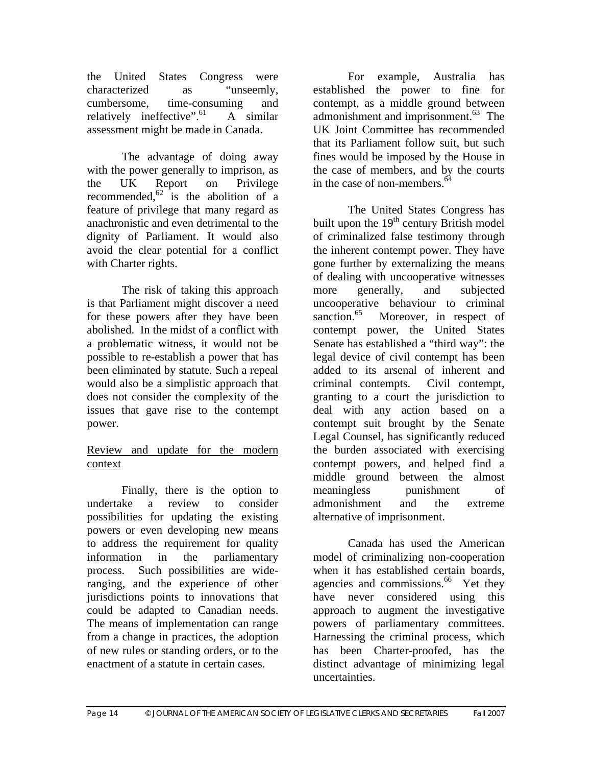the United States Congress were characterized as "unseemly, cumbersome, time-consuming and relatively ineffective". $\lambda$  Similar assessment might be made in Canada.

 The advantage of doing away with the power generally to imprison, as the UK Report on Privilege recommended, $62$  is the abolition of a feature of privilege that many regard as anachronistic and even detrimental to the dignity of Parliament. It would also avoid the clear potential for a conflict with Charter rights.

 The risk of taking this approach is that Parliament might discover a need for these powers after they have been abolished. In the midst of a conflict with a problematic witness, it would not be possible to re-establish a power that has been eliminated by statute. Such a repeal would also be a simplistic approach that does not consider the complexity of the issues that gave rise to the contempt power.

#### Review and update for the modern context

 Finally, there is the option to undertake a review to consider possibilities for updating the existing powers or even developing new means to address the requirement for quality information in the parliamentary process. Such possibilities are wideranging, and the experience of other jurisdictions points to innovations that could be adapted to Canadian needs. The means of implementation can range from a change in practices, the adoption of new rules or standing orders, or to the enactment of a statute in certain cases.

 For example, Australia has established the power to fine for contempt, as a middle ground between admonishment and imprisonment.<sup>63</sup> The UK Joint Committee has recommended that its Parliament follow suit, but such fines would be imposed by the House in the case of members, and by the courts in the case of non-members.  $64$ 

 The United States Congress has built upon the  $19<sup>th</sup>$  century British model of criminalized false testimony through the inherent contempt power. They have gone further by externalizing the means of dealing with uncooperative witnesses more generally, and subjected uncooperative behaviour to criminal sanction.<sup>65</sup> Moreover, in respect of contempt power, the United States Senate has established a "third way": the legal device of civil contempt has been added to its arsenal of inherent and criminal contempts. Civil contempt, granting to a court the jurisdiction to deal with any action based on a contempt suit brought by the Senate Legal Counsel, has significantly reduced the burden associated with exercising contempt powers, and helped find a middle ground between the almost meaningless punishment of admonishment and the extreme alternative of imprisonment.

 Canada has used the American model of criminalizing non-cooperation when it has established certain boards, agencies and commissions.<sup>66</sup> Yet they have never considered using this approach to augment the investigative powers of parliamentary committees. Harnessing the criminal process, which has been Charter-proofed, has the distinct advantage of minimizing legal uncertainties.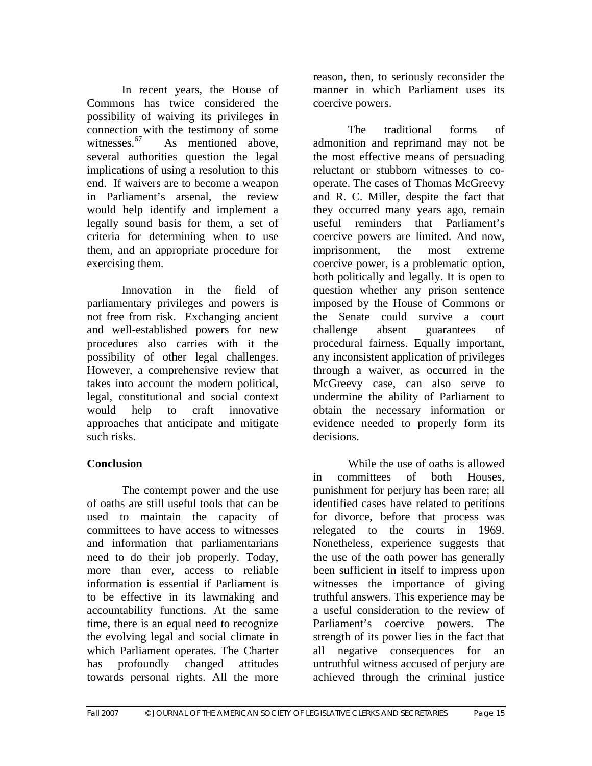In recent years, the House of Commons has twice considered the possibility of waiving its privileges in connection with the testimony of some witnesses.  $67$  As mentioned above. As mentioned above, several authorities question the legal implications of using a resolution to this end. If waivers are to become a weapon in Parliament's arsenal, the review would help identify and implement a legally sound basis for them, a set of criteria for determining when to use them, and an appropriate procedure for exercising them.

 Innovation in the field of parliamentary privileges and powers is not free from risk. Exchanging ancient and well-established powers for new procedures also carries with it the possibility of other legal challenges. However, a comprehensive review that takes into account the modern political, legal, constitutional and social context would help to craft innovative approaches that anticipate and mitigate such risks.

# **Conclusion**

 The contempt power and the use of oaths are still useful tools that can be used to maintain the capacity of committees to have access to witnesses and information that parliamentarians need to do their job properly. Today, more than ever, access to reliable information is essential if Parliament is to be effective in its lawmaking and accountability functions. At the same time, there is an equal need to recognize the evolving legal and social climate in which Parliament operates. The Charter has profoundly changed attitudes towards personal rights. All the more

reason, then, to seriously reconsider the manner in which Parliament uses its coercive powers.

 The traditional forms of admonition and reprimand may not be the most effective means of persuading reluctant or stubborn witnesses to cooperate. The cases of Thomas McGreevy and R. C. Miller, despite the fact that they occurred many years ago, remain useful reminders that Parliament's coercive powers are limited. And now, imprisonment, the most extreme coercive power, is a problematic option, both politically and legally. It is open to question whether any prison sentence imposed by the House of Commons or the Senate could survive a court challenge absent guarantees of procedural fairness. Equally important, any inconsistent application of privileges through a waiver, as occurred in the McGreevy case, can also serve to undermine the ability of Parliament to obtain the necessary information or evidence needed to properly form its decisions.

 While the use of oaths is allowed in committees of both Houses, punishment for perjury has been rare; all identified cases have related to petitions for divorce, before that process was relegated to the courts in 1969. Nonetheless, experience suggests that the use of the oath power has generally been sufficient in itself to impress upon witnesses the importance of giving truthful answers. This experience may be a useful consideration to the review of Parliament's coercive powers. The strength of its power lies in the fact that all negative consequences for an untruthful witness accused of perjury are achieved through the criminal justice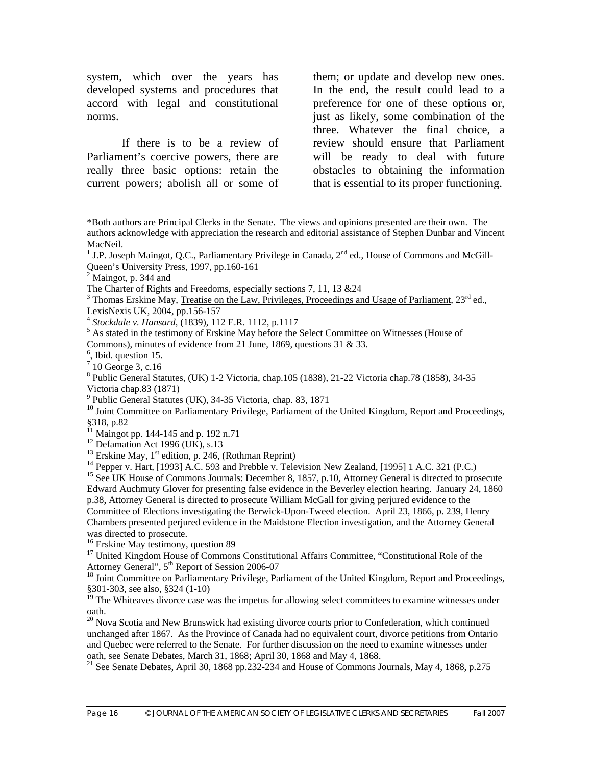system, which over the years has developed systems and procedures that accord with legal and constitutional norms.

 If there is to be a review of Parliament's coercive powers, there are really three basic options: retain the current powers; abolish all or some of

them; or update and develop new ones. In the end, the result could lead to a preference for one of these options or, just as likely, some combination of the three. Whatever the final choice, a review should ensure that Parliament will be ready to deal with future obstacles to obtaining the information that is essential to its proper functioning.

 $\overline{a}$ 

9 Public General Statutes (UK), 34-35 Victoria, chap. 83, 1871

<sup>10</sup> Joint Committee on Parliamentary Privilege, Parliament of the United Kingdom, Report and Proceedings, §318, p.82

<sup>15</sup> See UK House of Commons Journals: December 8, 1857, p.10, Attorney General is directed to prosecute Edward Auchmuty Glover for presenting false evidence in the Beverley election hearing. January 24, 1860 p.38, Attorney General is directed to prosecute William McGall for giving perjured evidence to the Committee of Elections investigating the Berwick-Upon-Tweed election. April 23, 1866, p. 239, Henry Chambers presented perjured evidence in the Maidstone Election investigation, and the Attorney General was directed to prosecute.

<sup>\*</sup>Both authors are Principal Clerks in the Senate. The views and opinions presented are their own. The authors acknowledge with appreciation the research and editorial assistance of Stephen Dunbar and Vincent MacNeil.

<sup>&</sup>lt;sup>1</sup> J.P. Joseph Maingot, Q.C., Parliamentary Privilege in Canada, 2<sup>nd</sup> ed., House of Commons and McGill-Queen's University Press, 1997, pp.160-161

 $2^2$  Maingot, p. 344 and

The Charter of Rights and Freedoms, especially sections 7, 11, 13 &24

 $3$  Thomas Erskine May, Treatise on the Law, Privileges, Proceedings and Usage of Parliament, 23<sup>rd</sup> ed., LexisNexis UK, 2004, pp.156-157

<sup>4</sup> *Stockdale v. Hansard*, (1839), 112 E.R. 1112, p.1117 5

<sup>&</sup>lt;sup>5</sup> As stated in the testimony of Erskine May before the Select Committee on Witnesses (House of Commons), minutes of evidence from 21 June, 1869, questions 31 & 33.

<sup>&</sup>lt;sup>6</sup>, Ibid. question 15.

<sup>7</sup> 10 George 3, c.16

<sup>8</sup> Public General Statutes, (UK) 1-2 Victoria, chap.105 (1838), 21-22 Victoria chap.78 (1858), 34-35 Victoria chap.83 (1871)

 $11$  Maingot pp. 144-145 and p. 192 n.71

<sup>&</sup>lt;sup>12</sup> Defamation Act 1996 (UK), s.13<br><sup>13</sup> Erskine May, 1<sup>st</sup> edition, p. 246, (Rothman Reprint)

 $14$  Pepper v. Hart, [1993] A.C. 593 and Prebble v. Television New Zealand, [1995] 1 A.C. 321 (P.C.)

<sup>&</sup>lt;sup>16</sup> Erskine May testimony, question 89

<sup>&</sup>lt;sup>17</sup> United Kingdom House of Commons Constitutional Affairs Committee, "Constitutional Role of the Attorney General", 5<sup>th</sup> Report of Session 2006-07<br><sup>18</sup> Joint Committee on Parliamentary Privilege, Parliament of the United Kingdom, Report and Proceedings,

<sup>§301-303,</sup> see also, §324 (1-10)

 $19$  The Whiteaves divorce case was the impetus for allowing select committees to examine witnesses under oath.

<sup>&</sup>lt;sup>20</sup> Nova Scotia and New Brunswick had existing divorce courts prior to Confederation, which continued unchanged after 1867. As the Province of Canada had no equivalent court, divorce petitions from Ontario and Quebec were referred to the Senate. For further discussion on the need to examine witnesses under oath, see Senate Debates, March 31, 1868; April 30, 1868 and May 4, 1868.

<sup>&</sup>lt;sup>21</sup> See Senate Debates, April 30, 1868 pp.232-234 and House of Commons Journals, May 4, 1868, p.275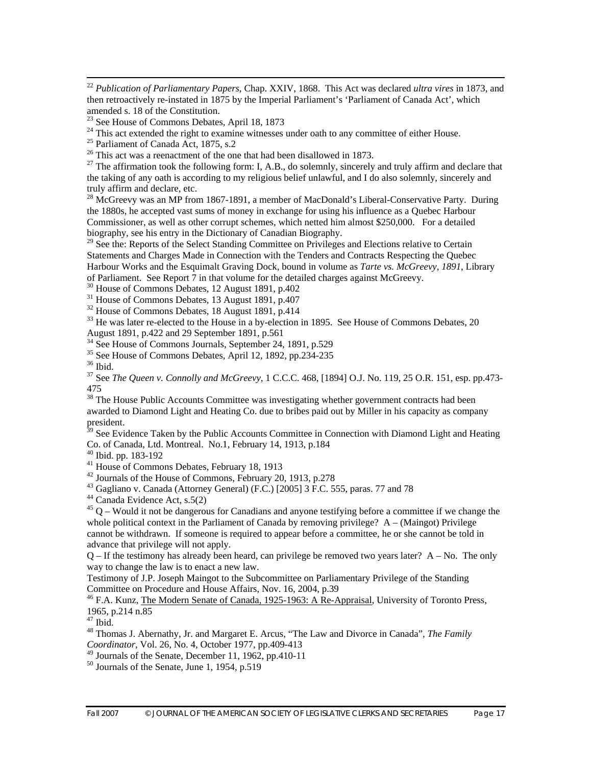22 *Publication of Parliamentary Papers*, Chap. XXIV, 1868. This Act was declared *ultra vires* in 1873, and then retroactively re-instated in 1875 by the Imperial Parliament's 'Parliament of Canada Act', which amended s. 18 of the Constitution.

 $23$  See House of Commons Debates, April 18, 1873

<sup>27</sup> The affirmation took the following form: I, A.B., do solemnly, sincerely and truly affirm and declare that the taking of any oath is according to my religious belief unlawful, and I do also solemnly, sincerely and truly affirm and declare, etc.

<sup>28</sup> McGreevy was an MP from 1867-1891, a member of MacDonald's Liberal-Conservative Party. During the 1880s, he accepted vast sums of money in exchange for using his influence as a Quebec Harbour Commissioner, as well as other corrupt schemes, which netted him almost \$250,000. For a detailed biography, see his entry in the Dictionary of Canadian Biography.

<sup>29</sup> See the: Reports of the Select Standing Committee on Privileges and Elections relative to Certain Statements and Charges Made in Connection with the Tenders and Contracts Respecting the Quebec Harbour Works and the Esquimalt Graving Dock, bound in volume as *Tarte vs. McGreevy, 1891*, Library of Parliament. See Report  $\overline{7}$  in that volume for the detailed charges against McGreevy.

30 House of Commons Debates, 12 August 1891, p.402

<sup>31</sup> House of Commons Debates, 13 August 1891, p.407

 $32$  House of Commons Debates, 18 August 1891, p.414

 $33$  He was later re-elected to the House in a by-election in 1895. See House of Commons Debates, 20 August 1891, p.422 and 29 September 1891, p.561

<sup>34</sup> See House of Commons Journals, September 24, 1891, p.529

<sup>35</sup> See House of Commons Debates, April 12, 1892, pp.234-235

 $^{36}$  Ibid.

37 See *The Queen v. Connolly and McGreevy*, 1 C.C.C. 468, [1894] O.J. No. 119, 25 O.R. 151, esp. pp.473- 475

 $38$  The House Public Accounts Committee was investigating whether government contracts had been awarded to Diamond Light and Heating Co. due to bribes paid out by Miller in his capacity as company president.

<sup>39</sup> See Evidence Taken by the Public Accounts Committee in Connection with Diamond Light and Heating Co. of Canada, Ltd. Montreal. No.1, February 14, 1913, p.184

40 Ibid. pp. 183-192

 $^{41}$  House of Commons Debates, February 18, 1913

 $42$  Journals of the House of Commons, February 20, 1913, p.278

43 Gagliano v. Canada (Attorney General) (F.C.) [2005] 3 F.C. 555, paras. 77 and 78

 $44$  Canada Evidence Act, s.5(2)

 $45$  Q – Would it not be dangerous for Canadians and anyone testifying before a committee if we change the whole political context in the Parliament of Canada by removing privilege?  $A - (Maingot)$  Privilege cannot be withdrawn. If someone is required to appear before a committee, he or she cannot be told in advance that privilege will not apply.

 $Q$  – If the testimony has already been heard, can privilege be removed two years later?  $A$  – No. The only way to change the law is to enact a new law.

Testimony of J.P. Joseph Maingot to the Subcommittee on Parliamentary Privilege of the Standing Committee on Procedure and House Affairs, Nov. 16, 2004, p.39

<sup>46</sup> F.A. Kunz, The Modern Senate of Canada, 1925-1963: A Re-Appraisal, University of Toronto Press, 1965, p.214 n.85

 $47$  Ibid.

48 Thomas J. Abernathy, Jr. and Margaret E. Arcus, "The Law and Divorce in Canada", *The Family Coordinator*, Vol. 26, No. 4, October 1977, pp.409-413

 $49$  Journals of the Senate, December 11, 1962, pp.410-11

50 Journals of the Senate, June 1, 1954, p.519

<sup>&</sup>lt;sup>24</sup> This act extended the right to examine witnesses under oath to any committee of either House.<br><sup>25</sup> Parliament of Canada Act, 1875, s.2<br><sup>26</sup> This act was a reenactment of the one that had been disallowed in 1873.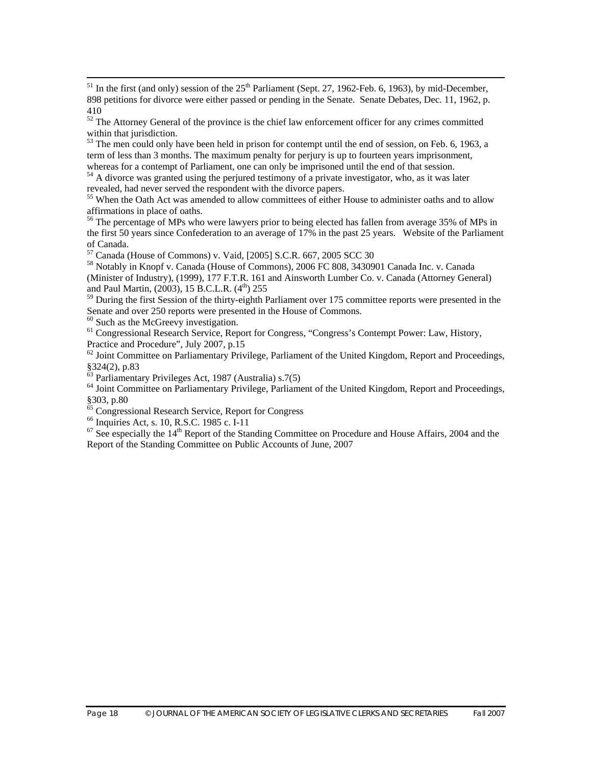$<sup>51</sup>$  In the first (and only) session of the  $25<sup>th</sup>$  Parliament (Sept. 27, 1962-Feb. 6, 1963), by mid-December,</sup> 898 petitions for divorce were either passed or pending in the Senate. Senate Debates, Dec. 11, 1962, p. 410

 $52$  The Attorney General of the province is the chief law enforcement officer for any crimes committed within that jurisdiction.

 $53$  The men could only have been held in prison for contempt until the end of session, on Feb. 6, 1963, a term of less than 3 months. The maximum penalty for perjury is up to fourteen years imprisonment, whereas for a contempt of Parliament, one can only be imprisoned until the end of that session.<br><sup>54</sup> A divorce was granted using the perjured testimony of a private investigator, who, as it was later

revealed, had never served the respondent with the divorce papers.

<sup>55</sup> When the Oath Act was amended to allow committees of either House to administer oaths and to allow affirmations in place of oaths.<br><sup>56</sup> The percentage of MPs who were lawyers prior to being elected has fallen from average 35% of MPs in

the first 50 years since Confederation to an average of 17% in the past 25 years. Website of the Parliament of Canada.

 $57$  Canada (House of Commons) v. Vaid, [2005] S.C.R. 667, 2005 SCC 30

58 Notably in Knopf v. Canada (House of Commons), 2006 FC 808, 3430901 Canada Inc. v. Canada (Minister of Industry), (1999), 177 F.T.R. 161 and Ainsworth Lumber Co. v. Canada (Attorney General) and Paul Martin, (2003), 15 B.C.L.R. (4<sup>th</sup>) 255

<sup>59</sup> During the first Session of the thirty-eighth Parliament over 175 committee reports were presented in the Senate and over 250 reports were presented in the House of Commons.

<sup>60</sup> Such as the McGreevy investigation.

 $61$  Congressional Research Service, Report for Congress, "Congress's Contempt Power: Law, History, Practice and Procedure", July 2007, p.15

 $^{62}$  Joint Committee on Parliamentary Privilege, Parliament of the United Kingdom, Report and Proceedings, §324(2), p.83<br><sup>63</sup> Parliamentary Privileges Act, 1987 (Australia) s.7(5)

<sup>64</sup> Joint Committee on Parliamentary Privilege, Parliament of the United Kingdom, Report and Proceedings, §303, p.80

 $^{65}_{65}$  Congressional Research Service, Report for Congress  $^{66}_{65}$  Inquiries Act, s. 10, R.S.C. 1985 c. I-11

 $\frac{67}{2}$  See especially the 14<sup>th</sup> Report of the Standing Committee on Procedure and House Affairs, 2004 and the Report of the Standing Committee on Public Accounts of June, 2007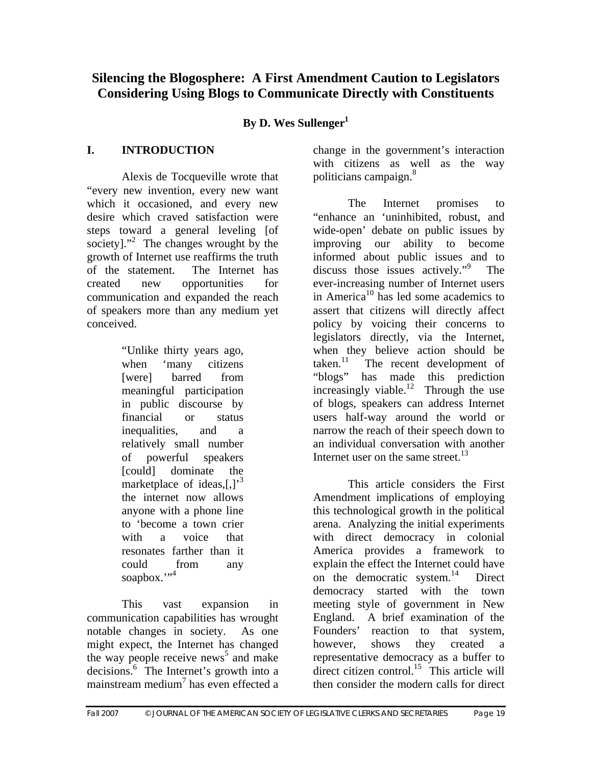# **Silencing the Blogosphere: A First Amendment Caution to Legislators Considering Using Blogs to Communicate Directly with Constituents**

# By D. Wes Sullenger<sup>1</sup>

# **I. INTRODUCTION**

Alexis de Tocqueville wrote that "every new invention, every new want which it occasioned, and every new desire which craved satisfaction were steps toward a general leveling [of society]."<sup>2</sup> The changes wrought by the growth of Internet use reaffirms the truth of the statement. The Internet has created new opportunities for communication and expanded the reach of speakers more than any medium yet conceived.

> "Unlike thirty years ago, when 'many citizens [were] barred from meaningful participation in public discourse by financial or status inequalities, and a relatively small number of powerful speakers [could] dominate the marketplace of ideas, $\left[ , \right]^3$ the internet now allows anyone with a phone line to 'become a town crier with a voice that resonates farther than it could from any soapbox.",4

This vast expansion in communication capabilities has wrought notable changes in society. As one might expect, the Internet has changed the way people receive news<sup>5</sup> and make decisions.6 The Internet's growth into a mainstream medium<sup>7</sup> has even effected a

change in the government's interaction with citizens as well as the way politicians campaign.<sup>8</sup>

The Internet promises to "enhance an 'uninhibited, robust, and wide-open' debate on public issues by improving our ability to become informed about public issues and to discuss those issues actively."9 The ever-increasing number of Internet users in America<sup>10</sup> has led some academics to assert that citizens will directly affect policy by voicing their concerns to legislators directly, via the Internet, when they believe action should be taken.<sup>11</sup> The recent development of The recent development of "blogs" has made this prediction increasingly viable.<sup>12</sup> Through the use of blogs, speakers can address Internet users half-way around the world or narrow the reach of their speech down to an individual conversation with another Internet user on the same street.<sup>13</sup>

This article considers the First Amendment implications of employing this technological growth in the political arena. Analyzing the initial experiments with direct democracy in colonial America provides a framework to explain the effect the Internet could have on the democratic system. $14$  Direct democracy started with the town meeting style of government in New England. A brief examination of the Founders' reaction to that system, however, shows they created a representative democracy as a buffer to direct citizen control.<sup>15</sup> This article will then consider the modern calls for direct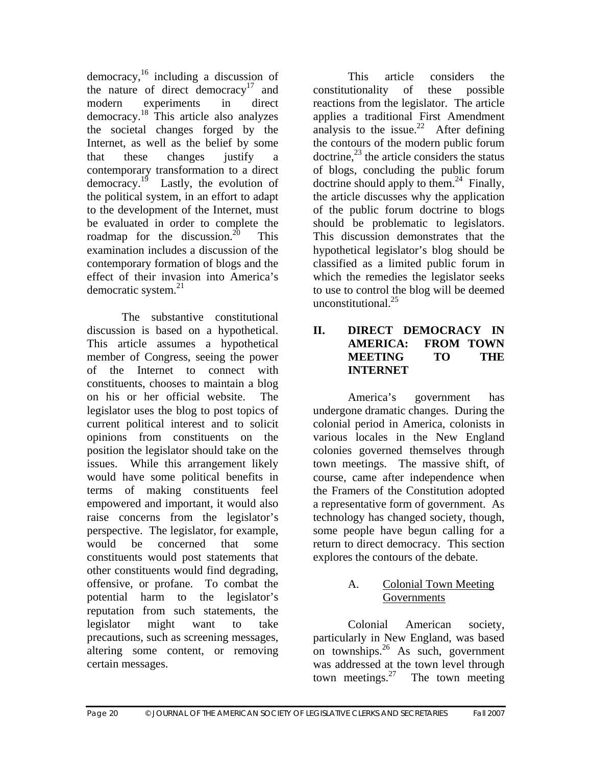democracy, $16$  including a discussion of the nature of direct democracy<sup>17</sup> and modern experiments in direct democracy.<sup>18</sup> This article also analyzes the societal changes forged by the Internet, as well as the belief by some that these changes justify a contemporary transformation to a direct democracy. $1^9$  Lastly, the evolution of the political system, in an effort to adapt to the development of the Internet, must be evaluated in order to complete the roadmap for the discussion.<sup>20</sup> This examination includes a discussion of the contemporary formation of blogs and the effect of their invasion into America's democratic system. $21$ 

The substantive constitutional discussion is based on a hypothetical. This article assumes a hypothetical member of Congress, seeing the power of the Internet to connect with constituents, chooses to maintain a blog on his or her official website. The legislator uses the blog to post topics of current political interest and to solicit opinions from constituents on the position the legislator should take on the issues. While this arrangement likely would have some political benefits in terms of making constituents feel empowered and important, it would also raise concerns from the legislator's perspective. The legislator, for example, would be concerned that some constituents would post statements that other constituents would find degrading, offensive, or profane. To combat the potential harm to the legislator's reputation from such statements, the legislator might want to take precautions, such as screening messages, altering some content, or removing certain messages.

This article considers the constitutionality of these possible reactions from the legislator. The article applies a traditional First Amendment analysis to the issue.<sup>22</sup> After defining the contours of the modern public forum doctrine, $^{23}$  the article considers the status of blogs, concluding the public forum doctrine should apply to them.<sup>24</sup> Finally, the article discusses why the application of the public forum doctrine to blogs should be problematic to legislators. This discussion demonstrates that the hypothetical legislator's blog should be classified as a limited public forum in which the remedies the legislator seeks to use to control the blog will be deemed unconstitutional.<sup>25</sup>

#### **II. DIRECT DEMOCRACY IN AMERICA: FROM TOWN MEETING TO THE INTERNET**

 America's government has undergone dramatic changes. During the colonial period in America, colonists in various locales in the New England colonies governed themselves through town meetings. The massive shift, of course, came after independence when the Framers of the Constitution adopted a representative form of government. As technology has changed society, though, some people have begun calling for a return to direct democracy. This section explores the contours of the debate.

# A. Colonial Town Meeting Governments

Colonial American society, particularly in New England, was based on townships. $26$  As such, government was addressed at the town level through town meetings. $27$  The town meeting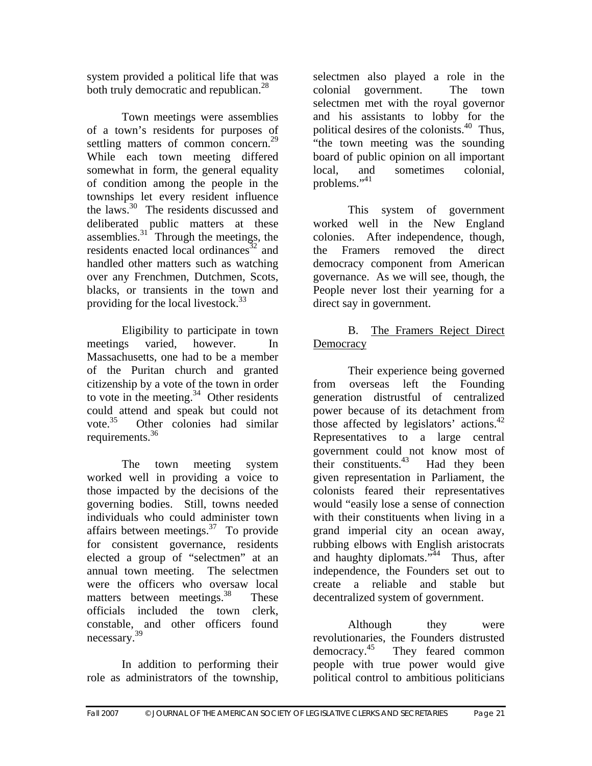system provided a political life that was both truly democratic and republican.<sup>28</sup>

Town meetings were assemblies of a town's residents for purposes of settling matters of common concern.<sup>29</sup> While each town meeting differed somewhat in form, the general equality of condition among the people in the townships let every resident influence the laws.30 The residents discussed and deliberated public matters at these assemblies. $31$  Through the meetings, the residents enacted local ordinances<sup>32</sup> and handled other matters such as watching over any Frenchmen, Dutchmen, Scots, blacks, or transients in the town and providing for the local livestock. $33$ 

Eligibility to participate in town meetings varied, however. In Massachusetts, one had to be a member of the Puritan church and granted citizenship by a vote of the town in order to vote in the meeting. $34$  Other residents could attend and speak but could not<br>vote.<sup>35</sup> Other colonies had similar Other colonies had similar requirements.36

 The town meeting system worked well in providing a voice to those impacted by the decisions of the governing bodies. Still, towns needed individuals who could administer town affairs between meetings. $37$  To provide for consistent governance, residents elected a group of "selectmen" at an annual town meeting. The selectmen were the officers who oversaw local matters between meetings.<sup>38</sup> These officials included the town clerk, constable, and other officers found necessary.39

 In addition to performing their role as administrators of the township,

selectmen also played a role in the colonial government. The town selectmen met with the royal governor and his assistants to lobby for the political desires of the colonists.<sup>40</sup> Thus, "the town meeting was the sounding board of public opinion on all important local, and sometimes colonial, problems."41

This system of government worked well in the New England colonies. After independence, though, the Framers removed the direct democracy component from American governance. As we will see, though, the People never lost their yearning for a direct say in government.

# B. The Framers Reject Direct **Democracy**

 Their experience being governed from overseas left the Founding generation distrustful of centralized power because of its detachment from those affected by legislators' actions.<sup>42</sup> Representatives to a large central government could not know most of their constituents. $^{43}$  Had they been given representation in Parliament, the colonists feared their representatives would "easily lose a sense of connection with their constituents when living in a grand imperial city an ocean away, rubbing elbows with English aristocrats and haughty diplomats."<sup>44</sup> Thus, after independence, the Founders set out to create a reliable and stable but decentralized system of government.

Although they were revolutionaries, the Founders distrusted democracy.<sup>45</sup> They feared common people with true power would give political control to ambitious politicians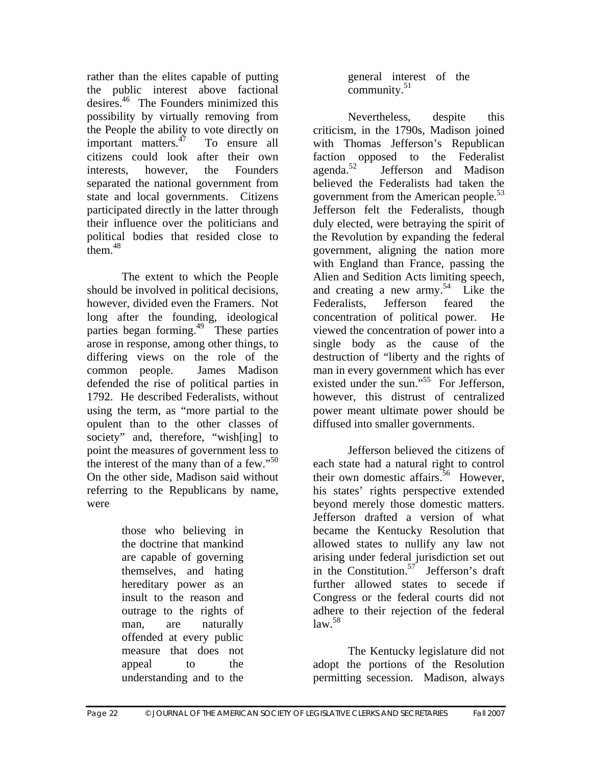rather than the elites capable of putting the public interest above factional desires.46 The Founders minimized this possibility by virtually removing from the People the ability to vote directly on important matters.<sup>47</sup> To ensure all citizens could look after their own interests, however, the Founders separated the national government from state and local governments. Citizens participated directly in the latter through their influence over the politicians and political bodies that resided close to them. $48$ 

 The extent to which the People should be involved in political decisions, however, divided even the Framers. Not long after the founding, ideological parties began forming.49 These parties arose in response, among other things, to differing views on the role of the common people. James Madison defended the rise of political parties in 1792. He described Federalists, without using the term, as "more partial to the opulent than to the other classes of society" and, therefore, "wish[ing] to point the measures of government less to the interest of the many than of a few." $50$ On the other side, Madison said without referring to the Republicans by name, were

> those who believing in the doctrine that mankind are capable of governing themselves, and hating hereditary power as an insult to the reason and outrage to the rights of man, are naturally offended at every public measure that does not appeal to the understanding and to the

general interest of the community. $51$ 

 Nevertheless, despite this criticism, in the 1790s, Madison joined with Thomas Jefferson's Republican faction opposed to the Federalist<br>agenda.<sup>52</sup> Jefferson and Madison Jefferson and Madison believed the Federalists had taken the government from the American people.<sup>53</sup> Jefferson felt the Federalists, though duly elected, were betraying the spirit of the Revolution by expanding the federal government, aligning the nation more with England than France, passing the Alien and Sedition Acts limiting speech, and creating a new army.<sup>54</sup> Like the Federalists, Jefferson feared the concentration of political power. He viewed the concentration of power into a single body as the cause of the destruction of "liberty and the rights of man in every government which has ever existed under the sun."<sup>55</sup> For Jefferson, however, this distrust of centralized power meant ultimate power should be diffused into smaller governments.

 Jefferson believed the citizens of each state had a natural right to control their own domestic affairs.<sup>56</sup> However, his states' rights perspective extended beyond merely those domestic matters. Jefferson drafted a version of what became the Kentucky Resolution that allowed states to nullify any law not arising under federal jurisdiction set out in the Constitution.<sup>57</sup> Jefferson's draft further allowed states to secede if Congress or the federal courts did not adhere to their rejection of the federal  $law.<sup>58</sup>$ 

 The Kentucky legislature did not adopt the portions of the Resolution permitting secession. Madison, always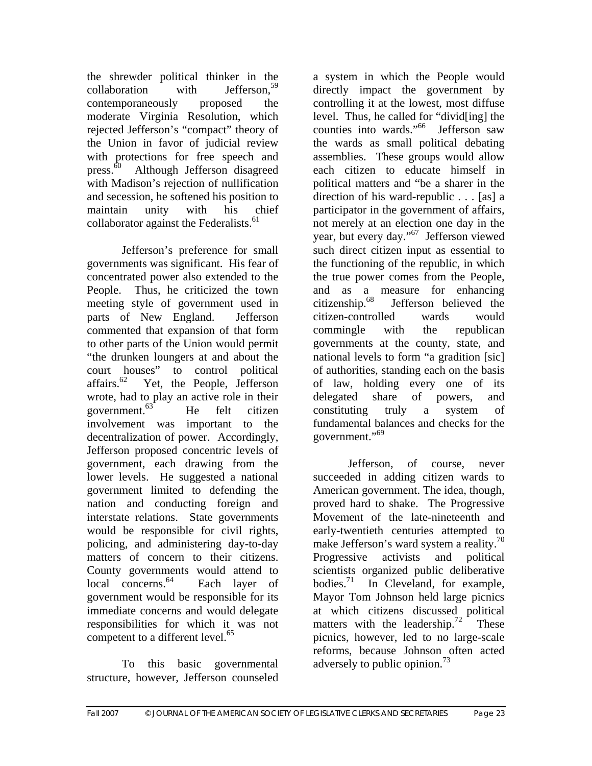the shrewder political thinker in the  $\text{collaboration}$  with Jefferson.<sup>59</sup> contemporaneously proposed the moderate Virginia Resolution, which rejected Jefferson's "compact" theory of the Union in favor of judicial review with protections for free speech and press.<sup>60</sup> Although Jefferson disagreed with Madison's rejection of nullification and secession, he softened his position to maintain unity with his chief collaborator against the Federalists.<sup>61</sup>

 Jefferson's preference for small governments was significant. His fear of concentrated power also extended to the People. Thus, he criticized the town meeting style of government used in parts of New England. Jefferson commented that expansion of that form to other parts of the Union would permit "the drunken loungers at and about the court houses" to control political affairs.<sup>62</sup> Yet, the People, Jefferson Yet, the People, Jefferson wrote, had to play an active role in their government. $63$  He felt citizen involvement was important to the decentralization of power. Accordingly, Jefferson proposed concentric levels of government, each drawing from the lower levels. He suggested a national government limited to defending the nation and conducting foreign and interstate relations. State governments would be responsible for civil rights, policing, and administering day-to-day matters of concern to their citizens. County governments would attend to local concerns.<sup>64</sup> Each layer of government would be responsible for its immediate concerns and would delegate responsibilities for which it was not competent to a different level.<sup>65</sup>

 To this basic governmental structure, however, Jefferson counseled

a system in which the People would directly impact the government by controlling it at the lowest, most diffuse level. Thus, he called for "divid[ing] the counties into wards."66 Jefferson saw the wards as small political debating assemblies. These groups would allow each citizen to educate himself in political matters and "be a sharer in the direction of his ward-republic . . . [as] a participator in the government of affairs, not merely at an election one day in the year, but every day."67 Jefferson viewed such direct citizen input as essential to the functioning of the republic, in which the true power comes from the People, and as a measure for enhancing<br>citizenship.<sup>68</sup> Jefferson believed the Jefferson believed the citizen-controlled wards would commingle with the republican governments at the county, state, and national levels to form "a gradition [sic] of authorities, standing each on the basis of law, holding every one of its delegated share of powers, and constituting truly a system of fundamental balances and checks for the government."<sup>69</sup>

 Jefferson, of course, never succeeded in adding citizen wards to American government. The idea, though, proved hard to shake. The Progressive Movement of the late-nineteenth and early-twentieth centuries attempted to make Jefferson's ward system a reality.<sup>70</sup> Progressive activists and political scientists organized public deliberative bodies. $71$  In Cleveland, for example, Mayor Tom Johnson held large picnics at which citizens discussed political matters with the leadership.<sup>72</sup> These picnics, however, led to no large-scale reforms, because Johnson often acted adversely to public opinion.<sup>73</sup>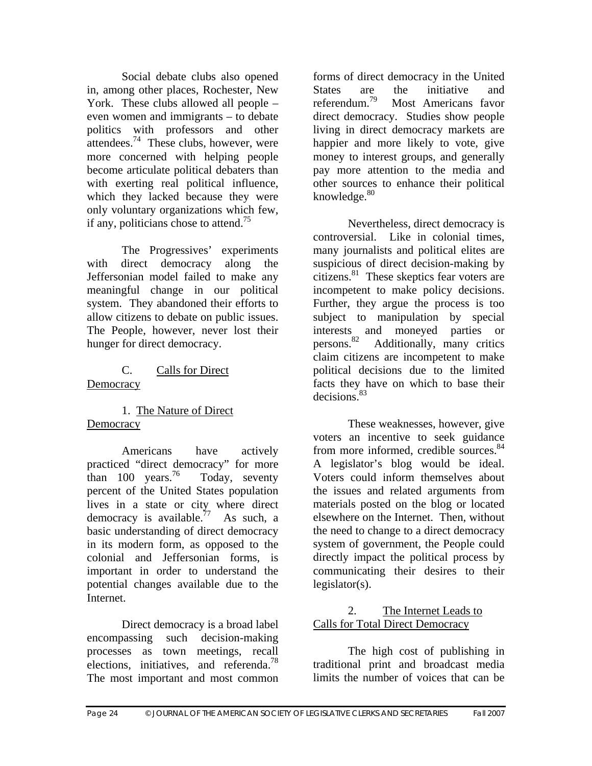Social debate clubs also opened in, among other places, Rochester, New York. These clubs allowed all people – even women and immigrants – to debate politics with professors and other attendees.<sup>74</sup> These clubs, however, were more concerned with helping people become articulate political debaters than with exerting real political influence, which they lacked because they were only voluntary organizations which few, if any, politicians chose to attend.<sup>75</sup>

 The Progressives' experiments with direct democracy along the Jeffersonian model failed to make any meaningful change in our political system. They abandoned their efforts to allow citizens to debate on public issues. The People, however, never lost their hunger for direct democracy.

#### C. Calls for Direct **Democracy**

 1. The Nature of Direct **Democracy** 

 Americans have actively practiced "direct democracy" for more than 100 years.<sup>76</sup> Today, seventy percent of the United States population lives in a state or city where direct democracy is available.<sup>77</sup> As such, a basic understanding of direct democracy in its modern form, as opposed to the colonial and Jeffersonian forms, is important in order to understand the potential changes available due to the Internet.

 Direct democracy is a broad label encompassing such decision-making processes as town meetings, recall elections, initiatives, and referenda.<sup>78</sup> The most important and most common forms of direct democracy in the United States are the initiative and referendum.<sup>79</sup> Most Americans favor Most Americans favor direct democracy. Studies show people living in direct democracy markets are happier and more likely to vote, give money to interest groups, and generally pay more attention to the media and other sources to enhance their political knowledge. $80<sup>80</sup>$ 

 Nevertheless, direct democracy is controversial. Like in colonial times, many journalists and political elites are suspicious of direct decision-making by citizens.81 These skeptics fear voters are incompetent to make policy decisions. Further, they argue the process is too subject to manipulation by special interests and moneyed parties or<br>persons.<sup>82</sup> Additionally, many critics Additionally, many critics. claim citizens are incompetent to make political decisions due to the limited facts they have on which to base their decisions.83

These weaknesses, however, give voters an incentive to seek guidance from more informed, credible sources.<sup>84</sup> A legislator's blog would be ideal. Voters could inform themselves about the issues and related arguments from materials posted on the blog or located elsewhere on the Internet. Then, without the need to change to a direct democracy system of government, the People could directly impact the political process by communicating their desires to their legislator(s).

# 2. The Internet Leads to Calls for Total Direct Democracy

 The high cost of publishing in traditional print and broadcast media limits the number of voices that can be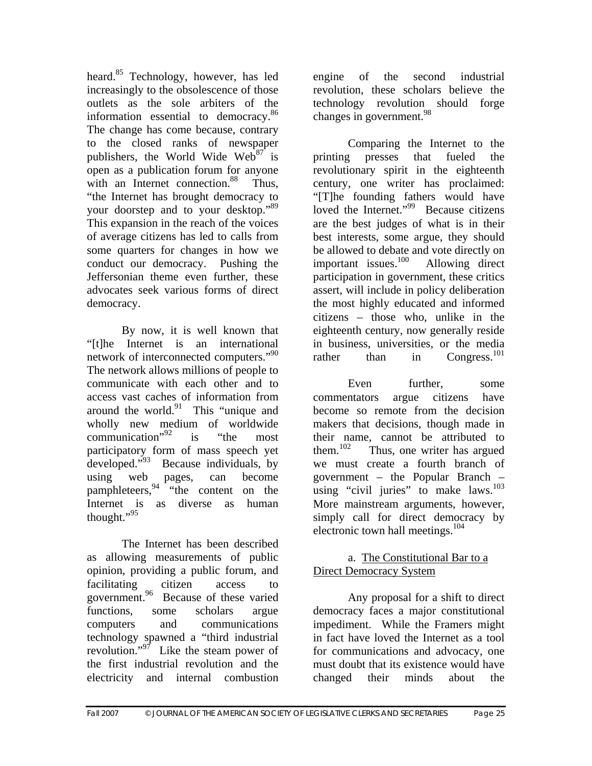heard.<sup>85</sup> Technology, however, has led increasingly to the obsolescence of those outlets as the sole arbiters of the information essential to democracy.<sup>86</sup> The change has come because, contrary to the closed ranks of newspaper publishers, the World Wide Web $87$  is open as a publication forum for anyone with an Internet connection.<sup>88</sup> Thus, "the Internet has brought democracy to your doorstep and to your desktop."89 This expansion in the reach of the voices of average citizens has led to calls from some quarters for changes in how we conduct our democracy. Pushing the Jeffersonian theme even further, these advocates seek various forms of direct democracy.

 By now, it is well known that "[t]he Internet is an international network of interconnected computers."<sup>90</sup> The network allows millions of people to communicate with each other and to access vast caches of information from around the world. $91$  This "unique and wholly new medium of worldwide communication $1^{92}$  is "the most" participatory form of mass speech yet developed."<sup>93</sup> Because individuals, by using web pages, can become pamphleteers,  $94$  "the content on the Internet is as diverse as human thought."95

 The Internet has been described as allowing measurements of public opinion, providing a public forum, and facilitating citizen access to government.<sup>96</sup> Because of these varied functions, some scholars argue computers and communications technology spawned a "third industrial revolution."<sup>97</sup> Like the steam power of the first industrial revolution and the electricity and internal combustion engine of the second industrial revolution, these scholars believe the technology revolution should forge changes in government.<sup>98</sup>

Comparing the Internet to the printing presses that fueled the revolutionary spirit in the eighteenth century, one writer has proclaimed: "[T]he founding fathers would have loved the Internet."<sup>99</sup> Because citizens are the best judges of what is in their best interests, some argue, they should be allowed to debate and vote directly on important issues.100 Allowing direct participation in government, these critics assert, will include in policy deliberation the most highly educated and informed citizens – those who, unlike in the eighteenth century, now generally reside in business, universities, or the media rather than in Congress.<sup>101</sup>

Even further, some commentators argue citizens have become so remote from the decision makers that decisions, though made in their name, cannot be attributed to<br>them.<sup>102</sup> Thus, one writer has argued Thus, one writer has argued we must create a fourth branch of government – the Popular Branch – using "civil juries" to make laws. $^{103}$ More mainstream arguments, however, simply call for direct democracy by electronic town hall meetings.<sup>104</sup>

#### a. The Constitutional Bar to a Direct Democracy System

 Any proposal for a shift to direct democracy faces a major constitutional impediment. While the Framers might in fact have loved the Internet as a tool for communications and advocacy, one must doubt that its existence would have changed their minds about the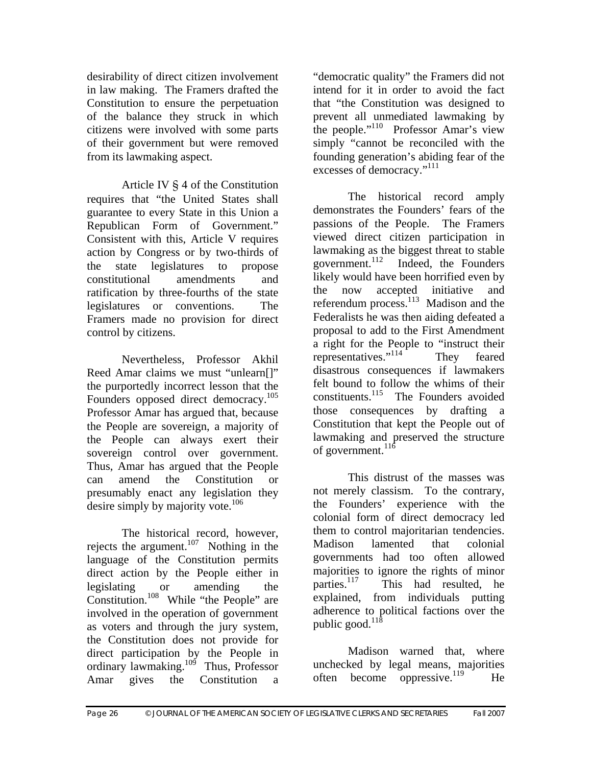desirability of direct citizen involvement in law making. The Framers drafted the Constitution to ensure the perpetuation of the balance they struck in which citizens were involved with some parts of their government but were removed from its lawmaking aspect.

 Article IV § 4 of the Constitution requires that "the United States shall guarantee to every State in this Union a Republican Form of Government." Consistent with this, Article V requires action by Congress or by two-thirds of the state legislatures to propose constitutional amendments and ratification by three-fourths of the state legislatures or conventions. The Framers made no provision for direct control by citizens.

 Nevertheless, Professor Akhil Reed Amar claims we must "unlearn[]" the purportedly incorrect lesson that the Founders opposed direct democracy.<sup>105</sup> Professor Amar has argued that, because the People are sovereign, a majority of the People can always exert their sovereign control over government. Thus, Amar has argued that the People can amend the Constitution or presumably enact any legislation they desire simply by majority vote. $106$ 

 The historical record, however, rejects the argument.<sup>107</sup> Nothing in the language of the Constitution permits direct action by the People either in legislating or amending the Constitution.<sup>108</sup> While "the People" are involved in the operation of government as voters and through the jury system, the Constitution does not provide for direct participation by the People in ordinary lawmaking.109 Thus, Professor Amar gives the Constitution a

"democratic quality" the Framers did not intend for it in order to avoid the fact that "the Constitution was designed to prevent all unmediated lawmaking by the people."<sup>110</sup> Professor Amar's view simply "cannot be reconciled with the founding generation's abiding fear of the excesses of democracy."<sup>111</sup>

The historical record amply demonstrates the Founders' fears of the passions of the People. The Framers viewed direct citizen participation in lawmaking as the biggest threat to stable government. $^{112}$  Indeed, the Founders likely would have been horrified even by the now accepted initiative and referendum process.<sup>113</sup> Madison and the Federalists he was then aiding defeated a proposal to add to the First Amendment a right for the People to "instruct their representatives."<sup>114</sup> They feared disastrous consequences if lawmakers felt bound to follow the whims of their constituents.115 The Founders avoided those consequences by drafting a Constitution that kept the People out of lawmaking and preserved the structure of government. $^{116}$ 

This distrust of the masses was not merely classism. To the contrary, the Founders' experience with the colonial form of direct democracy led them to control majoritarian tendencies. Madison lamented that colonial governments had too often allowed majorities to ignore the rights of minor<br>parties.<sup>117</sup> This had resulted. he This had resulted, he explained, from individuals putting adherence to political factions over the public good.<sup>118</sup>

Madison warned that, where unchecked by legal means, majorities often become oppressive.<sup>119</sup> He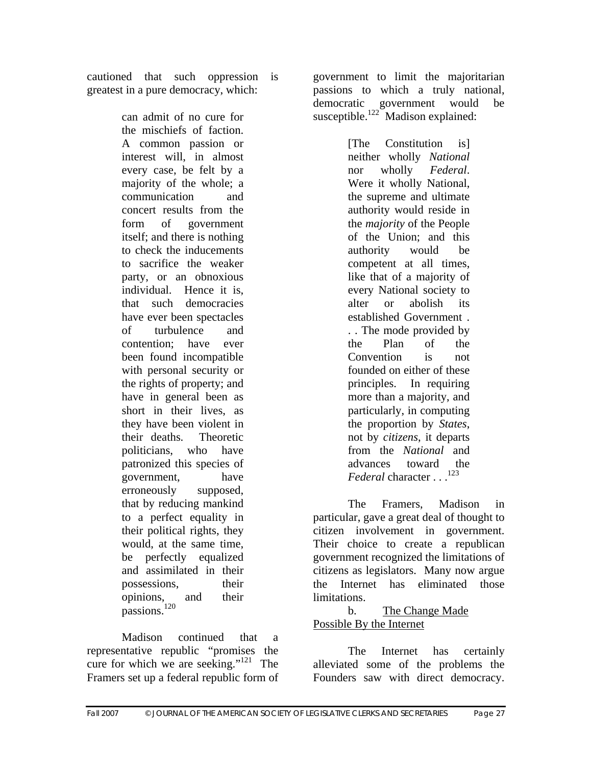cautioned that such oppression is greatest in a pure democracy, which:

> can admit of no cure for the mischiefs of faction. A common passion or interest will, in almost every case, be felt by a majority of the whole; a communication and concert results from the form of government itself; and there is nothing to check the inducements to sacrifice the weaker party, or an obnoxious individual. Hence it is, that such democracies have ever been spectacles of turbulence and contention; have ever been found incompatible with personal security or the rights of property; and have in general been as short in their lives, as they have been violent in their deaths. Theoretic politicians, who have patronized this species of government, have erroneously supposed, that by reducing mankind to a perfect equality in their political rights, they would, at the same time, be perfectly equalized and assimilated in their possessions, their opinions, and their passions.<sup>120</sup>

 Madison continued that a representative republic "promises the cure for which we are seeking."<sup>121</sup> The Framers set up a federal republic form of

government to limit the majoritarian passions to which a truly national, democratic government would be susceptible.<sup>122</sup> Madison explained:

> [The Constitution is] neither wholly *National* nor wholly *Federal*. Were it wholly National, the supreme and ultimate authority would reside in the *majority* of the People of the Union; and this authority would be competent at all times, like that of a majority of every National society to alter or abolish its established Government . . . The mode provided by the Plan of the Convention is not founded on either of these principles. In requiring more than a majority, and particularly, in computing the proportion by *States*, not by *citizens*, it departs from the *National* and advances toward the *Federal* character . . .<sup>123</sup>

 The Framers, Madison in particular, gave a great deal of thought to citizen involvement in government. Their choice to create a republican government recognized the limitations of citizens as legislators. Many now argue the Internet has eliminated those limitations.

#### b. The Change Made Possible By the Internet

 The Internet has certainly alleviated some of the problems the Founders saw with direct democracy.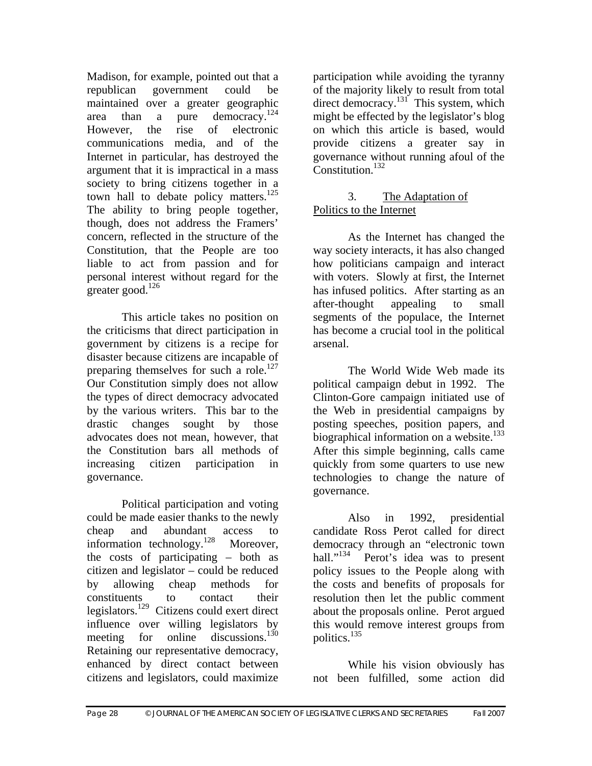Madison, for example, pointed out that a republican government could be maintained over a greater geographic area than a pure democracy.<sup>124</sup> However, the rise of electronic communications media, and of the Internet in particular, has destroyed the argument that it is impractical in a mass society to bring citizens together in a town hall to debate policy matters.<sup>125</sup> The ability to bring people together, though, does not address the Framers' concern, reflected in the structure of the Constitution, that the People are too liable to act from passion and for personal interest without regard for the greater good. $126$ 

 This article takes no position on the criticisms that direct participation in government by citizens is a recipe for disaster because citizens are incapable of preparing themselves for such a role.<sup>127</sup> Our Constitution simply does not allow the types of direct democracy advocated by the various writers. This bar to the drastic changes sought by those advocates does not mean, however, that the Constitution bars all methods of increasing citizen participation in governance.

 Political participation and voting could be made easier thanks to the newly cheap and abundant access to information technology.<sup>128</sup> Moreover, the costs of participating – both as citizen and legislator – could be reduced by allowing cheap methods for constituents to contact their legislators.129 Citizens could exert direct influence over willing legislators by meeting for online discussions.<sup>130</sup> Retaining our representative democracy, enhanced by direct contact between citizens and legislators, could maximize

participation while avoiding the tyranny of the majority likely to result from total direct democracy.<sup>131</sup> This system, which might be effected by the legislator's blog on which this article is based, would provide citizens a greater say in governance without running afoul of the Constitution.<sup>132</sup>

# 3. The Adaptation of Politics to the Internet

 As the Internet has changed the way society interacts, it has also changed how politicians campaign and interact with voters. Slowly at first, the Internet has infused politics. After starting as an after-thought appealing to small segments of the populace, the Internet has become a crucial tool in the political arsenal.

 The World Wide Web made its political campaign debut in 1992. The Clinton-Gore campaign initiated use of the Web in presidential campaigns by posting speeches, position papers, and biographical information on a website.<sup>133</sup> After this simple beginning, calls came quickly from some quarters to use new technologies to change the nature of governance.

 Also in 1992, presidential candidate Ross Perot called for direct democracy through an "electronic town hall."<sup>134</sup> Perot's idea was to present policy issues to the People along with the costs and benefits of proposals for resolution then let the public comment about the proposals online. Perot argued this would remove interest groups from politics.135

 While his vision obviously has not been fulfilled, some action did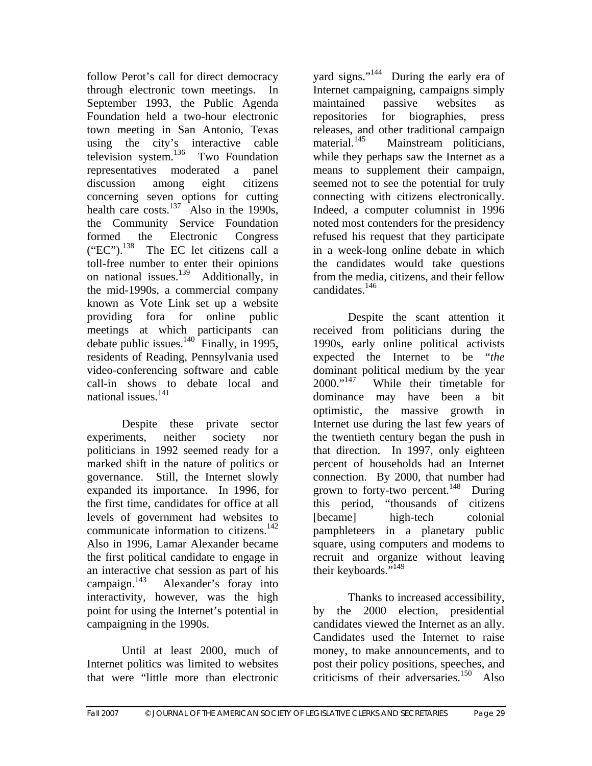follow Perot's call for direct democracy through electronic town meetings. In September 1993, the Public Agenda Foundation held a two-hour electronic town meeting in San Antonio, Texas using the city's interactive cable television system. $136$  Two Foundation representatives moderated a panel discussion among eight citizens concerning seven options for cutting health care costs.<sup>137</sup> Also in the 1990s, the Community Service Foundation formed the Electronic Congress  $("EC")$ .<sup>138</sup> The EC let citizens call a toll-free number to enter their opinions on national issues.139 Additionally, in the mid-1990s, a commercial company known as Vote Link set up a website providing fora for online public meetings at which participants can debate public issues. $^{140}$  Finally, in 1995, residents of Reading, Pennsylvania used video-conferencing software and cable call-in shows to debate local and national issues.<sup>141</sup>

 Despite these private sector experiments, neither society nor politicians in 1992 seemed ready for a marked shift in the nature of politics or governance. Still, the Internet slowly expanded its importance. In 1996, for the first time, candidates for office at all levels of government had websites to communicate information to citizens.<sup>142</sup> Also in 1996, Lamar Alexander became the first political candidate to engage in an interactive chat session as part of his campaign. $^{143}$  Alexander's foray into interactivity, however, was the high point for using the Internet's potential in campaigning in the 1990s.

 Until at least 2000, much of Internet politics was limited to websites that were "little more than electronic

yard signs."<sup>144</sup> During the early era of Internet campaigning, campaigns simply maintained passive websites as repositories for biographies, press releases, and other traditional campaign<br>material.<sup>145</sup> Mainstream politicians. Mainstream politicians, while they perhaps saw the Internet as a means to supplement their campaign, seemed not to see the potential for truly connecting with citizens electronically. Indeed, a computer columnist in 1996 noted most contenders for the presidency refused his request that they participate in a week-long online debate in which the candidates would take questions from the media, citizens, and their fellow candidates.146

 Despite the scant attention it received from politicians during the 1990s, early online political activists expected the Internet to be "*the* dominant political medium by the year 2000."147 While their timetable for dominance may have been a bit optimistic, the massive growth in Internet use during the last few years of the twentieth century began the push in that direction. In 1997, only eighteen percent of households had an Internet connection. By 2000, that number had grown to forty-two percent.<sup>148</sup> During this period, "thousands of citizens [became] high-tech colonial pamphleteers in a planetary public square, using computers and modems to recruit and organize without leaving their keyboards."<sup>149</sup>

 Thanks to increased accessibility, by the 2000 election, presidential candidates viewed the Internet as an ally. Candidates used the Internet to raise money, to make announcements, and to post their policy positions, speeches, and criticisms of their adversaries.150 Also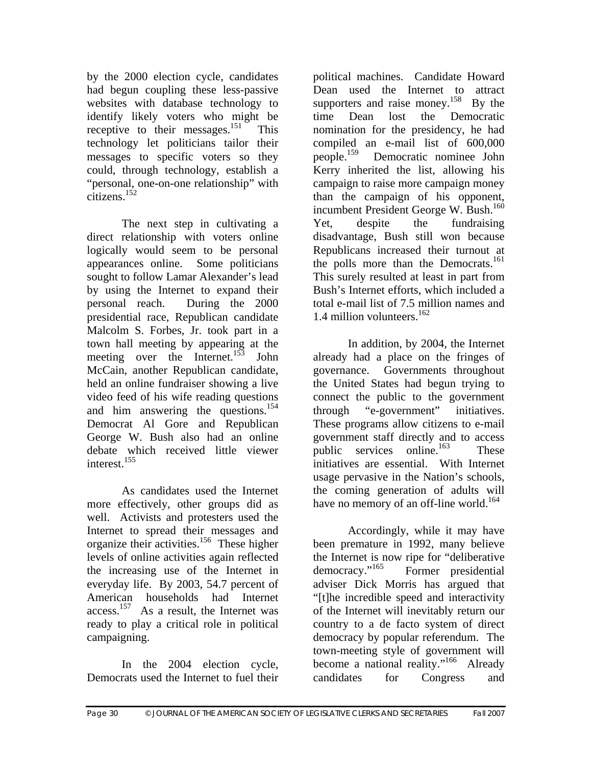by the 2000 election cycle, candidates had begun coupling these less-passive websites with database technology to identify likely voters who might be receptive to their messages.<sup>151</sup> This technology let politicians tailor their messages to specific voters so they could, through technology, establish a "personal, one-on-one relationship" with citizens.152

The next step in cultivating a direct relationship with voters online logically would seem to be personal appearances online. Some politicians sought to follow Lamar Alexander's lead by using the Internet to expand their personal reach. During the 2000 presidential race, Republican candidate Malcolm S. Forbes, Jr. took part in a town hall meeting by appearing at the meeting over the Internet.<sup>153</sup> John McCain, another Republican candidate, held an online fundraiser showing a live video feed of his wife reading questions and him answering the questions.<sup>154</sup> Democrat Al Gore and Republican George W. Bush also had an online debate which received little viewer interest.<sup>155</sup>

 As candidates used the Internet more effectively, other groups did as well. Activists and protesters used the Internet to spread their messages and organize their activities.156 These higher levels of online activities again reflected the increasing use of the Internet in everyday life. By 2003, 54.7 percent of American households had Internet access.157 As a result, the Internet was ready to play a critical role in political campaigning.

 In the 2004 election cycle, Democrats used the Internet to fuel their

political machines. Candidate Howard Dean used the Internet to attract supporters and raise money.<sup>158</sup> By the time Dean lost the Democratic nomination for the presidency, he had compiled an e-mail list of 600,000 people.159 Democratic nominee John Kerry inherited the list, allowing his campaign to raise more campaign money than the campaign of his opponent, incumbent President George W. Bush.<sup>160</sup> Yet, despite the fundraising disadvantage, Bush still won because Republicans increased their turnout at the polls more than the Democrats.<sup>161</sup> This surely resulted at least in part from Bush's Internet efforts, which included a total e-mail list of 7.5 million names and 1.4 million volunteers.<sup>162</sup>

 In addition, by 2004, the Internet already had a place on the fringes of governance. Governments throughout the United States had begun trying to connect the public to the government through "e-government" initiatives. These programs allow citizens to e-mail government staff directly and to access public services online.<sup>163</sup> These initiatives are essential. With Internet usage pervasive in the Nation's schools, the coming generation of adults will have no memory of an off-line world.<sup>164</sup>

 Accordingly, while it may have been premature in 1992, many believe the Internet is now ripe for "deliberative democracy."<sup>165</sup> Former presidential adviser Dick Morris has argued that "[t]he incredible speed and interactivity of the Internet will inevitably return our country to a de facto system of direct democracy by popular referendum. The town-meeting style of government will become a national reality."<sup>166</sup> Already candidates for Congress and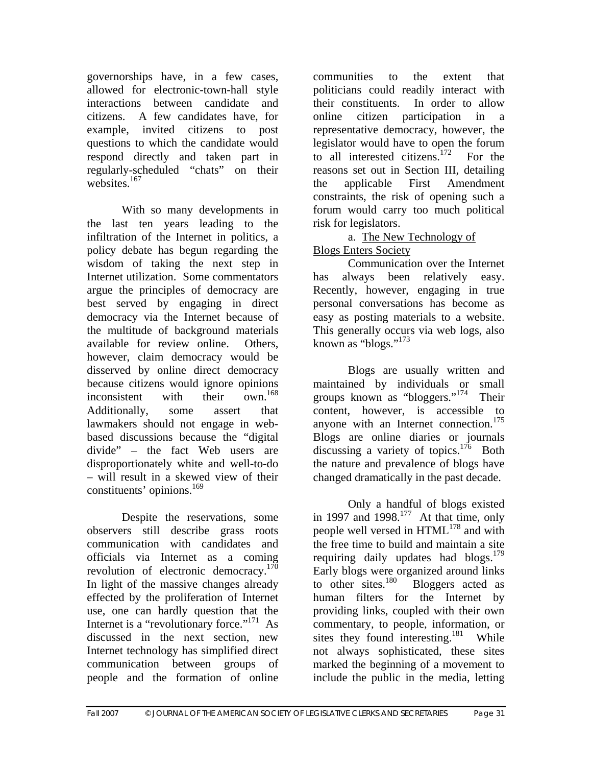governorships have, in a few cases, allowed for electronic-town-hall style interactions between candidate and citizens. A few candidates have, for example, invited citizens to post questions to which the candidate would respond directly and taken part in regularly-scheduled "chats" on their websites.<sup>167</sup>

 With so many developments in the last ten years leading to the infiltration of the Internet in politics, a policy debate has begun regarding the wisdom of taking the next step in Internet utilization. Some commentators argue the principles of democracy are best served by engaging in direct democracy via the Internet because of the multitude of background materials available for review online. Others, however, claim democracy would be disserved by online direct democracy because citizens would ignore opinions<br>inconsistent with their own <sup>168</sup> inconsistent with their Additionally, some assert that lawmakers should not engage in webbased discussions because the "digital divide" – the fact Web users are disproportionately white and well-to-do – will result in a skewed view of their constituents' opinions.<sup>169</sup>

 Despite the reservations, some observers still describe grass roots communication with candidates and officials via Internet as a coming revolution of electronic democracy.<sup>170</sup> In light of the massive changes already effected by the proliferation of Internet use, one can hardly question that the Internet is a "revolutionary force."<sup>171</sup> As discussed in the next section, new Internet technology has simplified direct communication between groups of people and the formation of online

communities to the extent that politicians could readily interact with their constituents. In order to allow online citizen participation in a representative democracy, however, the legislator would have to open the forum to all interested citizens.<sup>172</sup> For the reasons set out in Section III, detailing the applicable First Amendment constraints, the risk of opening such a forum would carry too much political risk for legislators.

 a. The New Technology of Blogs Enters Society

 Communication over the Internet has always been relatively easy. Recently, however, engaging in true personal conversations has become as easy as posting materials to a website. This generally occurs via web logs, also known as "blogs."<sup>173</sup>

 Blogs are usually written and maintained by individuals or small groups known as "bloggers."<sup>174</sup> Their content, however, is accessible to anyone with an Internet connection.<sup>175</sup> Blogs are online diaries or journals discussing a variety of topics.<sup>176</sup> Both the nature and prevalence of blogs have changed dramatically in the past decade.

 Only a handful of blogs existed in 1997 and 1998.<sup>177</sup> At that time, only people well versed in  $HTML^{178}$  and with the free time to build and maintain a site requiring daily updates had blogs. $179$ Early blogs were organized around links<br>to other sites.<sup>180</sup> Bloggers acted as Bloggers acted as human filters for the Internet by providing links, coupled with their own commentary, to people, information, or sites they found interesting. $181$  While not always sophisticated, these sites marked the beginning of a movement to include the public in the media, letting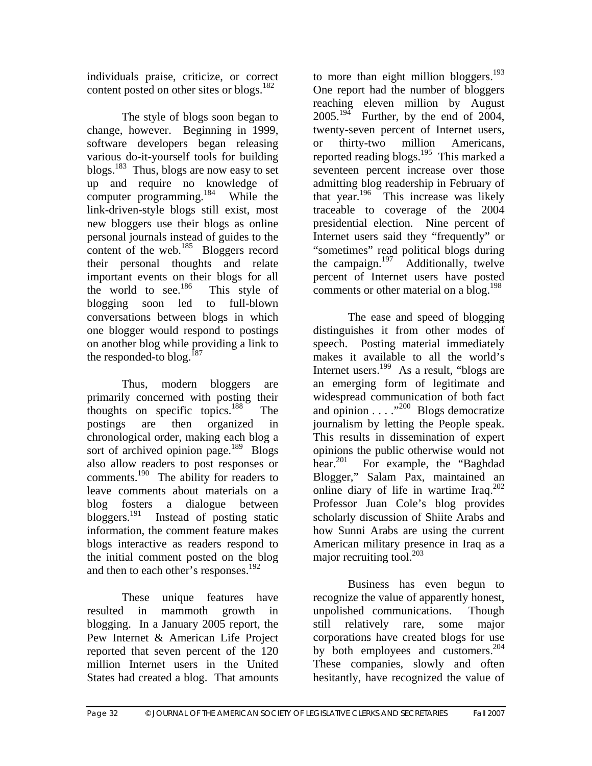individuals praise, criticize, or correct content posted on other sites or blogs.<sup>182</sup>

 The style of blogs soon began to change, however. Beginning in 1999, software developers began releasing various do-it-yourself tools for building blogs.<sup>183</sup> Thus, blogs are now easy to set up and require no knowledge of computer programming.<sup>184</sup> While the link-driven-style blogs still exist, most new bloggers use their blogs as online personal journals instead of guides to the content of the web. $^{185}$  Bloggers record their personal thoughts and relate important events on their blogs for all the world to see. $186$  This style of blogging soon led to full-blown conversations between blogs in which one blogger would respond to postings on another blog while providing a link to the responded-to blog.<sup>187</sup>

 Thus, modern bloggers are primarily concerned with posting their thoughts on specific topics. $188$  The postings are then organized in chronological order, making each blog a sort of archived opinion page. $189$  Blogs also allow readers to post responses or comments.<sup>190</sup> The ability for readers to leave comments about materials on a blog fosters a dialogue between bloggers.<sup>191</sup> Instead of posting static information, the comment feature makes blogs interactive as readers respond to the initial comment posted on the blog and then to each other's responses.<sup>192</sup>

 These unique features have resulted in mammoth growth in blogging. In a January 2005 report, the Pew Internet & American Life Project reported that seven percent of the 120 million Internet users in the United States had created a blog. That amounts

to more than eight million bloggers.<sup>193</sup> One report had the number of bloggers reaching eleven million by August  $2005.<sup>194</sup>$  Further, by the end of 2004, twenty-seven percent of Internet users, or thirty-two million Americans, reported reading blogs.<sup>195</sup> This marked a seventeen percent increase over those admitting blog readership in February of that year. $196$  This increase was likely traceable to coverage of the 2004 presidential election. Nine percent of Internet users said they "frequently" or "sometimes" read political blogs during the campaign.<sup>197</sup> Additionally, twelve percent of Internet users have posted comments or other material on a blog.<sup>198</sup>

 The ease and speed of blogging distinguishes it from other modes of speech. Posting material immediately makes it available to all the world's Internet users.<sup>199</sup> As a result, "blogs are an emerging form of legitimate and widespread communication of both fact and opinion . . . ."200 Blogs democratize journalism by letting the People speak. This results in dissemination of expert opinions the public otherwise would not hear.<sup>201</sup> For example, the "Baghdad" Blogger," Salam Pax, maintained an online diary of life in wartime Iraq.<sup>202</sup> Professor Juan Cole's blog provides scholarly discussion of Shiite Arabs and how Sunni Arabs are using the current American military presence in Iraq as a major recruiting tool. $^{203}$ 

 Business has even begun to recognize the value of apparently honest, unpolished communications. Though still relatively rare, some major corporations have created blogs for use by both employees and customers.<sup>204</sup> These companies, slowly and often hesitantly, have recognized the value of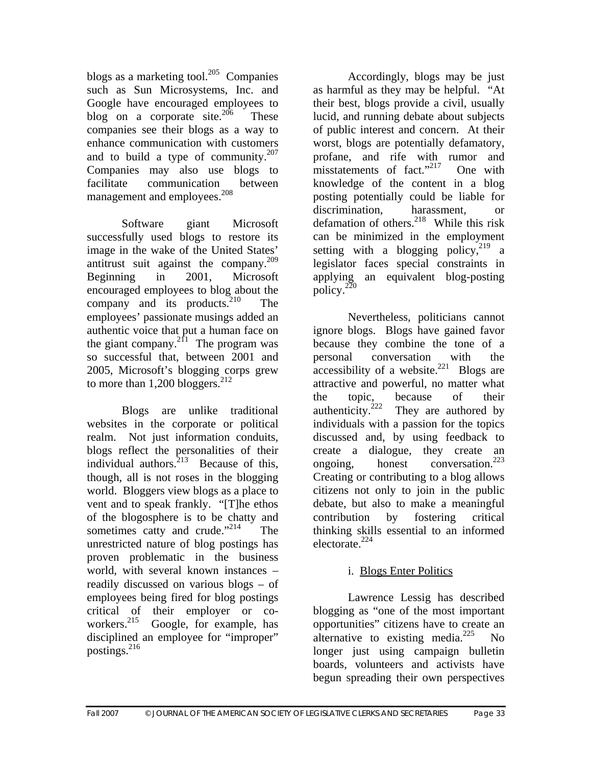blogs as a marketing tool.<sup>205</sup> Companies such as Sun Microsystems, Inc. and Google have encouraged employees to blog on a corporate site.<sup>206</sup> These companies see their blogs as a way to enhance communication with customers and to build a type of community.<sup>207</sup> Companies may also use blogs to facilitate communication between management and employees.<sup>208</sup>

 Software giant Microsoft successfully used blogs to restore its image in the wake of the United States' antitrust suit against the company.209 Beginning in 2001, Microsoft encouraged employees to blog about the company and its products. $2^{10}$  The employees' passionate musings added an authentic voice that put a human face on the giant company.<sup>211</sup> The program was so successful that, between 2001 and 2005, Microsoft's blogging corps grew to more than  $1,200$  bloggers.<sup>212</sup>

 Blogs are unlike traditional websites in the corporate or political realm. Not just information conduits, blogs reflect the personalities of their individual authors.<sup>213</sup> Because of this, though, all is not roses in the blogging world. Bloggers view blogs as a place to vent and to speak frankly. "[T]he ethos of the blogosphere is to be chatty and sometimes catty and crude."<sup>214</sup> The unrestricted nature of blog postings has proven problematic in the business world, with several known instances – readily discussed on various blogs – of employees being fired for blog postings critical of their employer or co-<br>workers.<sup>215</sup> Google for example has Google, for example, has disciplined an employee for "improper" postings.216

 Accordingly, blogs may be just as harmful as they may be helpful. "At their best, blogs provide a civil, usually lucid, and running debate about subjects of public interest and concern. At their worst, blogs are potentially defamatory, profane, and rife with rumor and misstatements of fact."<sup>217</sup> One with knowledge of the content in a blog posting potentially could be liable for discrimination, harassment, or defamation of others.<sup>218</sup> While this risk can be minimized in the employment setting with a blogging policy,  $2^{19}$  a legislator faces special constraints in applying an equivalent blog-posting policy.<sup>220</sup>

 Nevertheless, politicians cannot ignore blogs. Blogs have gained favor because they combine the tone of a personal conversation with the  $\arccos[2]$  accessibility of a website.<sup>221</sup> Blogs are attractive and powerful, no matter what the topic, because of their<br>authenticity.<sup>222</sup> They are authored by They are authored by individuals with a passion for the topics discussed and, by using feedback to create a dialogue, they create an ongoing, honest conversation.<sup>223</sup> Creating or contributing to a blog allows citizens not only to join in the public debate, but also to make a meaningful contribution by fostering critical thinking skills essential to an informed electorate.<sup>224</sup>

# i. Blogs Enter Politics

Lawrence Lessig has described blogging as "one of the most important opportunities" citizens have to create an alternative to existing media. $^{225}$  No longer just using campaign bulletin boards, volunteers and activists have begun spreading their own perspectives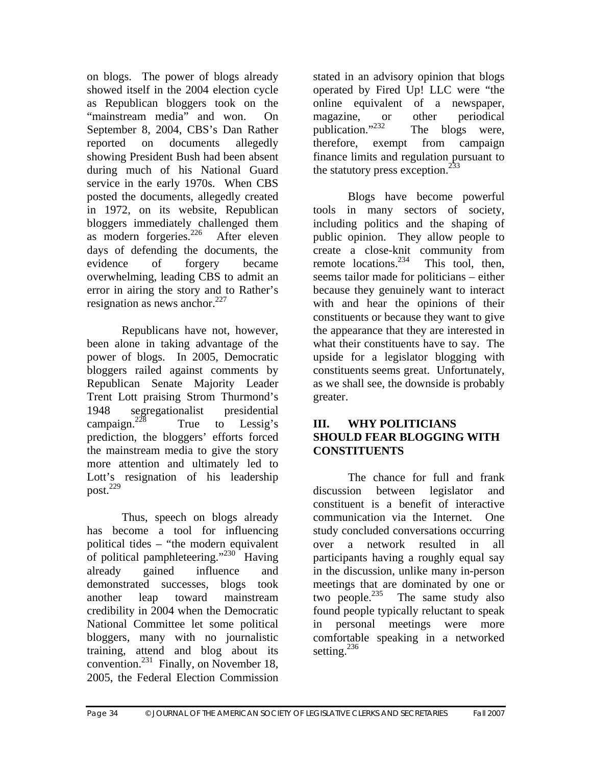on blogs. The power of blogs already showed itself in the 2004 election cycle as Republican bloggers took on the "mainstream media" and won. On September 8, 2004, CBS's Dan Rather reported on documents allegedly showing President Bush had been absent during much of his National Guard service in the early 1970s. When CBS posted the documents, allegedly created in 1972, on its website, Republican bloggers immediately challenged them as modern forgeries.<sup>226</sup> After eleven days of defending the documents, the evidence of forgery became overwhelming, leading CBS to admit an error in airing the story and to Rather's resignation as news anchor. $227$ 

Republicans have not, however, been alone in taking advantage of the power of blogs. In 2005, Democratic bloggers railed against comments by Republican Senate Majority Leader Trent Lott praising Strom Thurmond's 1948 segregationalist presidential campaign.<sup>228</sup> True to Lessig's prediction, the bloggers' efforts forced the mainstream media to give the story more attention and ultimately led to Lott's resignation of his leadership post. $^{229}$ 

Thus, speech on blogs already has become a tool for influencing political tides – "the modern equivalent of political pamphleteering."<sup>230</sup> Having already gained influence and demonstrated successes, blogs took another leap toward mainstream credibility in 2004 when the Democratic National Committee let some political bloggers, many with no journalistic training, attend and blog about its convention.<sup>231</sup> Finally, on November 18, 2005, the Federal Election Commission

stated in an advisory opinion that blogs operated by Fired Up! LLC were "the online equivalent of a newspaper, magazine, or other periodical<br>publication."<sup>232</sup> The blogs were. The blogs were, therefore, exempt from campaign finance limits and regulation pursuant to the statutory press exception. $^{233}$ 

Blogs have become powerful tools in many sectors of society, including politics and the shaping of public opinion. They allow people to create a close-knit community from remote locations. $^{234}$  This tool, then, seems tailor made for politicians – either because they genuinely want to interact with and hear the opinions of their constituents or because they want to give the appearance that they are interested in what their constituents have to say. The upside for a legislator blogging with constituents seems great. Unfortunately, as we shall see, the downside is probably greater.

#### **III. WHY POLITICIANS SHOULD FEAR BLOGGING WITH CONSTITUENTS**

 The chance for full and frank discussion between legislator and constituent is a benefit of interactive communication via the Internet. One study concluded conversations occurring over a network resulted in all participants having a roughly equal say in the discussion, unlike many in-person meetings that are dominated by one or two people. $^{235}$  The same study also found people typically reluctant to speak in personal meetings were more comfortable speaking in a networked setting.<sup>236</sup>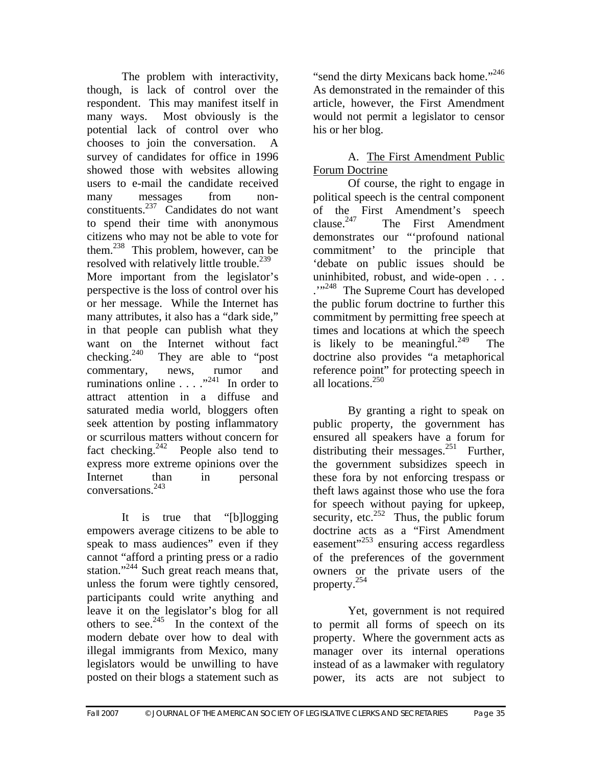The problem with interactivity, though, is lack of control over the respondent. This may manifest itself in many ways. Most obviously is the potential lack of control over who chooses to join the conversation. A survey of candidates for office in 1996 showed those with websites allowing users to e-mail the candidate received many messages from nonconstituents.237 Candidates do not want to spend their time with anonymous citizens who may not be able to vote for them.238 This problem, however, can be resolved with relatively little trouble.<sup>239</sup> More important from the legislator's perspective is the loss of control over his or her message. While the Internet has many attributes, it also has a "dark side," in that people can publish what they want on the Internet without fact checking.<sup>240</sup> They are able to "post" commentary, news, rumor and ruminations online  $\ldots$   $\ldots$ <sup>241</sup> In order to attract attention in a diffuse and saturated media world, bloggers often seek attention by posting inflammatory or scurrilous matters without concern for fact checking.<sup>242</sup> People also tend to express more extreme opinions over the Internet than in personal conversations.243

 It is true that "[b]logging empowers average citizens to be able to speak to mass audiences" even if they cannot "afford a printing press or a radio station."<sup>244</sup> Such great reach means that, unless the forum were tightly censored, participants could write anything and leave it on the legislator's blog for all others to see.<sup>245</sup> In the context of the modern debate over how to deal with illegal immigrants from Mexico, many legislators would be unwilling to have posted on their blogs a statement such as

"send the dirty Mexicans back home."<sup>246</sup> As demonstrated in the remainder of this article, however, the First Amendment would not permit a legislator to censor his or her blog.

### A. The First Amendment Public Forum Doctrine

 Of course, the right to engage in political speech is the central component of the First Amendment's speech<br>clause.<sup>247</sup> The First Amendment The First Amendment demonstrates our "'profound national commitment' to the principle that 'debate on public issues should be uninhibited, robust, and wide-open . . . ...<sup>248</sup> The Supreme Court has developed the public forum doctrine to further this commitment by permitting free speech at times and locations at which the speech is likely to be meaningful.<sup>249</sup> The doctrine also provides "a metaphorical reference point" for protecting speech in all locations.<sup>250</sup>

 By granting a right to speak on public property, the government has ensured all speakers have a forum for distributing their messages.<sup>251</sup> Further, the government subsidizes speech in these fora by not enforcing trespass or theft laws against those who use the fora for speech without paying for upkeep, security, etc.<sup>252</sup> Thus, the public forum doctrine acts as a "First Amendment easement"<sup>253</sup> ensuring access regardless of the preferences of the government owners or the private users of the property.254

 Yet, government is not required to permit all forms of speech on its property. Where the government acts as manager over its internal operations instead of as a lawmaker with regulatory power, its acts are not subject to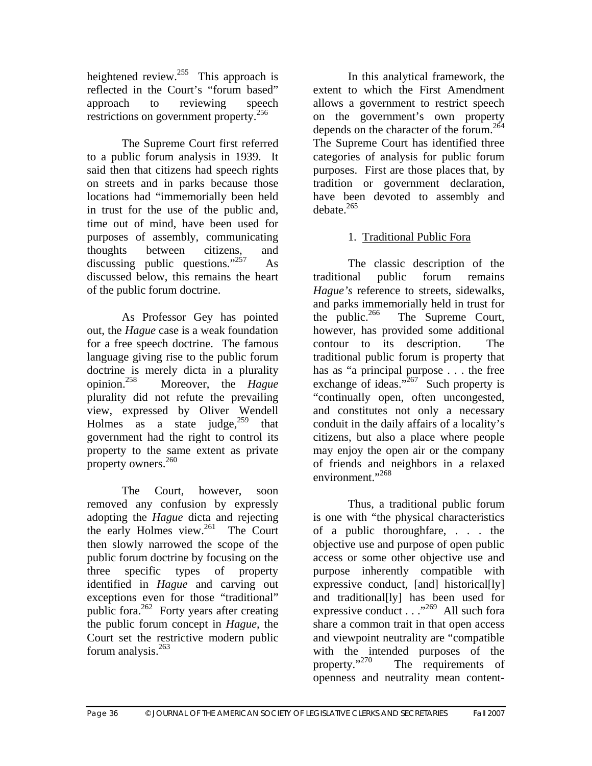heightened review.<sup>255</sup> This approach is reflected in the Court's "forum based" approach to reviewing speech restrictions on government property.<sup>256</sup>

 The Supreme Court first referred to a public forum analysis in 1939. It said then that citizens had speech rights on streets and in parks because those locations had "immemorially been held in trust for the use of the public and, time out of mind, have been used for purposes of assembly, communicating thoughts between citizens, and discussing public questions." $257$  As discussed below, this remains the heart of the public forum doctrine.

 As Professor Gey has pointed out, the *Hague* case is a weak foundation for a free speech doctrine. The famous language giving rise to the public forum doctrine is merely dicta in a plurality<br>opinion.<sup>258</sup> Moreover, the *Hague* Moreover, the *Hague* plurality did not refute the prevailing view, expressed by Oliver Wendell Holmes as a state judge,  $259$  that government had the right to control its property to the same extent as private property owners. $260$ 

The Court, however, soon removed any confusion by expressly adopting the *Hague* dicta and rejecting the early Holmes view.<sup>261</sup> The Court then slowly narrowed the scope of the public forum doctrine by focusing on the three specific types of property identified in *Hague* and carving out exceptions even for those "traditional" public fora. $262$  Forty years after creating the public forum concept in *Hague*, the Court set the restrictive modern public forum analysis. $263$ 

 In this analytical framework, the extent to which the First Amendment allows a government to restrict speech on the government's own property depends on the character of the forum.<sup>264</sup> The Supreme Court has identified three categories of analysis for public forum purposes. First are those places that, by tradition or government declaration, have been devoted to assembly and  $dehate$ <sup>265</sup>

## 1. Traditional Public Fora

 The classic description of the traditional public forum remains *Hague's* reference to streets, sidewalks, and parks immemorially held in trust for<br>the public.<sup>266</sup> The Supreme Court, The Supreme Court, however, has provided some additional contour to its description. The traditional public forum is property that has as "a principal purpose . . . the free exchange of ideas." $^{267}$  Such property is "continually open, often uncongested, and constitutes not only a necessary conduit in the daily affairs of a locality's citizens, but also a place where people may enjoy the open air or the company of friends and neighbors in a relaxed environment."<sup>268</sup>

Thus, a traditional public forum is one with "the physical characteristics of a public thoroughfare, . . . the objective use and purpose of open public access or some other objective use and purpose inherently compatible with expressive conduct, [and] historical[ly] and traditional[ly] has been used for expressive conduct  $\ldots$ <sup>269</sup> All such fora share a common trait in that open access and viewpoint neutrality are "compatible with the intended purposes of the property." $270$  The requirements of The requirements of openness and neutrality mean content-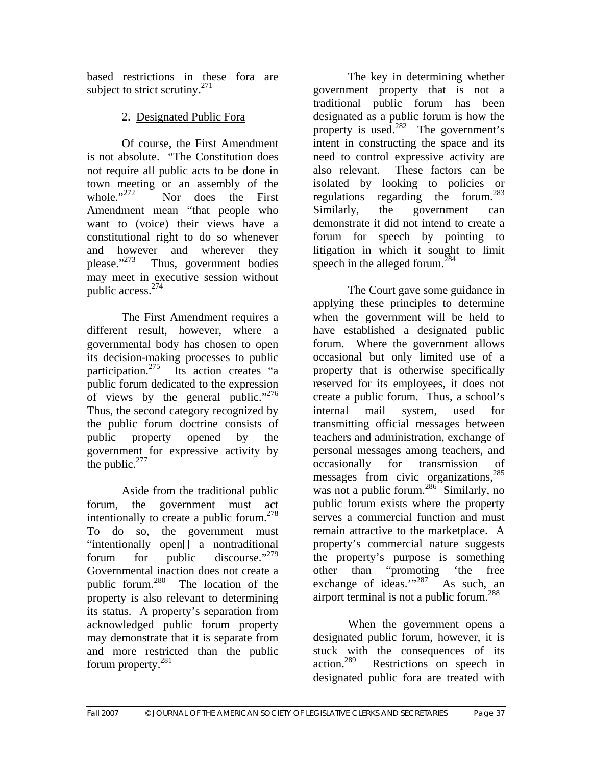based restrictions in these fora are subject to strict scrutiny.<sup>271</sup>

# 2. Designated Public Fora

Of course, the First Amendment is not absolute. "The Constitution does not require all public acts to be done in town meeting or an assembly of the<br>whole."<sup>272</sup> Nor does the First Nor does the First Amendment mean "that people who want to (voice) their views have a constitutional right to do so whenever and however and wherever they<br>please. $n^{273}$  Thus, government bodies Thus, government bodies may meet in executive session without public access.274

The First Amendment requires a different result, however, where a governmental body has chosen to open its decision-making processes to public participation.<sup>275</sup> Its action creates "a public forum dedicated to the expression of views by the general public."<sup>276</sup> Thus, the second category recognized by the public forum doctrine consists of public property opened by the government for expressive activity by the public. $277$ 

Aside from the traditional public forum, the government must act intentionally to create a public forum.<sup>278</sup> To do so, the government must "intentionally open[] a nontraditional forum for public discourse."<sup>279</sup> Governmental inaction does not create a public forum. $^{280}$  The location of the property is also relevant to determining its status. A property's separation from acknowledged public forum property may demonstrate that it is separate from and more restricted than the public forum property.281

The key in determining whether government property that is not a traditional public forum has been designated as a public forum is how the property is used.<sup>282</sup> The government's intent in constructing the space and its need to control expressive activity are also relevant. These factors can be isolated by looking to policies or regulations regarding the forum.<sup>283</sup> Similarly, the government can demonstrate it did not intend to create a forum for speech by pointing to litigation in which it sought to limit speech in the alleged forum.<sup>284</sup>

The Court gave some guidance in applying these principles to determine when the government will be held to have established a designated public forum. Where the government allows occasional but only limited use of a property that is otherwise specifically reserved for its employees, it does not create a public forum. Thus, a school's internal mail system, used for transmitting official messages between teachers and administration, exchange of personal messages among teachers, and occasionally for transmission of messages from civic organizations, $285$ was not a public forum.<sup>286</sup> Similarly, no public forum exists where the property serves a commercial function and must remain attractive to the marketplace. A property's commercial nature suggests the property's purpose is something other than "promoting 'the free exchange of ideas." $287$  As such, an airport terminal is not a public forum.<sup>288</sup>

When the government opens a designated public forum, however, it is stuck with the consequences of its action.289 Restrictions on speech in designated public fora are treated with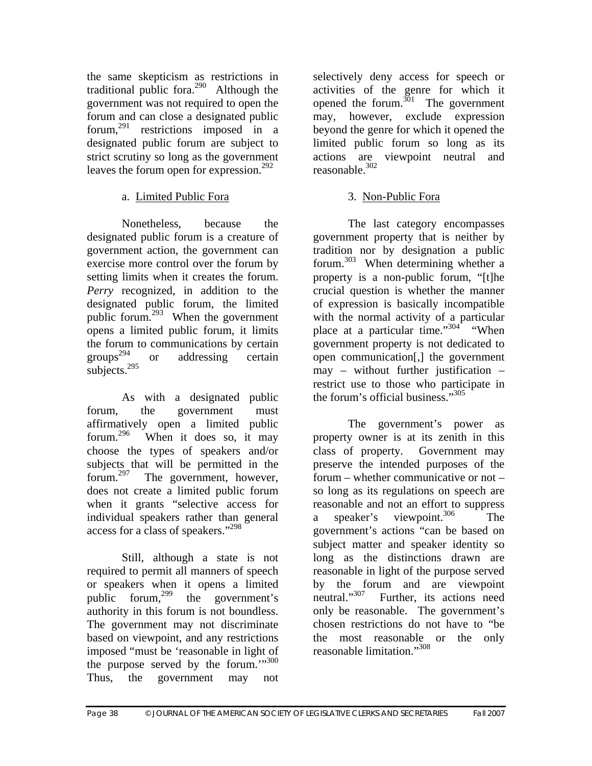the same skepticism as restrictions in traditional public fora. $290$  Although the government was not required to open the forum and can close a designated public forum,  $291$  restrictions imposed in a designated public forum are subject to strict scrutiny so long as the government leaves the forum open for expression.<sup>292</sup>

## a. Limited Public Fora

Nonetheless, because the designated public forum is a creature of government action, the government can exercise more control over the forum by setting limits when it creates the forum. *Perry* recognized, in addition to the designated public forum, the limited public forum.293 When the government opens a limited public forum, it limits the forum to communications by certain groups<sup>294</sup> or addressing certain subjects. $^{295}$ 

As with a designated public forum, the government must affirmatively open a limited public forum.<sup>296</sup> When it does so. it may When it does so, it may choose the types of speakers and/or subjects that will be permitted in the forum.297 The government, however, does not create a limited public forum when it grants "selective access for individual speakers rather than general access for a class of speakers."298

Still, although a state is not required to permit all manners of speech or speakers when it opens a limited public forum,<sup>299</sup> the government's authority in this forum is not boundless. The government may not discriminate based on viewpoint, and any restrictions imposed "must be 'reasonable in light of the purpose served by the forum. $\cdots^{300}$ Thus, the government may not

selectively deny access for speech or activities of the genre for which it opened the forum.<sup>301</sup> The government may, however, exclude expression beyond the genre for which it opened the limited public forum so long as its actions are viewpoint neutral and reasonable.<sup>302</sup>

## 3. Non-Public Fora

The last category encompasses government property that is neither by tradition nor by designation a public forum.303 When determining whether a property is a non-public forum, "[t]he crucial question is whether the manner of expression is basically incompatible with the normal activity of a particular place at a particular time."<sup>304</sup> "When government property is not dedicated to open communication[,] the government may – without further justification – restrict use to those who participate in the forum's official business."305

The government's power as property owner is at its zenith in this class of property. Government may preserve the intended purposes of the forum – whether communicative or not – so long as its regulations on speech are reasonable and not an effort to suppress a speaker's viewpoint.<sup>306</sup> The government's actions "can be based on subject matter and speaker identity so long as the distinctions drawn are reasonable in light of the purpose served by the forum and are viewpoint<br>neutral."<sup>307</sup> Further, its actions need Further, its actions need only be reasonable. The government's chosen restrictions do not have to "be the most reasonable or the only reasonable limitation."308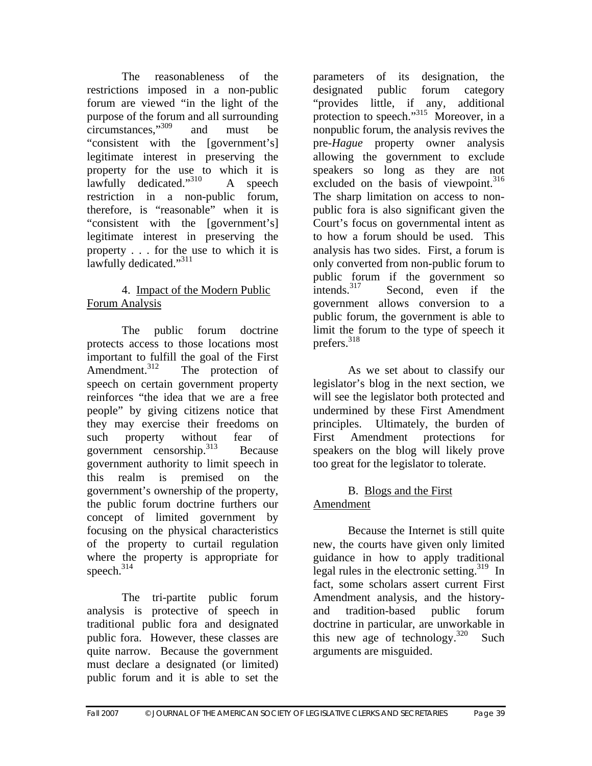The reasonableness of the restrictions imposed in a non-public forum are viewed "in the light of the purpose of the forum and all surrounding circumstances,"309 and must be "consistent with the [government's] legitimate interest in preserving the property for the use to which it is lawfully dedicated." $310$  A speech restriction in a non-public forum, therefore, is "reasonable" when it is "consistent with the [government's] legitimate interest in preserving the property . . . for the use to which it is lawfully dedicated."311

### 4. Impact of the Modern Public Forum Analysis

The public forum doctrine protects access to those locations most important to fulfill the goal of the First<br>Amendment.<sup>312</sup> The protection of The protection of speech on certain government property reinforces "the idea that we are a free people" by giving citizens notice that they may exercise their freedoms on such property without fear of government censorship.<sup>313</sup> Because government authority to limit speech in this realm is premised on the government's ownership of the property, the public forum doctrine furthers our concept of limited government by focusing on the physical characteristics of the property to curtail regulation where the property is appropriate for speech.<sup>314</sup>

The tri-partite public forum analysis is protective of speech in traditional public fora and designated public fora. However, these classes are quite narrow. Because the government must declare a designated (or limited) public forum and it is able to set the

parameters of its designation, the designated public forum category "provides little, if any, additional protection to speech."<sup>315</sup> Moreover, in a nonpublic forum, the analysis revives the pre-*Hague* property owner analysis allowing the government to exclude speakers so long as they are not excluded on the basis of viewpoint. $316$ The sharp limitation on access to nonpublic fora is also significant given the Court's focus on governmental intent as to how a forum should be used. This analysis has two sides. First, a forum is only converted from non-public forum to public forum if the government so<br>intends.<sup>317</sup> Second, even if the Second, even if the government allows conversion to a public forum, the government is able to limit the forum to the type of speech it prefers.318

As we set about to classify our legislator's blog in the next section, we will see the legislator both protected and undermined by these First Amendment principles. Ultimately, the burden of First Amendment protections for speakers on the blog will likely prove too great for the legislator to tolerate.

## B. Blogs and the First Amendment

Because the Internet is still quite new, the courts have given only limited guidance in how to apply traditional legal rules in the electronic setting.<sup>319</sup> In fact, some scholars assert current First Amendment analysis, and the historyand tradition-based public forum doctrine in particular, are unworkable in this new age of technology.<sup>320</sup> Such arguments are misguided.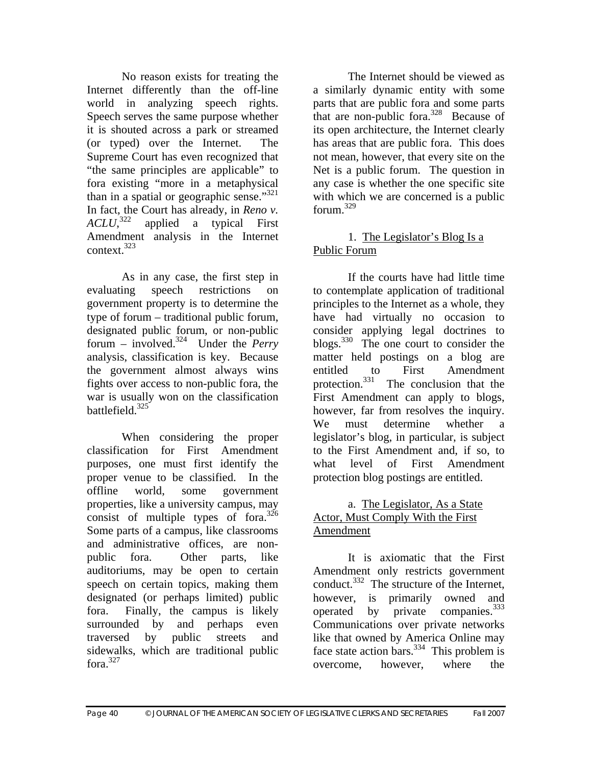No reason exists for treating the Internet differently than the off-line world in analyzing speech rights. Speech serves the same purpose whether it is shouted across a park or streamed (or typed) over the Internet. The Supreme Court has even recognized that "the same principles are applicable" to fora existing "more in a metaphysical than in a spatial or geographic sense." $321$ In fact, the Court has already, in *Reno v. ACLU*, applied a typical First Amendment analysis in the Internet context.323

As in any case, the first step in evaluating speech restrictions on government property is to determine the type of forum – traditional public forum, designated public forum, or non-public forum – involved.324 Under the *Perry* analysis, classification is key. Because the government almost always wins fights over access to non-public fora, the war is usually won on the classification battlefield<sup>325</sup>

When considering the proper classification for First Amendment purposes, one must first identify the proper venue to be classified. In the offline world, some government properties, like a university campus, may consist of multiple types of fora. $326$ Some parts of a campus, like classrooms and administrative offices, are nonpublic fora. Other parts, like auditoriums, may be open to certain speech on certain topics, making them designated (or perhaps limited) public fora. Finally, the campus is likely surrounded by and perhaps even traversed by public streets and sidewalks, which are traditional public fora. $327$ 

The Internet should be viewed as a similarly dynamic entity with some parts that are public fora and some parts that are non-public for  $a^{328}$  Because of its open architecture, the Internet clearly has areas that are public fora. This does not mean, however, that every site on the Net is a public forum. The question in any case is whether the one specific site with which we are concerned is a public for  $^{329}$ 

#### 1. The Legislator's Blog Is a Public Forum

If the courts have had little time to contemplate application of traditional principles to the Internet as a whole, they have had virtually no occasion to consider applying legal doctrines to blogs. $330$  The one court to consider the matter held postings on a blog are entitled to First Amendment protection.<sup>331</sup> The conclusion that the First Amendment can apply to blogs, however, far from resolves the inquiry. We must determine whether a legislator's blog, in particular, is subject to the First Amendment and, if so, to what level of First Amendment protection blog postings are entitled.

#### a. The Legislator, As a State Actor, Must Comply With the First Amendment

It is axiomatic that the First Amendment only restricts government conduct.<sup>332</sup> The structure of the Internet, however, is primarily owned and operated by private companies.<sup>333</sup> Communications over private networks like that owned by America Online may face state action bars.  $334$  This problem is overcome, however, where the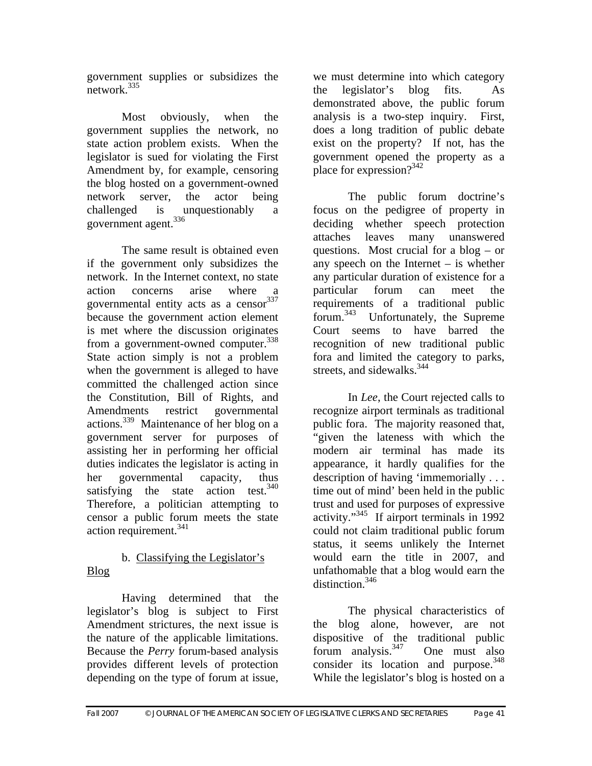government supplies or subsidizes the  $network$ <sup>335</sup>

Most obviously, when the government supplies the network, no state action problem exists. When the legislator is sued for violating the First Amendment by, for example, censoring the blog hosted on a government-owned network server, the actor being challenged is unquestionably a government agent.<sup>336</sup>

The same result is obtained even if the government only subsidizes the network. In the Internet context, no state action concerns arise where governmental entity acts as a censor  $337$ because the government action element is met where the discussion originates from a government-owned computer.<sup>338</sup> State action simply is not a problem when the government is alleged to have committed the challenged action since the Constitution, Bill of Rights, and Amendments restrict governmental actions.339 Maintenance of her blog on a government server for purposes of assisting her in performing her official duties indicates the legislator is acting in her governmental capacity, thus satisfying the state action test. $340$ Therefore, a politician attempting to censor a public forum meets the state action requirement. $341$ 

#### b. Classifying the Legislator's Blog

Having determined that the legislator's blog is subject to First Amendment strictures, the next issue is the nature of the applicable limitations. Because the *Perry* forum-based analysis provides different levels of protection depending on the type of forum at issue,

we must determine into which category the legislator's blog fits. As demonstrated above, the public forum analysis is a two-step inquiry. First, does a long tradition of public debate exist on the property? If not, has the government opened the property as a place for expression?<sup>342</sup>

The public forum doctrine's focus on the pedigree of property in deciding whether speech protection attaches leaves many unanswered questions. Most crucial for a blog – or any speech on the Internet – is whether any particular duration of existence for a particular forum can meet the requirements of a traditional public forum.<sup>343</sup> Unfortunately, the Supreme Court seems to have barred the recognition of new traditional public fora and limited the category to parks, streets, and sidewalks.  $344$ 

In *Lee*, the Court rejected calls to recognize airport terminals as traditional public fora. The majority reasoned that, "given the lateness with which the modern air terminal has made its appearance, it hardly qualifies for the description of having 'immemorially . . . time out of mind' been held in the public trust and used for purposes of expressive activity."345 If airport terminals in 1992 could not claim traditional public forum status, it seems unlikely the Internet would earn the title in 2007, and unfathomable that a blog would earn the distinction.<sup>346</sup>

The physical characteristics of the blog alone, however, are not dispositive of the traditional public forum analysis.347 One must also consider its location and purpose. $348$ While the legislator's blog is hosted on a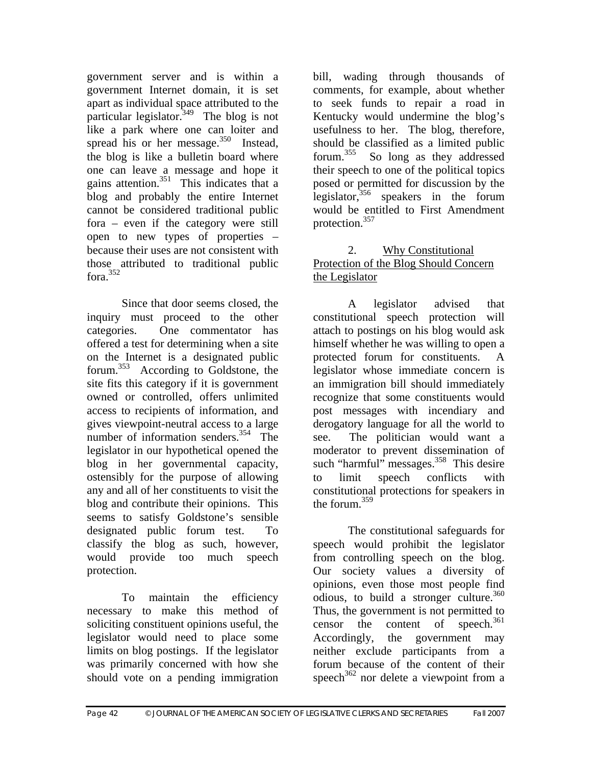government server and is within a government Internet domain, it is set apart as individual space attributed to the particular legislator.<sup>349</sup> The blog is not like a park where one can loiter and spread his or her message.<sup>350</sup> Instead, the blog is like a bulletin board where one can leave a message and hope it gains attention. $351$  This indicates that a blog and probably the entire Internet cannot be considered traditional public fora – even if the category were still open to new types of properties – because their uses are not consistent with those attributed to traditional public fora. $352$ 

Since that door seems closed, the inquiry must proceed to the other categories. One commentator has offered a test for determining when a site on the Internet is a designated public forum.353 According to Goldstone, the site fits this category if it is government owned or controlled, offers unlimited access to recipients of information, and gives viewpoint-neutral access to a large number of information senders.<sup>354</sup> The legislator in our hypothetical opened the blog in her governmental capacity, ostensibly for the purpose of allowing any and all of her constituents to visit the blog and contribute their opinions. This seems to satisfy Goldstone's sensible designated public forum test. To classify the blog as such, however, would provide too much speech protection.

To maintain the efficiency necessary to make this method of soliciting constituent opinions useful, the legislator would need to place some limits on blog postings. If the legislator was primarily concerned with how she should vote on a pending immigration

bill, wading through thousands of comments, for example, about whether to seek funds to repair a road in Kentucky would undermine the blog's usefulness to her. The blog, therefore, should be classified as a limited public forum.355 So long as they addressed their speech to one of the political topics posed or permitted for discussion by the legislator,  $356$  speakers in the forum would be entitled to First Amendment protection.<sup>357</sup>

## 2. Why Constitutional Protection of the Blog Should Concern the Legislator

A legislator advised that constitutional speech protection will attach to postings on his blog would ask himself whether he was willing to open a protected forum for constituents. A legislator whose immediate concern is an immigration bill should immediately recognize that some constituents would post messages with incendiary and derogatory language for all the world to see. The politician would want a moderator to prevent dissemination of such "harmful" messages. $358$  This desire to limit speech conflicts with constitutional protections for speakers in the forum. $359$ 

The constitutional safeguards for speech would prohibit the legislator from controlling speech on the blog. Our society values a diversity of opinions, even those most people find odious, to build a stronger culture.<sup>360</sup> Thus, the government is not permitted to censor the content of speech. $361$ Accordingly, the government may neither exclude participants from a forum because of the content of their speech<sup>362</sup> nor delete a viewpoint from a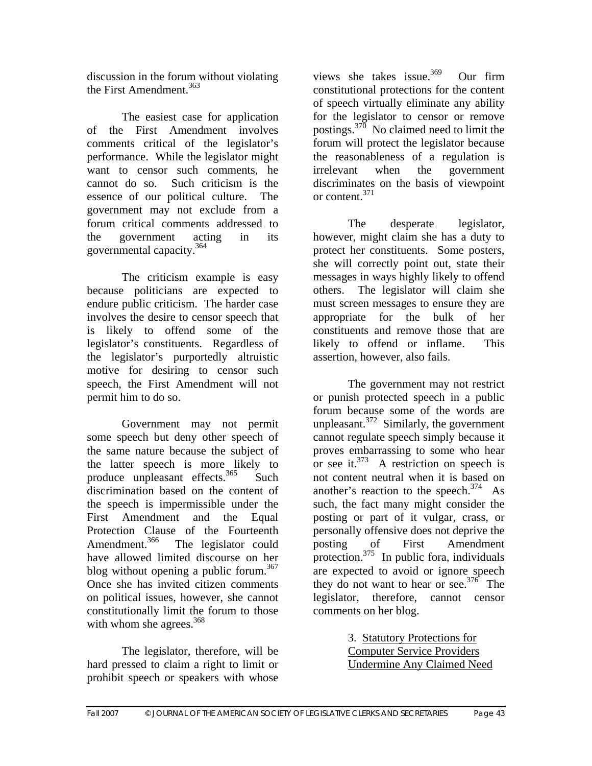discussion in the forum without violating the First Amendment.<sup>363</sup>

The easiest case for application of the First Amendment involves comments critical of the legislator's performance. While the legislator might want to censor such comments, he cannot do so. Such criticism is the essence of our political culture. The government may not exclude from a forum critical comments addressed to the government acting in its governmental capacity.364

The criticism example is easy because politicians are expected to endure public criticism. The harder case involves the desire to censor speech that is likely to offend some of the legislator's constituents. Regardless of the legislator's purportedly altruistic motive for desiring to censor such speech, the First Amendment will not permit him to do so.

Government may not permit some speech but deny other speech of the same nature because the subject of the latter speech is more likely to produce unpleasant effects. $365$  Such discrimination based on the content of the speech is impermissible under the First Amendment and the Equal Protection Clause of the Fourteenth<br>Amendment.<sup>366</sup> The legislator could The legislator could have allowed limited discourse on her blog without opening a public forum.<sup>367</sup> Once she has invited citizen comments on political issues, however, she cannot constitutionally limit the forum to those with whom she agrees.<sup>368</sup>

The legislator, therefore, will be hard pressed to claim a right to limit or prohibit speech or speakers with whose

views she takes issue.<sup>369</sup> Our firm constitutional protections for the content of speech virtually eliminate any ability for the legislator to censor or remove postings.<sup>370</sup> No claimed need to limit the forum will protect the legislator because the reasonableness of a regulation is irrelevant when the government discriminates on the basis of viewpoint or content.<sup>371</sup>

The desperate legislator, however, might claim she has a duty to protect her constituents. Some posters, she will correctly point out, state their messages in ways highly likely to offend others. The legislator will claim she must screen messages to ensure they are appropriate for the bulk of her constituents and remove those that are likely to offend or inflame. This assertion, however, also fails.

The government may not restrict or punish protected speech in a public forum because some of the words are unpleasant. $372$  Similarly, the government cannot regulate speech simply because it proves embarrassing to some who hear or see it.<sup>373</sup> A restriction on speech is not content neutral when it is based on another's reaction to the speech. $374$  As such, the fact many might consider the posting or part of it vulgar, crass, or personally offensive does not deprive the posting of First Amendment protection. $375$  In public fora, individuals are expected to avoid or ignore speech they do not want to hear or see.<sup>376</sup> The legislator, therefore, cannot censor comments on her blog.

> 3. Statutory Protections for Computer Service Providers Undermine Any Claimed Need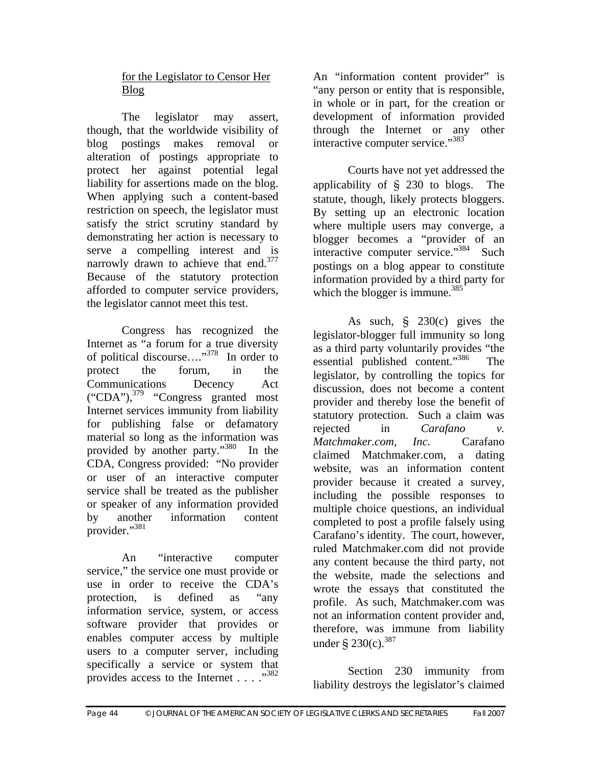### for the Legislator to Censor Her Blog

The legislator may assert, though, that the worldwide visibility of blog postings makes removal or alteration of postings appropriate to protect her against potential legal liability for assertions made on the blog. When applying such a content-based restriction on speech, the legislator must satisfy the strict scrutiny standard by demonstrating her action is necessary to serve a compelling interest and is narrowly drawn to achieve that end.<sup>377</sup> Because of the statutory protection afforded to computer service providers, the legislator cannot meet this test.

Congress has recognized the Internet as "a forum for a true diversity of political discourse…."378 In order to protect the forum, in the Communications Decency Act  $("CDA")$ ,  $^{379}$  "Congress granted most Internet services immunity from liability for publishing false or defamatory material so long as the information was provided by another party."380 In the CDA, Congress provided: "No provider or user of an interactive computer service shall be treated as the publisher or speaker of any information provided by another information content provider."381

An "interactive computer service," the service one must provide or use in order to receive the CDA's protection, is defined as "any information service, system, or access software provider that provides or enables computer access by multiple users to a computer server, including specifically a service or system that provides access to the Internet . . . . "<sup>382</sup>

An "information content provider" is "any person or entity that is responsible, in whole or in part, for the creation or development of information provided through the Internet or any other interactive computer service."<sup>383</sup>

Courts have not yet addressed the applicability of § 230 to blogs. The statute, though, likely protects bloggers. By setting up an electronic location where multiple users may converge, a blogger becomes a "provider of an interactive computer service."<sup>384</sup> Such postings on a blog appear to constitute information provided by a third party for which the blogger is immune.<sup>385</sup>

As such, § 230(c) gives the legislator-blogger full immunity so long as a third party voluntarily provides "the essential published content."386 The legislator, by controlling the topics for discussion, does not become a content provider and thereby lose the benefit of statutory protection. Such a claim was rejected in *Carafano v. Matchmaker.com, Inc.* Carafano claimed Matchmaker.com, a dating website, was an information content provider because it created a survey, including the possible responses to multiple choice questions, an individual completed to post a profile falsely using Carafano's identity. The court, however, ruled Matchmaker.com did not provide any content because the third party, not the website, made the selections and wrote the essays that constituted the profile. As such, Matchmaker.com was not an information content provider and, therefore, was immune from liability under  $\S 230(c)$ . 387

Section 230 immunity from liability destroys the legislator's claimed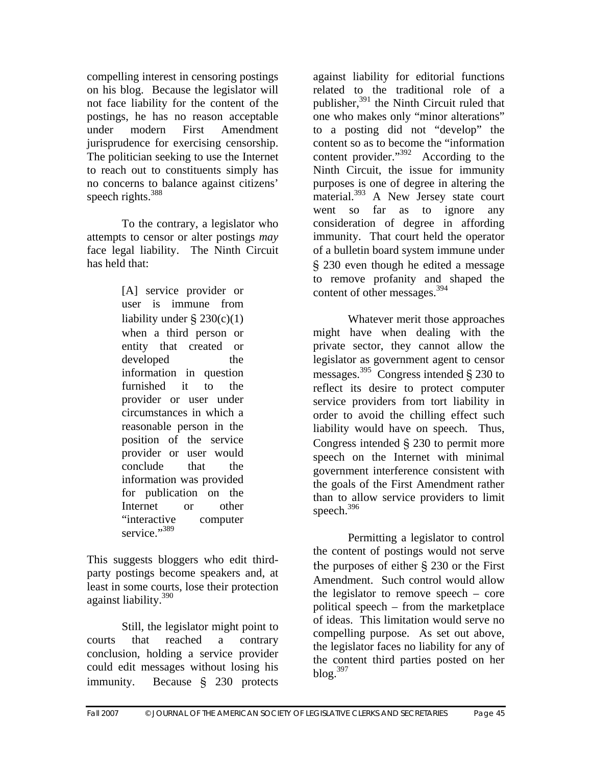compelling interest in censoring postings on his blog. Because the legislator will not face liability for the content of the postings, he has no reason acceptable under modern First Amendment jurisprudence for exercising censorship. The politician seeking to use the Internet to reach out to constituents simply has no concerns to balance against citizens' speech rights.<sup>388</sup>

To the contrary, a legislator who attempts to censor or alter postings *may* face legal liability. The Ninth Circuit has held that:

> [A] service provider or user is immune from liability under  $\S 230(c)(1)$ when a third person or entity that created or developed the information in question furnished it to the provider or user under circumstances in which a reasonable person in the position of the service provider or user would conclude that the information was provided for publication on the Internet or other "interactive computer service."389

This suggests bloggers who edit thirdparty postings become speakers and, at least in some courts, lose their protection against liability.390

 Still, the legislator might point to courts that reached a contrary conclusion, holding a service provider could edit messages without losing his immunity. Because § 230 protects

against liability for editorial functions related to the traditional role of a publisher, $391$  the Ninth Circuit ruled that one who makes only "minor alterations" to a posting did not "develop" the content so as to become the "information content provider."392 According to the Ninth Circuit, the issue for immunity purposes is one of degree in altering the material.<sup>393</sup> A New Jersey state court went so far as to ignore any consideration of degree in affording immunity. That court held the operator of a bulletin board system immune under § 230 even though he edited a message to remove profanity and shaped the content of other messages.<sup>394</sup>

Whatever merit those approaches might have when dealing with the private sector, they cannot allow the legislator as government agent to censor messages.<sup>395</sup> Congress intended  $\S$  230 to reflect its desire to protect computer service providers from tort liability in order to avoid the chilling effect such liability would have on speech. Thus, Congress intended § 230 to permit more speech on the Internet with minimal government interference consistent with the goals of the First Amendment rather than to allow service providers to limit speech.<sup>396</sup>

Permitting a legislator to control the content of postings would not serve the purposes of either § 230 or the First Amendment. Such control would allow the legislator to remove speech – core political speech – from the marketplace of ideas. This limitation would serve no compelling purpose. As set out above, the legislator faces no liability for any of the content third parties posted on her  $b$ log. $397$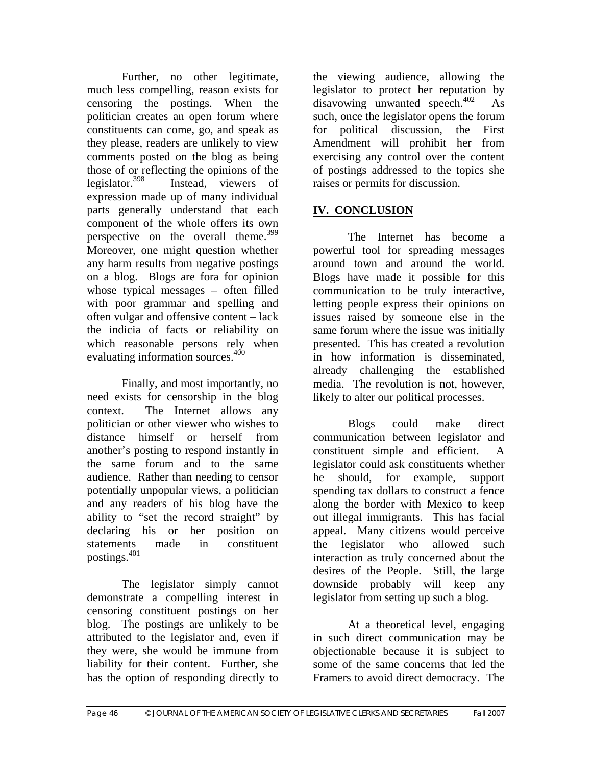Further, no other legitimate, much less compelling, reason exists for censoring the postings. When the politician creates an open forum where constituents can come, go, and speak as they please, readers are unlikely to view comments posted on the blog as being those of or reflecting the opinions of the legislator.<sup>398</sup> Instead, viewers of expression made up of many individual parts generally understand that each component of the whole offers its own perspective on the overall theme. $399$ Moreover, one might question whether any harm results from negative postings on a blog. Blogs are fora for opinion whose typical messages – often filled with poor grammar and spelling and often vulgar and offensive content – lack the indicia of facts or reliability on which reasonable persons rely when evaluating information sources.<sup>400</sup>

Finally, and most importantly, no need exists for censorship in the blog context. The Internet allows any politician or other viewer who wishes to distance himself or herself from another's posting to respond instantly in the same forum and to the same audience. Rather than needing to censor potentially unpopular views, a politician and any readers of his blog have the ability to "set the record straight" by declaring his or her position on statements made in constituent postings.401

The legislator simply cannot demonstrate a compelling interest in censoring constituent postings on her blog. The postings are unlikely to be attributed to the legislator and, even if they were, she would be immune from liability for their content. Further, she has the option of responding directly to

the viewing audience, allowing the legislator to protect her reputation by disavowing unwanted speech. $402$  As such, once the legislator opens the forum for political discussion, the First Amendment will prohibit her from exercising any control over the content of postings addressed to the topics she raises or permits for discussion.

## **IV. CONCLUSION**

 The Internet has become a powerful tool for spreading messages around town and around the world. Blogs have made it possible for this communication to be truly interactive, letting people express their opinions on issues raised by someone else in the same forum where the issue was initially presented. This has created a revolution in how information is disseminated, already challenging the established media. The revolution is not, however, likely to alter our political processes.

 Blogs could make direct communication between legislator and constituent simple and efficient. A legislator could ask constituents whether he should, for example, support spending tax dollars to construct a fence along the border with Mexico to keep out illegal immigrants. This has facial appeal. Many citizens would perceive the legislator who allowed such interaction as truly concerned about the desires of the People. Still, the large downside probably will keep any legislator from setting up such a blog.

 At a theoretical level, engaging in such direct communication may be objectionable because it is subject to some of the same concerns that led the Framers to avoid direct democracy. The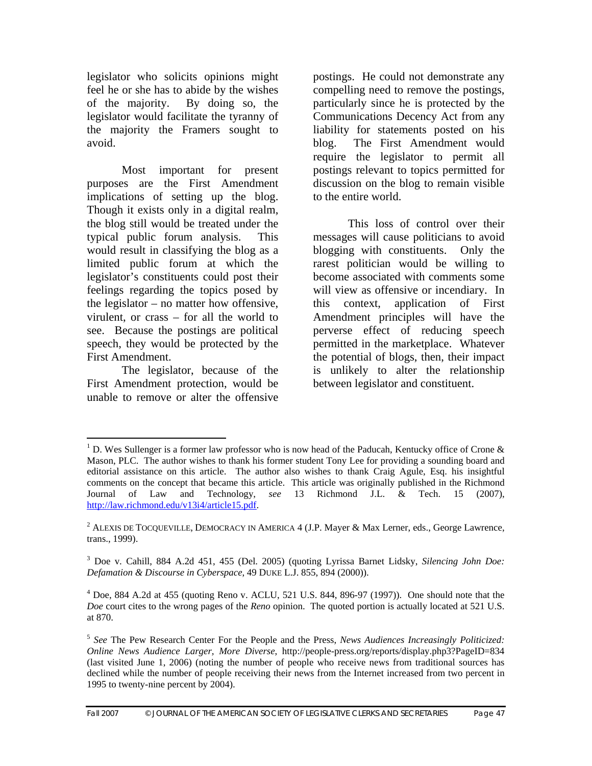legislator who solicits opinions might feel he or she has to abide by the wishes of the majority. By doing so, the legislator would facilitate the tyranny of the majority the Framers sought to avoid.

Most important for present purposes are the First Amendment implications of setting up the blog. Though it exists only in a digital realm, the blog still would be treated under the typical public forum analysis. This would result in classifying the blog as a limited public forum at which the legislator's constituents could post their feelings regarding the topics posed by the legislator – no matter how offensive, virulent, or crass – for all the world to see. Because the postings are political speech, they would be protected by the First Amendment.

The legislator, because of the First Amendment protection, would be unable to remove or alter the offensive postings. He could not demonstrate any compelling need to remove the postings, particularly since he is protected by the Communications Decency Act from any liability for statements posted on his blog. The First Amendment would require the legislator to permit all postings relevant to topics permitted for discussion on the blog to remain visible to the entire world.

This loss of control over their messages will cause politicians to avoid blogging with constituents. Only the rarest politician would be willing to become associated with comments some will view as offensive or incendiary. In this context, application of First Amendment principles will have the perverse effect of reducing speech permitted in the marketplace. Whatever the potential of blogs, then, their impact is unlikely to alter the relationship between legislator and constituent.

 $\overline{a}$ <sup>1</sup> D. Wes Sullenger is a former law professor who is now head of the Paducah, Kentucky office of Crone & Mason, PLC. The author wishes to thank his former student Tony Lee for providing a sounding board and editorial assistance on this article. The author also wishes to thank Craig Agule, Esq. his insightful comments on the concept that became this article. This article was originally published in the Richmond Journal of Law and Technology, *see* 13 Richmond J.L. & Tech. 15 (2007), http://law.richmond.edu/v13i4/article15.pdf.

<sup>&</sup>lt;sup>2</sup> ALEXIS DE TOCQUEVILLE, DEMOCRACY IN AMERICA 4 (J.P. Mayer & Max Lerner, eds., George Lawrence, trans., 1999).

<sup>3</sup> Doe v. Cahill, 884 A.2d 451, 455 (Del. 2005) (quoting Lyrissa Barnet Lidsky, *Silencing John Doe: Defamation & Discourse in Cyberspace*, 49 DUKE L.J. 855, 894 (2000)).

 $4$  Doe, 884 A.2d at 455 (quoting Reno v. ACLU, 521 U.S. 844, 896-97 (1997)). One should note that the *Doe* court cites to the wrong pages of the *Reno* opinion. The quoted portion is actually located at 521 U.S. at 870.

<sup>5</sup> *See* The Pew Research Center For the People and the Press, *News Audiences Increasingly Politicized: Online News Audience Larger, More Diverse*, http://people-press.org/reports/display.php3?PageID=834 (last visited June 1, 2006) (noting the number of people who receive news from traditional sources has declined while the number of people receiving their news from the Internet increased from two percent in 1995 to twenty-nine percent by 2004).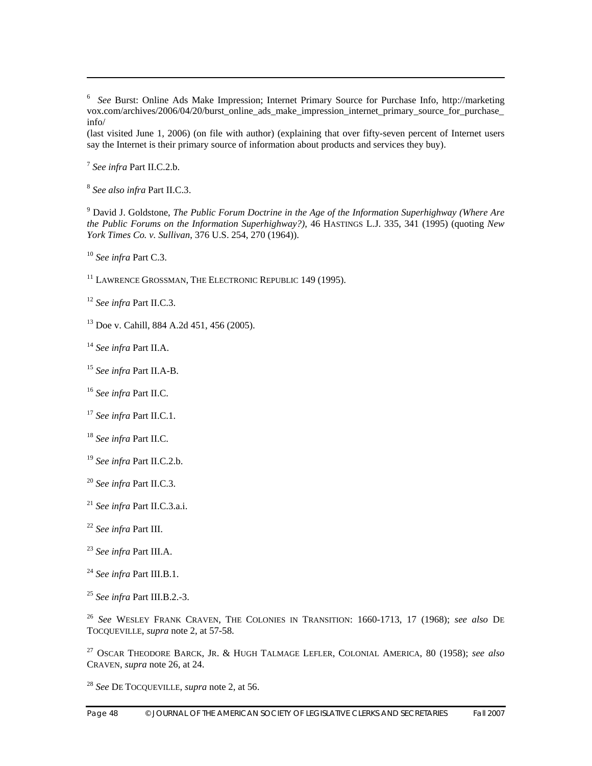*See* Burst: Online Ads Make Impression; Internet Primary Source for Purchase Info, http://marketing vox.com/archives/2006/04/20/burst\_online\_ads\_make\_impression\_internet\_primary\_source\_for\_purchase\_ info/

(last visited June 1, 2006) (on file with author) (explaining that over fifty-seven percent of Internet users say the Internet is their primary source of information about products and services they buy).

*See infra* Part II.C.2.b.

 $\overline{a}$ 

*See also infra* Part II.C.3.

 David J. Goldstone, *The Public Forum Doctrine in the Age of the Information Superhighway (Where Are the Public Forums on the Information Superhighway?)*, 46 HASTINGS L.J. 335, 341 (1995) (quoting *New York Times Co. v. Sullivan*, 376 U.S. 254, 270 (1964)).

*See infra* Part C.3.

<sup>11</sup> LAWRENCE GROSSMAN, THE ELECTRONIC REPUBLIC 149 (1995).

*See infra* Part II.C.3.

13 Doe v. Cahill, 884 A.2d 451, 456 (2005).

*See infra* Part II.A.

*See infra* Part II.A-B.

*See infra* Part II.C.

*See infra* Part II.C.1.

*See infra* Part II.C.

*See infra* Part II.C.2.b.

*See infra* Part II.C.3.

*See infra* Part II.C.3.a.i.

*See infra* Part III.

*See infra* Part III.A.

*See infra* Part III.B.1.

*See infra* Part III.B.2.-3.

 *See* WESLEY FRANK CRAVEN, THE COLONIES IN TRANSITION: 1660-1713, 17 (1968); *see also* DE TOCQUEVILLE, *supra* note 2, at 57-58.

27 OSCAR THEODORE BARCK, JR. & HUGH TALMAGE LEFLER, COLONIAL AMERICA, 80 (1958); *see also* CRAVEN, *supra* note 26, at 24.

*See* DE TOCQUEVILLE, *supra* note 2, at 56.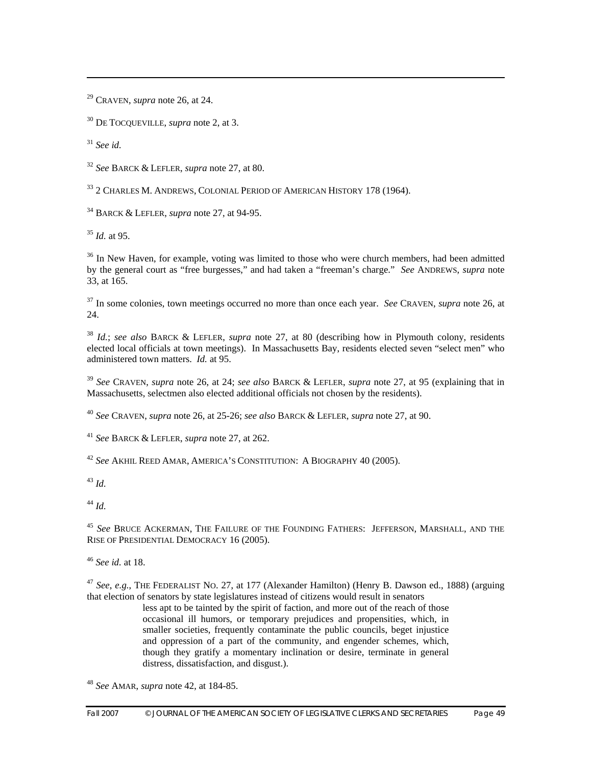29 CRAVEN, *supra* note 26, at 24.

30 DE TOCQUEVILLE, *supra* note 2, at 3.

<sup>31</sup> *See id.*

 $\overline{a}$ 

<sup>32</sup> *See* BARCK & LEFLER, *supra* note 27, at 80.

<sup>33</sup> 2 CHARLES M. ANDREWS, COLONIAL PERIOD OF AMERICAN HISTORY 178 (1964).

34 BARCK & LEFLER, *supra* note 27, at 94-95.

<sup>35</sup> *Id.* at 95.

 $36$  In New Haven, for example, voting was limited to those who were church members, had been admitted by the general court as "free burgesses," and had taken a "freeman's charge." *See* ANDREWS, *supra* note 33, at 165.

37 In some colonies, town meetings occurred no more than once each year. *See* CRAVEN, *supra* note 26, at 24.

<sup>38</sup> *Id.*; *see also* BARCK & LEFLER, *supra* note 27, at 80 (describing how in Plymouth colony, residents elected local officials at town meetings). In Massachusetts Bay, residents elected seven "select men" who administered town matters. *Id.* at 95.

<sup>39</sup> *See* CRAVEN, *supra* note 26, at 24; *see also* BARCK & LEFLER, *supra* note 27, at 95 (explaining that in Massachusetts, selectmen also elected additional officials not chosen by the residents).

<sup>40</sup> *See* CRAVEN, *supra* note 26, at 25-26; *see also* BARCK & LEFLER, *supra* note 27, at 90.

<sup>41</sup> *See* BARCK & LEFLER, *supra* note 27, at 262.

<sup>42</sup> *See* AKHIL REED AMAR, AMERICA'S CONSTITUTION: A BIOGRAPHY 40 (2005).

<sup>43</sup> *Id.*

<sup>44</sup> *Id.*

<sup>45</sup> *See* BRUCE ACKERMAN, THE FAILURE OF THE FOUNDING FATHERS: JEFFERSON, MARSHALL, AND THE RISE OF PRESIDENTIAL DEMOCRACY 16 (2005).

<sup>46</sup> *See id.* at 18.

<sup>47</sup> *See*, *e.g.*, THE FEDERALIST NO. 27, at 177 (Alexander Hamilton) (Henry B. Dawson ed., 1888) (arguing that election of senators by state legislatures instead of citizens would result in senators

less apt to be tainted by the spirit of faction, and more out of the reach of those occasional ill humors, or temporary prejudices and propensities, which, in smaller societies, frequently contaminate the public councils, beget injustice and oppression of a part of the community, and engender schemes, which, though they gratify a momentary inclination or desire, terminate in general distress, dissatisfaction, and disgust.).

<sup>48</sup> *See* AMAR, *supra* note 42, at 184-85.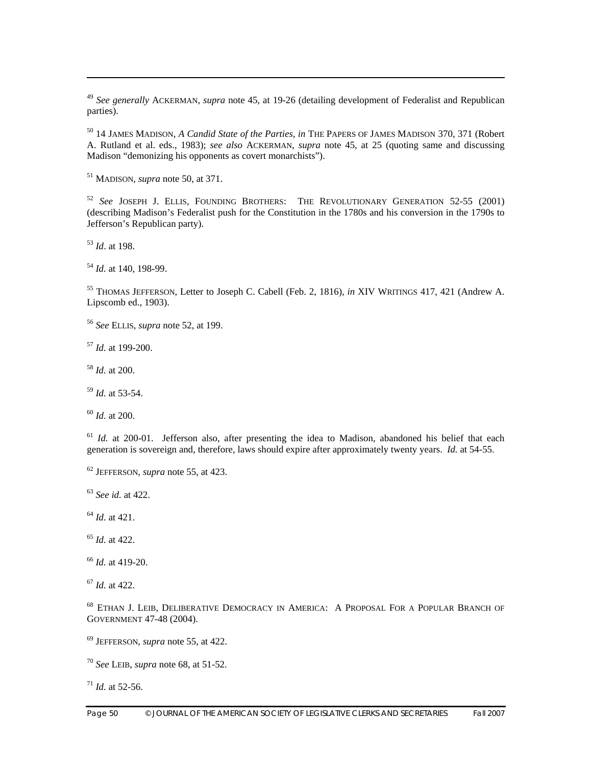<sup>49</sup> *See generally* ACKERMAN, *supra* note 45, at 19-26 (detailing development of Federalist and Republican parties).

50 14 JAMES MADISON, *A Candid State of the Parties*, *in* THE PAPERS OF JAMES MADISON 370, 371 (Robert A. Rutland et al. eds., 1983); *see also* ACKERMAN, *supra* note 45, at 25 (quoting same and discussing Madison "demonizing his opponents as covert monarchists").

51 MADISON, *supra* note 50, at 371.

<sup>52</sup> *See* JOSEPH J. ELLIS, FOUNDING BROTHERS: THE REVOLUTIONARY GENERATION 52-55 (2001) (describing Madison's Federalist push for the Constitution in the 1780s and his conversion in the 1790s to Jefferson's Republican party).

<sup>53</sup> *Id*. at 198.

 $\overline{a}$ 

<sup>54</sup> *Id.* at 140, 198-99.

55 THOMAS JEFFERSON, Letter to Joseph C. Cabell (Feb. 2, 1816), *in* XIV WRITINGS 417, 421 (Andrew A. Lipscomb ed., 1903).

<sup>56</sup> *See* ELLIS, *supra* note 52, at 199.

<sup>57</sup> *Id.* at 199-200.

<sup>58</sup> *Id.* at 200.

<sup>59</sup> *Id.* at 53-54.

<sup>60</sup> *Id.* at 200.

<sup>61</sup> *Id.* at 200-01. Jefferson also, after presenting the idea to Madison, abandoned his belief that each generation is sovereign and, therefore, laws should expire after approximately twenty years. *Id.* at 54-55.

<sup>63</sup> *See id.* at 422.

<sup>64</sup> *Id.* at 421.

<sup>65</sup> *Id.* at 422.

<sup>66</sup> *Id.* at 419-20.

<sup>67</sup> *Id.* at 422.

68 ETHAN J. LEIB, DELIBERATIVE DEMOCRACY IN AMERICA: A PROPOSAL FOR A POPULAR BRANCH OF GOVERNMENT 47-48 (2004).

69 JEFFERSON, *supra* note 55, at 422.

<sup>70</sup> *See* LEIB, *supra* note 68, at 51-52.

 $71$  *Id.* at 52-56.

<sup>62</sup> JEFFERSON, *supra* note 55, at 423.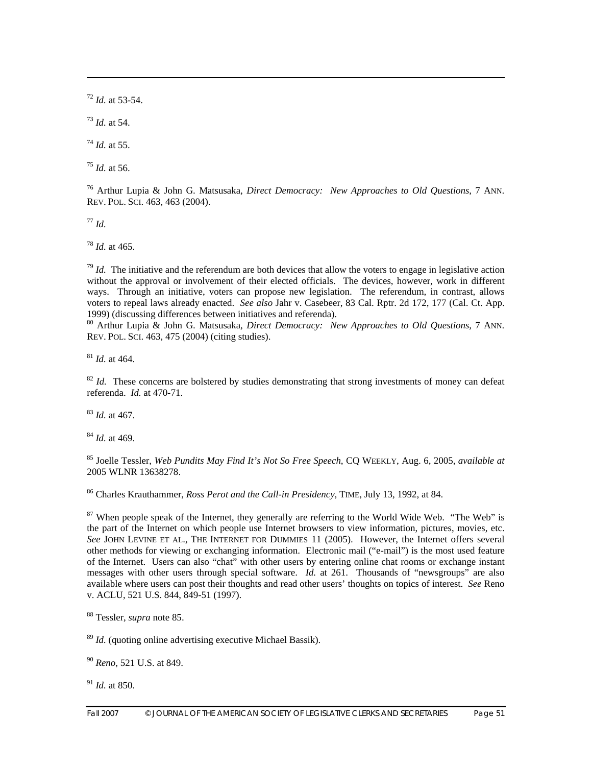$72$  *Id.* at 53-54.

<sup>73</sup> *Id.* at 54.

 $\overline{a}$ 

<sup>74</sup> *Id.* at 55.

<sup>75</sup> *Id.* at 56.

76 Arthur Lupia & John G. Matsusaka, *Direct Democracy: New Approaches to Old Questions*, 7 ANN. REV. POL. SCI. 463, 463 (2004).

<sup>77</sup> *Id.*

<sup>78</sup> *Id.* at 465.

 $79$  *Id.* The initiative and the referendum are both devices that allow the voters to engage in legislative action without the approval or involvement of their elected officials. The devices, however, work in different ways. Through an initiative, voters can propose new legislation. The referendum, in contrast, allows voters to repeal laws already enacted. *See also* Jahr v. Casebeer, 83 Cal. Rptr. 2d 172, 177 (Cal. Ct. App.

<sup>80</sup> Arthur Lupia & John G. Matsusaka, *Direct Democracy: New Approaches to Old Questions*, 7 ANN. REV. POL. SCI. 463, 475 (2004) (citing studies).

<sup>81</sup> *Id.* at 464.

 $82$  *Id.* These concerns are bolstered by studies demonstrating that strong investments of money can defeat referenda. *Id.* at 470-71.

<sup>83</sup> *Id.* at 467.

<sup>84</sup> *Id.* at 469.

85 Joelle Tessler, *Web Pundits May Find It's Not So Free Speech*, CQ WEEKLY, Aug. 6, 2005, *available at*  2005 WLNR 13638278.

86 Charles Krauthammer, *Ross Perot and the Call-in Presidency*, TIME, July 13, 1992, at 84.

 $87$  When people speak of the Internet, they generally are referring to the World Wide Web. "The Web" is the part of the Internet on which people use Internet browsers to view information, pictures, movies, etc. *See* JOHN LEVINE ET AL., THE INTERNET FOR DUMMIES 11 (2005). However, the Internet offers several other methods for viewing or exchanging information. Electronic mail ("e-mail") is the most used feature of the Internet. Users can also "chat" with other users by entering online chat rooms or exchange instant messages with other users through special software. *Id.* at 261. Thousands of "newsgroups" are also available where users can post their thoughts and read other users' thoughts on topics of interest. *See* Reno v. ACLU, 521 U.S. 844, 849-51 (1997).

88 Tessler, *supra* note 85.

<sup>89</sup> *Id.* (quoting online advertising executive Michael Bassik).

<sup>90</sup> *Reno*, 521 U.S. at 849.

<sup>91</sup> *Id.* at 850.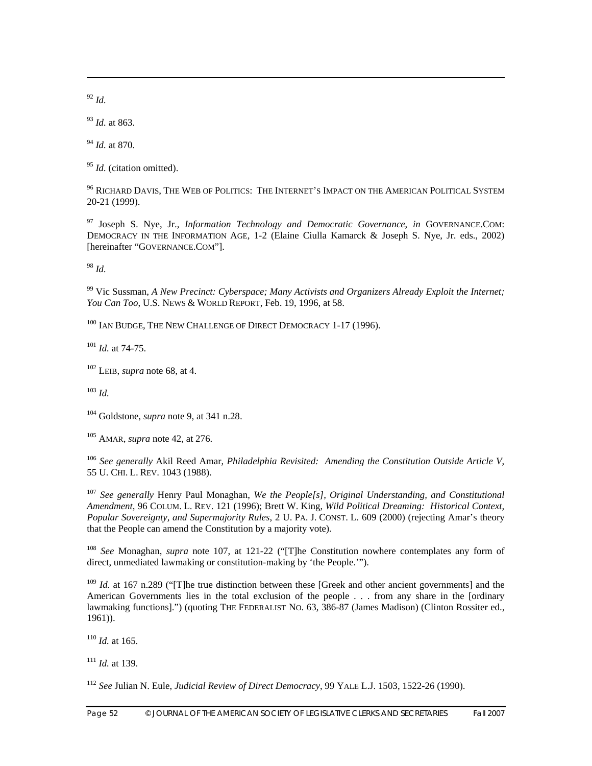<sup>92</sup> *Id.*

 $\overline{a}$ 

<sup>93</sup> *Id.* at 863.

<sup>94</sup> *Id.* at 870.

<sup>95</sup> *Id.* (citation omitted).

96 RICHARD DAVIS, THE WEB OF POLITICS: THE INTERNET'S IMPACT ON THE AMERICAN POLITICAL SYSTEM 20-21 (1999).

97 Joseph S. Nye, Jr., *Information Technology and Democratic Governance*, *in* GOVERNANCE.COM: DEMOCRACY IN THE INFORMATION AGE, 1-2 (Elaine Ciulla Kamarck & Joseph S. Nye, Jr. eds., 2002) [hereinafter "GOVERNANCE.COM"].

<sup>98</sup> *Id.*

99 Vic Sussman, *A New Precinct: Cyberspace; Many Activists and Organizers Already Exploit the Internet; You Can Too*, U.S. NEWS & WORLD REPORT, Feb. 19, 1996, at 58.

100 IAN BUDGE, THE NEW CHALLENGE OF DIRECT DEMOCRACY 1-17 (1996).

<sup>101</sup> *Id.* at 74-75.

102 LEIB, *supra* note 68, at 4.

 $103$  *Id.* 

104 Goldstone, *supra* note 9, at 341 n.28.

105 AMAR, *supra* note 42, at 276.

<sup>106</sup> *See generally* Akil Reed Amar, *Philadelphia Revisited: Amending the Constitution Outside Article V*, 55 U. CHI. L. REV. 1043 (1988).

<sup>107</sup> *See generally* Henry Paul Monaghan, *We the People[s], Original Understanding, and Constitutional Amendment*, 96 COLUM. L. REV. 121 (1996); Brett W. King, *Wild Political Dreaming: Historical Context, Popular Sovereignty, and Supermajority Rules*, 2 U. PA. J. CONST. L. 609 (2000) (rejecting Amar's theory that the People can amend the Constitution by a majority vote).

<sup>108</sup> *See* Monaghan, *supra* note 107, at 121-22 ("[T]he Constitution nowhere contemplates any form of direct, unmediated lawmaking or constitution-making by 'the People.'").

<sup>109</sup> *Id.* at 167 n.289 ("The true distinction between these [Greek and other ancient governments] and the American Governments lies in the total exclusion of the people . . . from any share in the [ordinary lawmaking functions].") (quoting THE FEDERALIST NO. 63, 386-87 (James Madison) (Clinton Rossiter ed., 1961)).

<sup>110</sup> *Id.* at 165.

<sup>111</sup> *Id.* at 139.

<sup>112</sup> *See* Julian N. Eule, *Judicial Review of Direct Democracy*, 99 YALE L.J. 1503, 1522-26 (1990).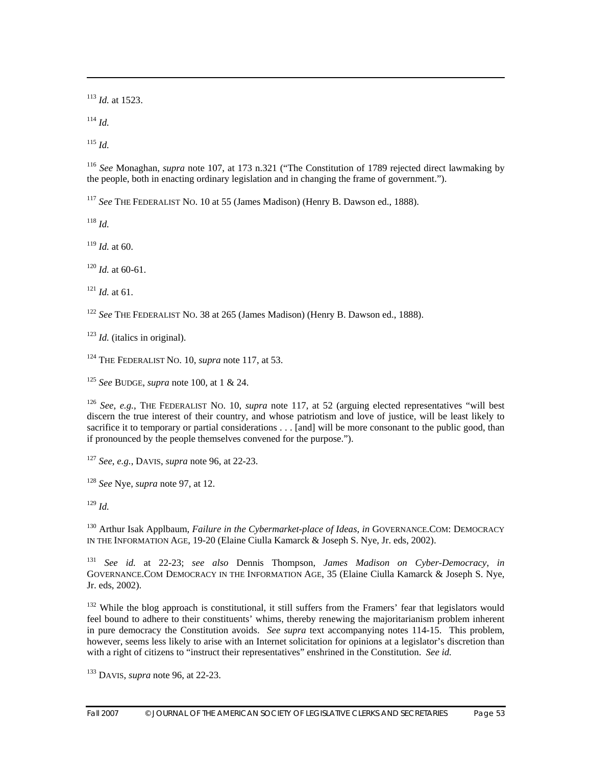<sup>113</sup> *Id.* at 1523.

 $114$  *Id.* 

 $\overline{a}$ 

<sup>115</sup> *Id.* 

<sup>116</sup> *See* Monaghan, *supra* note 107, at 173 n.321 ("The Constitution of 1789 rejected direct lawmaking by the people, both in enacting ordinary legislation and in changing the frame of government.").

<sup>117</sup> *See* THE FEDERALIST NO. 10 at 55 (James Madison) (Henry B. Dawson ed., 1888).

<sup>118</sup> *Id.*

<sup>119</sup> *Id.* at 60.

<sup>120</sup> *Id.* at 60-61.

 $121$  *Id.* at 61.

<sup>122</sup> *See* THE FEDERALIST NO. 38 at 265 (James Madison) (Henry B. Dawson ed., 1888).

<sup>123</sup> *Id.* (italics in original).

124 THE FEDERALIST NO. 10, *supra* note 117, at 53.

<sup>125</sup> *See* BUDGE, *supra* note 100, at 1 & 24.

<sup>126</sup> *See*, *e.g.*, THE FEDERALIST NO. 10, *supra* note 117, at 52 (arguing elected representatives "will best discern the true interest of their country, and whose patriotism and love of justice, will be least likely to sacrifice it to temporary or partial considerations . . . [and] will be more consonant to the public good, than if pronounced by the people themselves convened for the purpose.").

<sup>127</sup> *See*, *e.g.*, DAVIS, *supra* note 96, at 22-23.

<sup>128</sup> *See* Nye, *supra* note 97, at 12.

<sup>129</sup> *Id.*

130 Arthur Isak Applbaum, *Failure in the Cybermarket-place of Ideas*, *in* GOVERNANCE.COM: DEMOCRACY IN THE INFORMATION AGE, 19-20 (Elaine Ciulla Kamarck & Joseph S. Nye, Jr. eds, 2002).

<sup>131</sup> *See id.* at 22-23; *see also* Dennis Thompson, *James Madison on Cyber-Democracy*, *in* GOVERNANCE.COM DEMOCRACY IN THE INFORMATION AGE, 35 (Elaine Ciulla Kamarck & Joseph S. Nye, Jr. eds, 2002).

<sup>132</sup> While the blog approach is constitutional, it still suffers from the Framers' fear that legislators would feel bound to adhere to their constituents' whims, thereby renewing the majoritarianism problem inherent in pure democracy the Constitution avoids. *See supra* text accompanying notes 114-15. This problem, however, seems less likely to arise with an Internet solicitation for opinions at a legislator's discretion than with a right of citizens to "instruct their representatives" enshrined in the Constitution. *See id.*

133 DAVIS, *supra* note 96, at 22-23.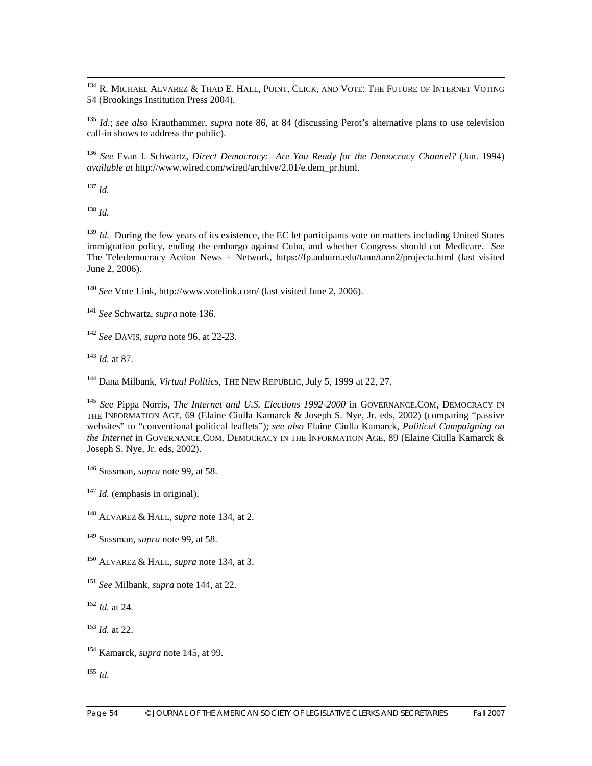<sup>134</sup> R. MICHAEL ALVAREZ & THAD E. HALL, POINT, CLICK, AND VOTE: THE FUTURE OF INTERNET VOTING 54 (Brookings Institution Press 2004).

<sup>135</sup> *Id.*; *see also* Krauthammer, *supra* note 86, at 84 (discussing Perot's alternative plans to use television call-in shows to address the public).

<sup>136</sup> *See* Evan I. Schwartz, *Direct Democracy: Are You Ready for the Democracy Channel?* (Jan. 1994) *available at* http://www.wired.com/wired/archive/2.01/e.dem\_pr.html.

 $^{137}$  *Id.* 

<sup>138</sup> *Id.* 

<sup>139</sup> *Id.* During the few years of its existence, the EC let participants vote on matters including United States immigration policy, ending the embargo against Cuba, and whether Congress should cut Medicare. *See* The Teledemocracy Action News + Network, https://fp.auburn.edu/tann/tann2/projecta.html (last visited June 2, 2006).

<sup>140</sup> *See* Vote Link, http://www.votelink.com/ (last visited June 2, 2006).

<sup>141</sup> *See* Schwartz, *supra* note 136.

<sup>142</sup> *See* DAVIS, *supra* note 96, at 22-23.

<sup>143</sup> *Id.* at 87.

144 Dana Milbank, *Virtual Politics*, THE NEW REPUBLIC, July 5, 1999 at 22, 27.

<sup>145</sup> See Pippa Norris, *The Internet and U.S. Elections 1992-2000* in GOVERNANCE.COM, DEMOCRACY IN THE INFORMATION AGE, 69 (Elaine Ciulla Kamarck & Joseph S. Nye, Jr. eds, 2002) (comparing "passive websites" to "conventional political leaflets"); *see also* Elaine Ciulla Kamarck, *Political Campaigning on the Internet* in GOVERNANCE.COM, DEMOCRACY IN THE INFORMATION AGE, 89 (Elaine Ciulla Kamarck & Joseph S. Nye, Jr. eds, 2002).

<sup>147</sup> *Id.* (emphasis in original).

148 ALVAREZ & HALL, *supra* note 134, at 2.

149 Sussman, *supra* note 99, at 58.

150 ALVAREZ & HALL, *supra* note 134, at 3.

- <sup>151</sup> *See* Milbank*, supra* note 144, at 22.
- <sup>152</sup> *Id.* at 24.

<sup>153</sup> *Id.* at 22.

154 Kamarck, *supra* note 145, at 99.

<sup>155</sup> *Id.*

<sup>146</sup> Sussman, *supra* note 99, at 58.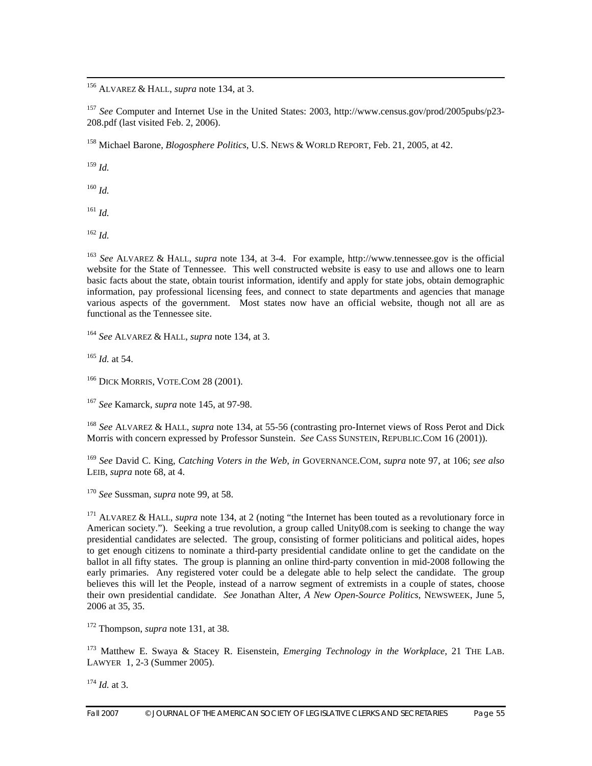156 ALVAREZ & HALL, *supra* note 134, at 3.

<sup>157</sup> *See* Computer and Internet Use in the United States: 2003, http://www.census.gov/prod/2005pubs/p23- 208.pdf (last visited Feb. 2, 2006).

158 Michael Barone, *Blogosphere Politics*, U.S. NEWS & WORLD REPORT, Feb. 21, 2005, at 42.

<sup>159</sup> *Id.*

<sup>160</sup> *Id.* 

 $161$  *Id.* 

<sup>162</sup> *Id.* 

<sup>163</sup> *See* ALVAREZ & HALL, *supra* note 134, at 3-4. For example, http://www.tennessee.gov is the official website for the State of Tennessee. This well constructed website is easy to use and allows one to learn basic facts about the state, obtain tourist information, identify and apply for state jobs, obtain demographic information, pay professional licensing fees, and connect to state departments and agencies that manage various aspects of the government. Most states now have an official website, though not all are as functional as the Tennessee site.

<sup>164</sup> *See* ALVAREZ & HALL, *supra* note 134, at 3.

<sup>165</sup> *Id.* at 54.

<sup>166</sup> DICK MORRIS, VOTE.COM 28 (2001).

<sup>167</sup> *See* Kamarck, *supra* note 145, at 97-98.

<sup>168</sup> *See* ALVAREZ & HALL, *supra* note 134, at 55-56 (contrasting pro-Internet views of Ross Perot and Dick Morris with concern expressed by Professor Sunstein. *See* CASS SUNSTEIN, REPUBLIC.COM 16 (2001)).

<sup>169</sup> *See* David C. King, *Catching Voters in the Web*, *in* GOVERNANCE.COM, *supra* note 97, at 106; *see also* LEIB, *supra* note 68, at 4.

<sup>170</sup> *See* Sussman, *supra* note 99, at 58.

171 ALVAREZ & HALL, *supra* note 134, at 2 (noting "the Internet has been touted as a revolutionary force in American society."). Seeking a true revolution, a group called Unity08.com is seeking to change the way presidential candidates are selected. The group, consisting of former politicians and political aides, hopes to get enough citizens to nominate a third-party presidential candidate online to get the candidate on the ballot in all fifty states. The group is planning an online third-party convention in mid-2008 following the early primaries. Any registered voter could be a delegate able to help select the candidate. The group believes this will let the People, instead of a narrow segment of extremists in a couple of states, choose their own presidential candidate. *See* Jonathan Alter, *A New Open-Source Politics*, NEWSWEEK, June 5, 2006 at 35, 35.

172 Thompson, *supra* note 131, at 38.

173 Matthew E. Swaya & Stacey R. Eisenstein, *Emerging Technology in the Workplace*, 21 THE LAB. LAWYER 1, 2-3 (Summer 2005).

 $174$  *Id.* at 3.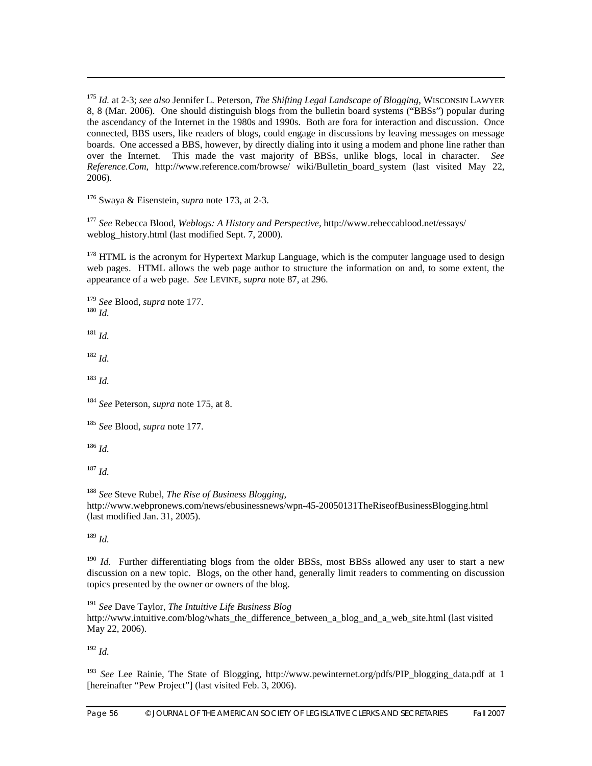<sup>175</sup> *Id.* at 2-3; *see also* Jennifer L. Peterson, *The Shifting Legal Landscape of Blogging*, WISCONSIN LAWYER 8, 8 (Mar. 2006). One should distinguish blogs from the bulletin board systems ("BBSs") popular during the ascendancy of the Internet in the 1980s and 1990s. Both are fora for interaction and discussion. Once connected, BBS users, like readers of blogs, could engage in discussions by leaving messages on message boards. One accessed a BBS, however, by directly dialing into it using a modem and phone line rather than over the Internet. This made the vast majority of BBSs, unlike blogs, local in character. *See Reference.Com*, http://www.reference.com/browse/ wiki/Bulletin\_board\_system (last visited May 22, 2006).

176 Swaya & Eisenstein, *supra* note 173, at 2-3.

<sup>177</sup> *See* Rebecca Blood, *Weblogs: A History and Perspective,* http://www.rebeccablood.net/essays/ weblog\_history.html (last modified Sept. 7, 2000).

 $178$  HTML is the acronym for Hypertext Markup Language, which is the computer language used to design web pages. HTML allows the web page author to structure the information on and, to some extent, the appearance of a web page. *See* LEVINE, *supra* note 87, at 296.

<sup>179</sup> *See* Blood, *supra* note 177. 180 *Id.* 

 $\overline{a}$ 

<sup>181</sup> *Id.* 

<sup>182</sup> *Id.*

<sup>183</sup> *Id.* 

<sup>184</sup> *See* Peterson, *supra* note 175, at 8.

<sup>185</sup> *See* Blood, *supra* note 177.

 $186$  *Id.* 

<sup>187</sup> *Id.* 

<sup>188</sup> *See* Steve Rubel, *The Rise of Business Blogging*, http://www.webpronews.com/news/ebusinessnews/wpn-45-20050131TheRiseofBusinessBlogging.html (last modified Jan. 31, 2005).

 $189$  *Id.* 

<sup>190</sup> *Id.* Further differentiating blogs from the older BBSs, most BBSs allowed any user to start a new discussion on a new topic. Blogs, on the other hand, generally limit readers to commenting on discussion topics presented by the owner or owners of the blog.

<sup>191</sup> *See* Dave Taylor, *The Intuitive Life Business Blog*  http://www.intuitive.com/blog/whats\_the\_difference\_between\_a\_blog\_and\_a\_web\_site.html (last visited May 22, 2006).

 $192$  *Id.* 

<sup>193</sup> See Lee Rainie, The State of Blogging, http://www.pewinternet.org/pdfs/PIP blogging data.pdf at 1 [hereinafter "Pew Project"] (last visited Feb. 3, 2006).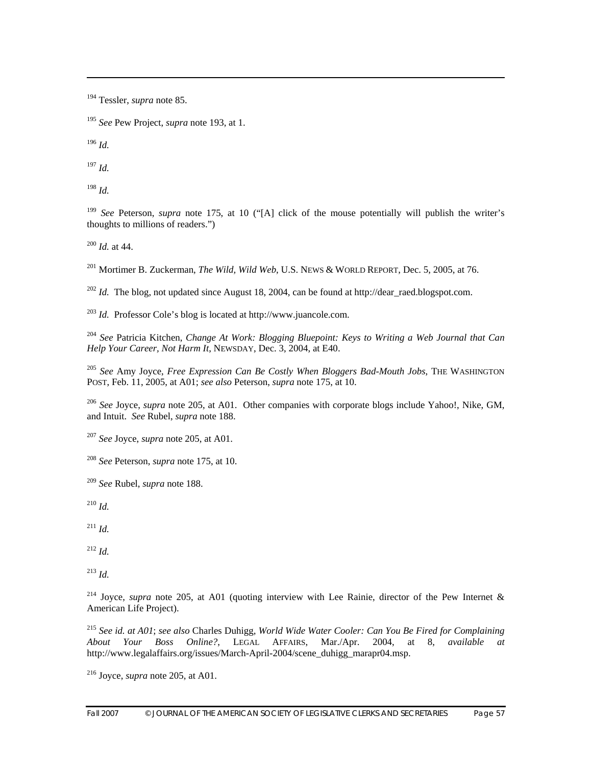194 Tessler, *supra* note 85.

<sup>195</sup> *See* Pew Project, *supra* note 193, at 1.

<sup>196</sup> *Id.*

 $\overline{a}$ 

<sup>197</sup> *Id.* 

<sup>198</sup> *Id.*

<sup>199</sup> *See* Peterson, *supra* note 175, at 10 ("[A] click of the mouse potentially will publish the writer's thoughts to millions of readers.")

<sup>200</sup> *Id.* at 44.

201 Mortimer B. Zuckerman, *The Wild, Wild Web*, U.S. NEWS & WORLD REPORT, Dec. 5, 2005, at 76.

 $^{202}$  *Id.* The blog, not updated since August 18, 2004, can be found at http://dear\_raed.blogspot.com.

<sup>203</sup> *Id.* Professor Cole's blog is located at http://www.juancole.com.

<sup>204</sup> *See* Patricia Kitchen, *Change At Work: Blogging Bluepoint: Keys to Writing a Web Journal that Can Help Your Career, Not Harm It*, NEWSDAY, Dec. 3, 2004, at E40.

<sup>205</sup> *See* Amy Joyce, *Free Expression Can Be Costly When Bloggers Bad-Mouth Jobs*, THE WASHINGTON POST, Feb. 11, 2005, at A01; *see also* Peterson, *supra* note 175, at 10.

<sup>206</sup> *See* Joyce, *supra* note 205, at A01. Other companies with corporate blogs include Yahoo!, Nike, GM, and Intuit. *See* Rubel, *supra* note 188.

<sup>207</sup> *See* Joyce, *supra* note 205, at A01.

<sup>208</sup> *See* Peterson, *supra* note 175, at 10.

<sup>209</sup> *See* Rubel, *supra* note 188.

<sup>210</sup> *Id.*

 $^{211}$  *Id.* 

 $^{212}$  *Id.* 

 $^{213}$  *Id.* 

214 Joyce, *supra* note 205, at A01 (quoting interview with Lee Rainie, director of the Pew Internet & American Life Project).

<sup>215</sup> *See id. at A01*; *see also* Charles Duhigg, *World Wide Water Cooler: Can You Be Fired for Complaining About Your Boss Online?*, LEGAL AFFAIRS, Mar./Apr. 2004, at 8, *available at* http://www.legalaffairs.org/issues/March-April-2004/scene\_duhigg\_marapr04.msp.

216 Joyce, *supra* note 205, at A01.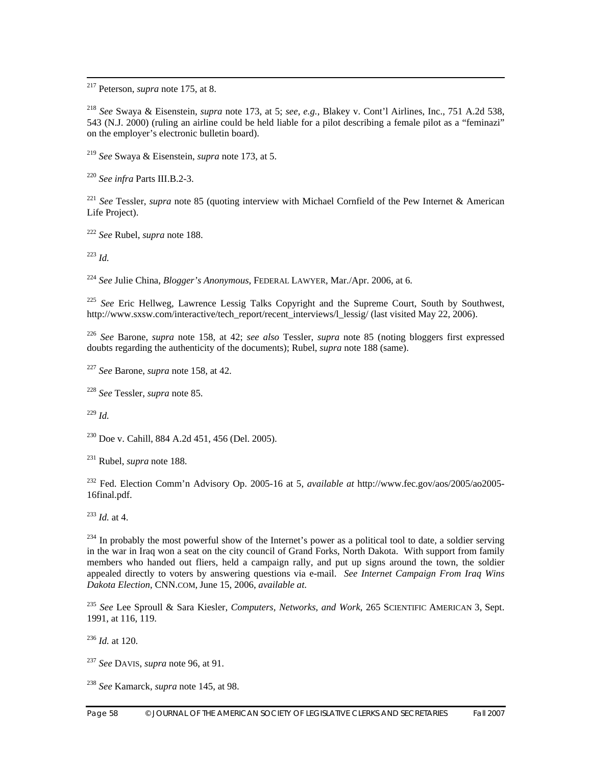217 Peterson, *supra* note 175, at 8.

<sup>218</sup> *See* Swaya & Eisenstein, *supra* note 173, at 5; *see*, *e.g.*, Blakey v. Cont'l Airlines, Inc., 751 A.2d 538, 543 (N.J. 2000) (ruling an airline could be held liable for a pilot describing a female pilot as a "feminazi" on the employer's electronic bulletin board).

<sup>219</sup> *See* Swaya & Eisenstein, *supra* note 173, at 5.

<sup>220</sup> *See infra* Parts III.B.2-3.

<sup>221</sup> *See* Tessler, *supra* note 85 (quoting interview with Michael Cornfield of the Pew Internet & American Life Project).

<sup>222</sup> *See* Rubel, *supra* note 188.

<sup>223</sup> *Id.*

<sup>224</sup> *See* Julie China, *Blogger's Anonymous*, FEDERAL LAWYER, Mar./Apr. 2006, at 6.

<sup>225</sup> See Eric Hellweg, Lawrence Lessig Talks Copyright and the Supreme Court, South by Southwest, http://www.sxsw.com/interactive/tech\_report/recent\_interviews/l\_lessig/ (last visited May 22, 2006).

<sup>226</sup> *See* Barone, *supra* note 158, at 42; *see also* Tessler, *supra* note 85 (noting bloggers first expressed doubts regarding the authenticity of the documents); Rubel, *supra* note 188 (same).

<sup>227</sup> *See* Barone, *supra* note 158, at 42.

<sup>228</sup> *See* Tessler, *supra* note 85.

<sup>229</sup> *Id.*

 $230$  Doe v. Cahill, 884 A.2d 451, 456 (Del. 2005).

231 Rubel, *supra* note 188.

232 Fed. Election Comm'n Advisory Op. 2005-16 at 5, *available at* http://www.fec.gov/aos/2005/ao2005- 16final.pdf.

<sup>233</sup> *Id.* at 4.

<sup>234</sup> In probably the most powerful show of the Internet's power as a political tool to date, a soldier serving in the war in Iraq won a seat on the city council of Grand Forks, North Dakota. With support from family members who handed out fliers, held a campaign rally, and put up signs around the town, the soldier appealed directly to voters by answering questions via e-mail. *See Internet Campaign From Iraq Wins Dakota Election*, CNN.COM, June 15, 2006, *available at*.

<sup>235</sup> *See* Lee Sproull & Sara Kiesler, *Computers, Networks, and Work*, 265 SCIENTIFIC AMERICAN 3, Sept. 1991, at 116, 119.

<sup>236</sup> *Id.* at 120.

<sup>237</sup> *See* DAVIS, *supra* note 96, at 91.

<sup>238</sup> *See* Kamarck, *supra* note 145, at 98.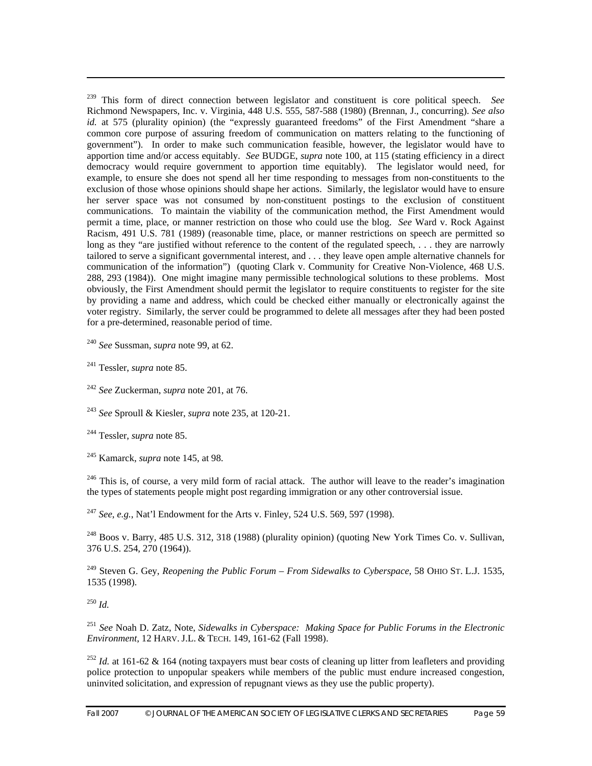239 This form of direct connection between legislator and constituent is core political speech. *See* Richmond Newspapers, Inc. v. Virginia, 448 U.S. 555, 587-588 (1980) (Brennan, J., concurring). *See also*  id. at 575 (plurality opinion) (the "expressly guaranteed freedoms" of the First Amendment "share a common core purpose of assuring freedom of communication on matters relating to the functioning of government"). In order to make such communication feasible, however, the legislator would have to apportion time and/or access equitably. *See* BUDGE, *supra* note 100, at 115 (stating efficiency in a direct democracy would require government to apportion time equitably). The legislator would need, for example, to ensure she does not spend all her time responding to messages from non-constituents to the exclusion of those whose opinions should shape her actions. Similarly, the legislator would have to ensure her server space was not consumed by non-constituent postings to the exclusion of constituent communications. To maintain the viability of the communication method, the First Amendment would permit a time, place, or manner restriction on those who could use the blog. *See* Ward v. Rock Against Racism, 491 U.S. 781 (1989) (reasonable time, place, or manner restrictions on speech are permitted so long as they "are justified without reference to the content of the regulated speech, ... they are narrowly tailored to serve a significant governmental interest, and . . . they leave open ample alternative channels for communication of the information") (quoting Clark v. Community for Creative Non-Violence, 468 U.S. 288, 293 (1984)). One might imagine many permissible technological solutions to these problems. Most obviously, the First Amendment should permit the legislator to require constituents to register for the site by providing a name and address, which could be checked either manually or electronically against the voter registry. Similarly, the server could be programmed to delete all messages after they had been posted for a pre-determined, reasonable period of time.

<sup>240</sup> *See* Sussman, *supra* note 99, at 62.

241 Tessler, *supra* note 85.

 $\overline{a}$ 

<sup>242</sup> *See* Zuckerman, *supra* note 201, at 76.

<sup>243</sup> *See* Sproull & Kiesler, *supra* note 235, at 120-21.

244 Tessler, *supra* note 85.

245 Kamarck, *supra* note 145, at 98.

<sup>246</sup> This is, of course, a very mild form of racial attack. The author will leave to the reader's imagination the types of statements people might post regarding immigration or any other controversial issue.

<sup>247</sup> *See*, *e.g.*, Nat'l Endowment for the Arts v. Finley, 524 U.S. 569, 597 (1998).

 $^{248}$  Boos v. Barry, 485 U.S. 312, 318 (1988) (plurality opinion) (quoting New York Times Co. v. Sullivan, 376 U.S. 254, 270 (1964)).

249 Steven G. Gey, *Reopening the Public Forum – From Sidewalks to Cyberspace*, 58 OHIO ST. L.J. 1535, 1535 (1998).

<sup>250</sup> *Id.*

<sup>251</sup> *See* Noah D. Zatz, Note, *Sidewalks in Cyberspace: Making Space for Public Forums in the Electronic Environment*, 12 HARV. J.L. & TECH. 149, 161-62 (Fall 1998).

<sup>252</sup> *Id.* at 161-62 & 164 (noting taxpayers must bear costs of cleaning up litter from leafleters and providing police protection to unpopular speakers while members of the public must endure increased congestion, uninvited solicitation, and expression of repugnant views as they use the public property).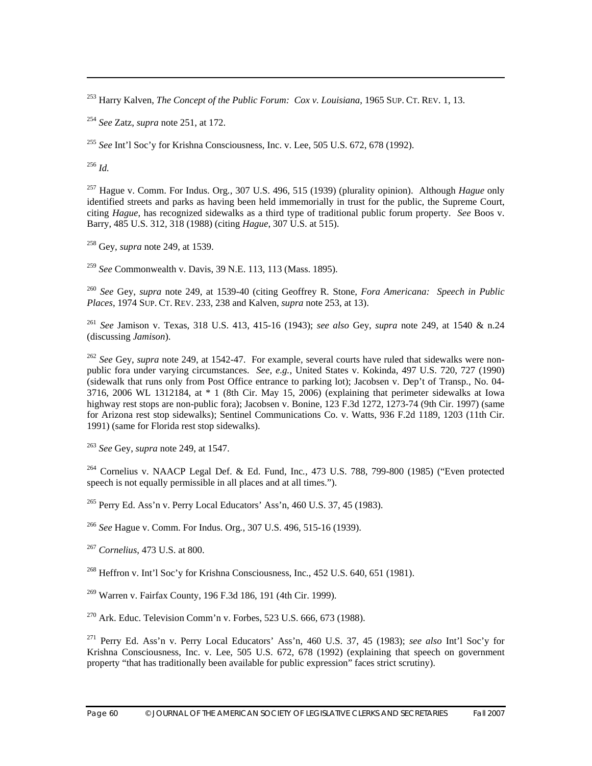253 Harry Kalven, *The Concept of the Public Forum: Cox v. Louisiana*, 1965 SUP. CT. REV. 1, 13.

<sup>254</sup> *See* Zatz, *supra* note 251, at 172.

<sup>255</sup> *See* Int'l Soc'y for Krishna Consciousness, Inc. v. Lee, 505 U.S. 672, 678 (1992).

<sup>256</sup> *Id.*

 $\overline{a}$ 

257 Hague v. Comm. For Indus. Org*.*, 307 U.S. 496, 515 (1939) (plurality opinion). Although *Hague* only identified streets and parks as having been held immemorially in trust for the public, the Supreme Court, citing *Hague*, has recognized sidewalks as a third type of traditional public forum property. *See* Boos v. Barry, 485 U.S. 312, 318 (1988) (citing *Hague*, 307 U.S. at 515).

258 Gey, *supra* note 249, at 1539.

<sup>259</sup> *See* Commonwealth v. Davis, 39 N.E. 113, 113 (Mass. 1895).

<sup>260</sup> *See* Gey, *supra* note 249, at 1539-40 (citing Geoffrey R. Stone, *Fora Americana: Speech in Public Places*, 1974 SUP. CT. REV. 233, 238 and Kalven, *supra* note 253, at 13).

<sup>261</sup> *See* Jamison v. Texas, 318 U.S. 413, 415-16 (1943); *see also* Gey, *supra* note 249, at 1540 & n.24 (discussing *Jamison*).

<sup>262</sup> *See* Gey, *supra* note 249, at 1542-47. For example, several courts have ruled that sidewalks were nonpublic fora under varying circumstances. *See*, *e.g.*, United States v. Kokinda, 497 U.S. 720, 727 (1990) (sidewalk that runs only from Post Office entrance to parking lot); Jacobsen v. Dep't of Transp*.*, No. 04- 3716, 2006 WL 1312184, at \* 1 (8th Cir. May 15, 2006) (explaining that perimeter sidewalks at Iowa highway rest stops are non-public fora); Jacobsen v. Bonine, 123 F.3d 1272, 1273-74 (9th Cir. 1997) (same for Arizona rest stop sidewalks); Sentinel Communications Co. v. Watts, 936 F.2d 1189, 1203 (11th Cir. 1991) (same for Florida rest stop sidewalks).

<sup>263</sup> *See* Gey, *supra* note 249, at 1547.

264 Cornelius v. NAACP Legal Def. & Ed. Fund, Inc*.*, 473 U.S. 788, 799-800 (1985) ("Even protected speech is not equally permissible in all places and at all times.").

 $^{265}$  Perry Ed. Ass'n v. Perry Local Educators' Ass'n, 460 U.S. 37, 45 (1983).

<sup>266</sup> *See* Hague v. Comm. For Indus. Org*.*, 307 U.S. 496, 515-16 (1939).

<sup>267</sup> *Cornelius*, 473 U.S. at 800.

268 Heffron v. Int'l Soc'y for Krishna Consciousness, Inc*.*, 452 U.S. 640, 651 (1981).

269 Warren v. Fairfax County, 196 F.3d 186, 191 (4th Cir. 1999).

<sup>270</sup> Ark. Educ. Television Comm'n v. Forbes, 523 U.S. 666, 673 (1988).

271 Perry Ed. Ass'n v. Perry Local Educators' Ass'n, 460 U.S. 37, 45 (1983); *see also* Int'l Soc'y for Krishna Consciousness, Inc. v. Lee, 505 U.S. 672, 678 (1992) (explaining that speech on government property "that has traditionally been available for public expression" faces strict scrutiny).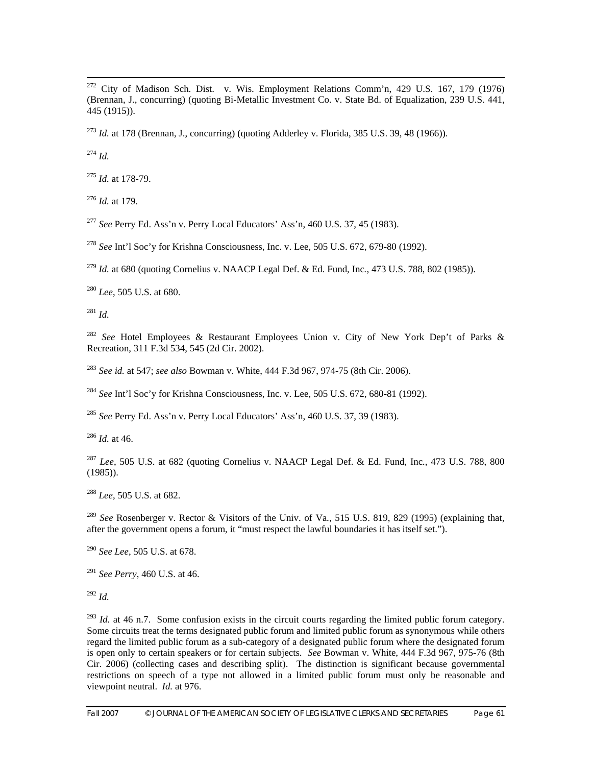272 City of Madison Sch. Dist. v. Wis. Employment Relations Comm'n, 429 U.S. 167, 179 (1976) (Brennan, J., concurring) (quoting Bi-Metallic Investment Co. v. State Bd. of Equalization, 239 U.S. 441, 445 (1915)).

<sup>273</sup> *Id.* at 178 (Brennan, J., concurring) (quoting Adderley v. Florida, 385 U.S. 39, 48 (1966)).

<sup>274</sup> *Id.*

<sup>275</sup> *Id.* at 178-79.

<sup>276</sup> *Id.* at 179.

<sup>277</sup> *See* Perry Ed. Ass'n v. Perry Local Educators' Ass'n, 460 U.S. 37, 45 (1983).

<sup>278</sup> *See* Int'l Soc'y for Krishna Consciousness, Inc. v. Lee, 505 U.S. 672, 679-80 (1992).

<sup>279</sup> *Id.* at 680 (quoting Cornelius v. NAACP Legal Def. & Ed. Fund, Inc*.*, 473 U.S. 788, 802 (1985)).

<sup>280</sup> *Lee*, 505 U.S. at 680.

<sup>281</sup> *Id.*

<sup>282</sup> *See* Hotel Employees & Restaurant Employees Union v. City of New York Dep't of Parks & Recreation, 311 F.3d 534, 545 (2d Cir. 2002).

<sup>283</sup> *See id.* at 547; *see also* Bowman v. White, 444 F.3d 967, 974-75 (8th Cir. 2006).

<sup>284</sup> *See* Int'l Soc'y for Krishna Consciousness, Inc. v. Lee, 505 U.S. 672, 680-81 (1992).

<sup>285</sup> *See* Perry Ed. Ass'n v. Perry Local Educators' Ass'n, 460 U.S. 37, 39 (1983).

 $^{286}$  *Id.* at 46.

<sup>287</sup> *Lee*, 505 U.S. at 682 (quoting Cornelius v. NAACP Legal Def. & Ed. Fund, Inc*.*, 473 U.S. 788, 800 (1985)).

<sup>288</sup> *Lee*, 505 U.S. at 682.

<sup>289</sup> *See* Rosenberger v. Rector & Visitors of the Univ. of Va*.*, 515 U.S. 819, 829 (1995) (explaining that, after the government opens a forum, it "must respect the lawful boundaries it has itself set.").

<sup>290</sup> *See Lee*, 505 U.S. at 678.

<sup>291</sup> *See Perry*, 460 U.S. at 46.

 $^{292}$  *Id.* 

<sup>293</sup> *Id.* at 46 n.7. Some confusion exists in the circuit courts regarding the limited public forum category. Some circuits treat the terms designated public forum and limited public forum as synonymous while others regard the limited public forum as a sub-category of a designated public forum where the designated forum is open only to certain speakers or for certain subjects. *See* Bowman v. White, 444 F.3d 967, 975-76 (8th Cir. 2006) (collecting cases and describing split). The distinction is significant because governmental restrictions on speech of a type not allowed in a limited public forum must only be reasonable and viewpoint neutral. *Id.* at 976.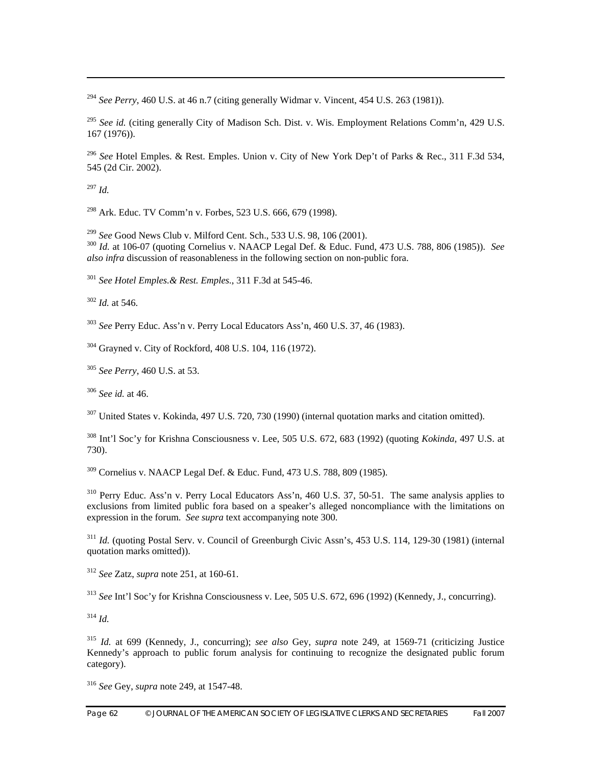<sup>294</sup> *See Perry*, 460 U.S. at 46 n.7 (citing generally Widmar v. Vincent, 454 U.S. 263 (1981)).

<sup>295</sup> See id. (citing generally City of Madison Sch. Dist. v. Wis. Employment Relations Comm'n, 429 U.S. 167 (1976)).

<sup>296</sup> *See* Hotel Emples. & Rest. Emples. Union v. City of New York Dep't of Parks & Rec., 311 F.3d 534, 545 (2d Cir. 2002).

 $^{297}$  *Id.* 

 $\overline{a}$ 

298 Ark. Educ. TV Comm'n v. Forbes, 523 U.S. 666, 679 (1998).

<sup>299</sup> *See* Good News Club v. Milford Cent. Sch., 533 U.S. 98, 106 (2001).<br><sup>300</sup> *Id.* at 106-07 (quoting Cornelius v. NAACP Legal Def. & Educ. Fund, 473 U.S. 788, 806 (1985)). *See also infra* discussion of reasonableness in the following section on non-public fora.

<sup>301</sup> *See Hotel Emples.& Rest. Emples.*, 311 F.3d at 545-46.

<sup>302</sup> *Id.* at 546.

<sup>303</sup> *See* Perry Educ. Ass'n v. Perry Local Educators Ass'n, 460 U.S. 37, 46 (1983).

304 Grayned v. City of Rockford, 408 U.S. 104, 116 (1972).

<sup>305</sup> *See Perry*, 460 U.S. at 53.

<sup>306</sup> *See id.* at 46.

 $307$  United States v. Kokinda, 497 U.S. 720, 730 (1990) (internal quotation marks and citation omitted).

308 Int'l Soc'y for Krishna Consciousness v. Lee, 505 U.S. 672, 683 (1992) (quoting *Kokinda*, 497 U.S. at 730).

309 Cornelius v. NAACP Legal Def. & Educ. Fund, 473 U.S. 788, 809 (1985).

310 Perry Educ. Ass'n v. Perry Local Educators Ass'n, 460 U.S. 37, 50-51. The same analysis applies to exclusions from limited public fora based on a speaker's alleged noncompliance with the limitations on expression in the forum. *See supra* text accompanying note 300.

<sup>311</sup> *Id.* (quoting Postal Serv. v. Council of Greenburgh Civic Assn's, 453 U.S. 114, 129-30 (1981) (internal quotation marks omitted)).

<sup>312</sup> *See* Zatz, *supra* note 251, at 160-61.

<sup>313</sup> *See* Int'l Soc'y for Krishna Consciousness v. Lee, 505 U.S. 672, 696 (1992) (Kennedy, J., concurring).

 $314$  *Id.* 

<sup>315</sup> *Id.* at 699 (Kennedy, J., concurring); *see also* Gey, *supra* note 249, at 1569-71 (criticizing Justice Kennedy's approach to public forum analysis for continuing to recognize the designated public forum category).

<sup>316</sup> *See* Gey, *supra* note 249, at 1547-48.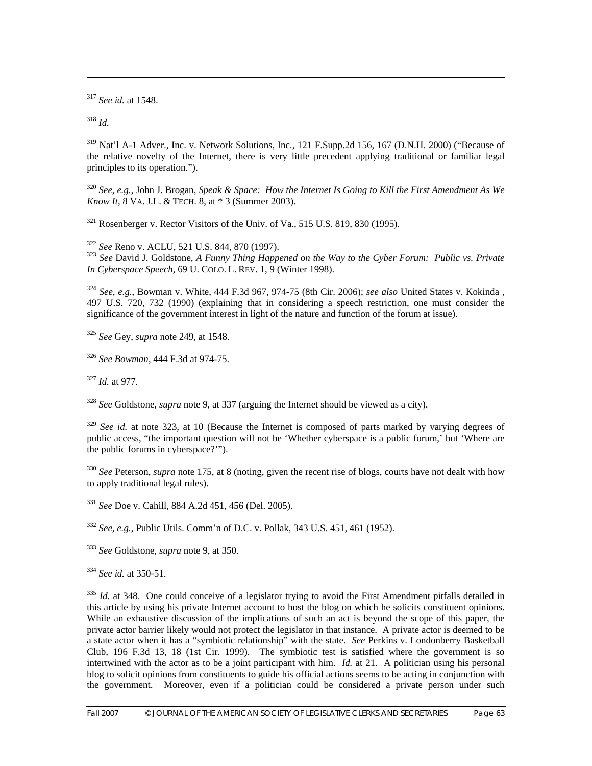<sup>317</sup> *See id.* at 1548.

<sup>318</sup> *Id.*

 $\overline{a}$ 

319 Nat'l A-1 Adver., Inc. v. Network Solutions, Inc., 121 F.Supp.2d 156, 167 (D.N.H. 2000) ("Because of the relative novelty of the Internet, there is very little precedent applying traditional or familiar legal principles to its operation.").

<sup>320</sup> *See*, *e.g.*, John J. Brogan, *Speak & Space: How the Internet Is Going to Kill the First Amendment As We Know It*, 8 VA.J.L. & TECH. 8, at \* 3 (Summer 2003).

 $321$  Rosenberger v. Rector Visitors of the Univ. of Va., 515 U.S. 819, 830 (1995).

<sup>322</sup> *See* Reno v. ACLU, 521 U.S. 844, 870 (1997). 323 *See* David J. Goldstone, *A Funny Thing Happened on the Way to the Cyber Forum: Public vs. Private In Cyberspace Speech*, 69 U. COLO. L. REV. 1, 9 (Winter 1998).

<sup>324</sup> *See*, *e.g.*, Bowman v. White, 444 F.3d 967, 974-75 (8th Cir. 2006); *see also* United States v. Kokinda , 497 U.S. 720, 732 (1990) (explaining that in considering a speech restriction, one must consider the significance of the government interest in light of the nature and function of the forum at issue).

<sup>325</sup> *See* Gey, *supra* note 249, at 1548.

<sup>326</sup> *See Bowman*, 444 F.3d at 974-75.

<sup>327</sup> *Id.* at 977.

<sup>328</sup> *See* Goldstone, *supra* note 9, at 337 (arguing the Internet should be viewed as a city).

<sup>329</sup> *See id.* at note 323, at 10 (Because the Internet is composed of parts marked by varying degrees of public access, "the important question will not be 'Whether cyberspace is a public forum,' but 'Where are the public forums in cyberspace?'").

<sup>330</sup> *See* Peterson, *supra* note 175, at 8 (noting, given the recent rise of blogs, courts have not dealt with how to apply traditional legal rules).

<sup>331</sup> *See* Doe v. Cahill, 884 A.2d 451, 456 (Del. 2005).

<sup>332</sup> *See*, *e.g.*, Public Utils. Comm'n of D.C. v. Pollak, 343 U.S. 451, 461 (1952).

<sup>333</sup> *See* Goldstone, *supra* note 9, at 350.

<sup>334</sup> *See id.* at 350-51.

<sup>335</sup> *Id.* at 348. One could conceive of a legislator trying to avoid the First Amendment pitfalls detailed in this article by using his private Internet account to host the blog on which he solicits constituent opinions. While an exhaustive discussion of the implications of such an act is beyond the scope of this paper, the private actor barrier likely would not protect the legislator in that instance. A private actor is deemed to be a state actor when it has a "symbiotic relationship" with the state. *See* Perkins v. Londonberry Basketball Club, 196 F.3d 13, 18 (1st Cir. 1999). The symbiotic test is satisfied where the government is so intertwined with the actor as to be a joint participant with him. *Id.* at 21. A politician using his personal blog to solicit opinions from constituents to guide his official actions seems to be acting in conjunction with the government. Moreover, even if a politician could be considered a private person under such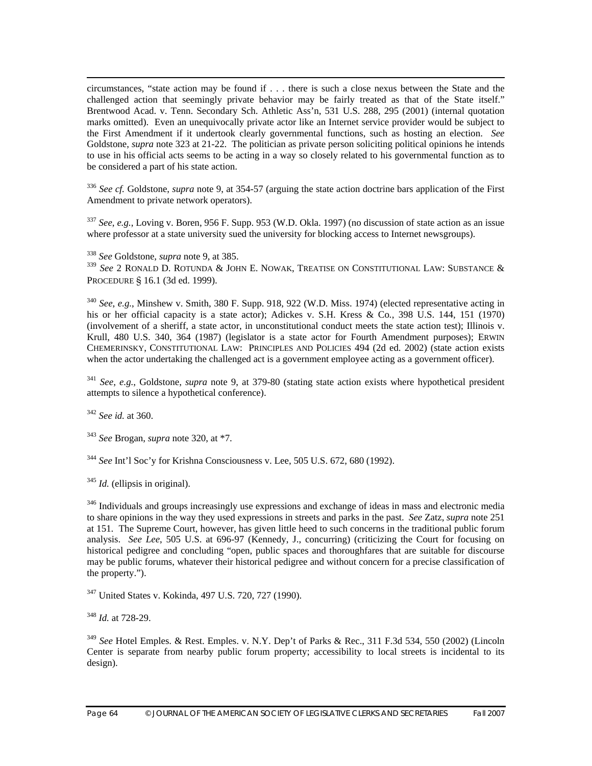circumstances, "state action may be found if . . . there is such a close nexus between the State and the challenged action that seemingly private behavior may be fairly treated as that of the State itself." Brentwood Acad. v. Tenn. Secondary Sch. Athletic Ass'n, 531 U.S. 288, 295 (2001) (internal quotation marks omitted). Even an unequivocally private actor like an Internet service provider would be subject to the First Amendment if it undertook clearly governmental functions, such as hosting an election. *See* Goldstone, *supra* note 323 at 21-22. The politician as private person soliciting political opinions he intends to use in his official acts seems to be acting in a way so closely related to his governmental function as to be considered a part of his state action.

<sup>336</sup> *See cf.* Goldstone, *supra* note 9, at 354-57 (arguing the state action doctrine bars application of the First Amendment to private network operators).

<sup>337</sup> *See*, *e.g.*, Loving v. Boren, 956 F. Supp. 953 (W.D. Okla. 1997) (no discussion of state action as an issue where professor at a state university sued the university for blocking access to Internet newsgroups).

<sup>338</sup> *See* Goldstone, *supra* note 9, at 385.

<sup>339</sup> *See* 2 RONALD D. ROTUNDA & JOHN E. NOWAK, TREATISE ON CONSTITUTIONAL LAW: SUBSTANCE & PROCEDURE § 16.1 (3d ed. 1999).

<sup>340</sup> *See*, *e.g.*, Minshew v. Smith, 380 F. Supp. 918, 922 (W.D. Miss. 1974) (elected representative acting in his or her official capacity is a state actor); Adickes v. S.H. Kress & Co*.*, 398 U.S. 144, 151 (1970) (involvement of a sheriff, a state actor, in unconstitutional conduct meets the state action test); Illinois v. Krull, 480 U.S. 340, 364 (1987) (legislator is a state actor for Fourth Amendment purposes); ERWIN CHEMERINSKY, CONSTITUTIONAL LAW: PRINCIPLES AND POLICIES 494 (2d ed. 2002) (state action exists when the actor undertaking the challenged act is a government employee acting as a government officer).

<sup>341</sup> *See*, *e.g.*, Goldstone, *supra* note 9, at 379-80 (stating state action exists where hypothetical president attempts to silence a hypothetical conference).

<sup>342</sup> *See id.* at 360.

<sup>343</sup> *See* Brogan, *supra* note 320, at \*7.

<sup>344</sup> *See* Int'l Soc'y for Krishna Consciousness v. Lee, 505 U.S. 672, 680 (1992).

<sup>345</sup> *Id.* (ellipsis in original).

<sup>346</sup> Individuals and groups increasingly use expressions and exchange of ideas in mass and electronic media to share opinions in the way they used expressions in streets and parks in the past. *See* Zatz, *supra* note 251 at 151. The Supreme Court, however, has given little heed to such concerns in the traditional public forum analysis. *See Lee*, 505 U.S. at 696-97 (Kennedy, J., concurring) (criticizing the Court for focusing on historical pedigree and concluding "open, public spaces and thoroughfares that are suitable for discourse may be public forums, whatever their historical pedigree and without concern for a precise classification of the property.").

347 United States v. Kokinda, 497 U.S. 720, 727 (1990).

<sup>348</sup> *Id.* at 728-29.

<sup>349</sup> *See* Hotel Emples. & Rest. Emples. v. N.Y. Dep't of Parks & Rec., 311 F.3d 534, 550 (2002) (Lincoln Center is separate from nearby public forum property; accessibility to local streets is incidental to its design).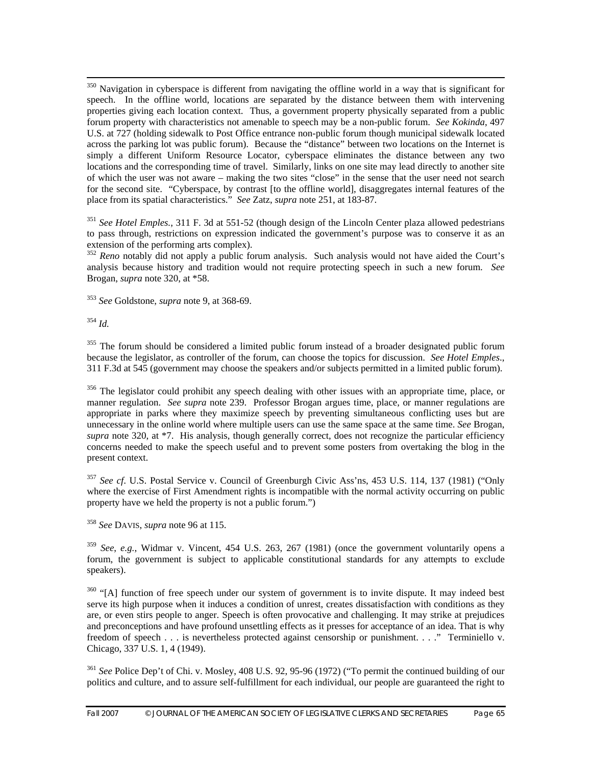<sup>350</sup> Navigation in cyberspace is different from navigating the offline world in a way that is significant for speech. In the offline world, locations are separated by the distance between them with intervening properties giving each location context. Thus, a government property physically separated from a public forum property with characteristics not amenable to speech may be a non-public forum. *See Kokinda*, 497 U.S. at 727 (holding sidewalk to Post Office entrance non-public forum though municipal sidewalk located across the parking lot was public forum). Because the "distance" between two locations on the Internet is simply a different Uniform Resource Locator, cyberspace eliminates the distance between any two locations and the corresponding time of travel. Similarly, links on one site may lead directly to another site of which the user was not aware – making the two sites "close" in the sense that the user need not search for the second site. "Cyberspace, by contrast [to the offline world], disaggregates internal features of the place from its spatial characteristics." *See* Zatz, *supra* note 251, at 183-87.

<sup>351</sup> *See Hotel Emples.*, 311 F. 3d at 551-52 (though design of the Lincoln Center plaza allowed pedestrians to pass through, restrictions on expression indicated the government's purpose was to conserve it as an extension of the performing arts complex).

<sup>352</sup> *Reno* notably did not apply a public forum analysis. Such analysis would not have aided the Court's analysis because history and tradition would not require protecting speech in such a new forum. *See* Brogan, *supra* note 320, at \*58.

<sup>353</sup> *See* Goldstone, *supra* note 9, at 368-69.

<sup>354</sup> *Id.*

<sup>355</sup> The forum should be considered a limited public forum instead of a broader designated public forum because the legislator, as controller of the forum, can choose the topics for discussion. *See Hotel Emples*., 311 F.3d at 545 (government may choose the speakers and/or subjects permitted in a limited public forum).

<sup>356</sup> The legislator could prohibit any speech dealing with other issues with an appropriate time, place, or manner regulation. *See supra* note 239. Professor Brogan argues time, place, or manner regulations are appropriate in parks where they maximize speech by preventing simultaneous conflicting uses but are unnecessary in the online world where multiple users can use the same space at the same time. *See* Brogan, *supra* note 320, at \*7. His analysis, though generally correct, does not recognize the particular efficiency concerns needed to make the speech useful and to prevent some posters from overtaking the blog in the present context.

<sup>357</sup> *See cf*. U.S. Postal Service v. Council of Greenburgh Civic Ass'ns, 453 U.S. 114, 137 (1981) ("Only where the exercise of First Amendment rights is incompatible with the normal activity occurring on public property have we held the property is not a public forum.")

<sup>358</sup> *See* DAVIS, *supra* note 96 at 115.

<sup>359</sup> *See*, *e.g.*, Widmar v. Vincent, 454 U.S. 263, 267 (1981) (once the government voluntarily opens a forum, the government is subject to applicable constitutional standards for any attempts to exclude speakers).

 $360$  "[A] function of free speech under our system of government is to invite dispute. It may indeed best serve its high purpose when it induces a condition of unrest, creates dissatisfaction with conditions as they are, or even stirs people to anger. Speech is often provocative and challenging. It may strike at prejudices and preconceptions and have profound unsettling effects as it presses for acceptance of an idea. That is why freedom of speech . . . is nevertheless protected against censorship or punishment. . . ." Terminiello v. Chicago, 337 U.S. 1, 4 (1949).

<sup>361</sup> *See* Police Dep't of Chi. v. Mosley, 408 U.S. 92, 95-96 (1972) ("To permit the continued building of our politics and culture, and to assure self-fulfillment for each individual, our people are guaranteed the right to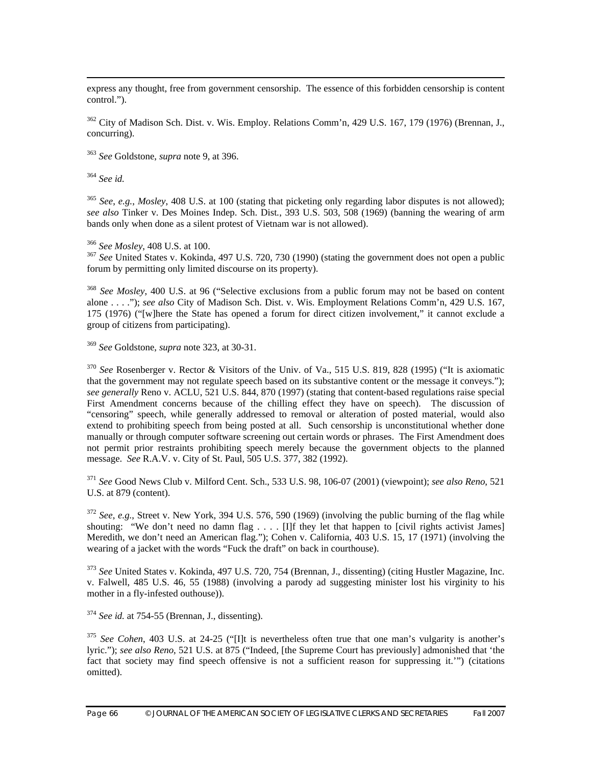express any thought, free from government censorship. The essence of this forbidden censorship is content control.").

 $362$  City of Madison Sch. Dist. v. Wis. Employ. Relations Comm'n, 429 U.S. 167, 179 (1976) (Brennan, J., concurring).

<sup>363</sup> *See* Goldstone, *supra* note 9, at 396.

<sup>364</sup> *See id.*

<sup>365</sup> *See*, *e.g.*, *Mosley*, 408 U.S. at 100 (stating that picketing only regarding labor disputes is not allowed); *see also* Tinker v. Des Moines Indep. Sch. Dist*.*, 393 U.S. 503, 508 (1969) (banning the wearing of arm bands only when done as a silent protest of Vietnam war is not allowed).

<sup>366</sup> *See Mosley*, 408 U.S. at 100.<br><sup>367</sup> *See* United States v. Kokinda, 497 U.S. 720, 730 (1990) (stating the government does not open a public forum by permitting only limited discourse on its property).

<sup>368</sup> *See Mosley*, 400 U.S. at 96 ("Selective exclusions from a public forum may not be based on content alone . . . ."); *see also* City of Madison Sch. Dist. v. Wis. Employment Relations Comm'n, 429 U.S. 167, 175 (1976) ("[w]here the State has opened a forum for direct citizen involvement," it cannot exclude a group of citizens from participating).

<sup>369</sup> *See* Goldstone, *supra* note 323, at 30-31.

<sup>370</sup> *See* Rosenberger v. Rector & Visitors of the Univ. of Va., 515 U.S. 819, 828 (1995) ("It is axiomatic that the government may not regulate speech based on its substantive content or the message it conveys."); *see generally* Reno v. ACLU, 521 U.S. 844, 870 (1997) (stating that content-based regulations raise special First Amendment concerns because of the chilling effect they have on speech). The discussion of "censoring" speech, while generally addressed to removal or alteration of posted material, would also extend to prohibiting speech from being posted at all. Such censorship is unconstitutional whether done manually or through computer software screening out certain words or phrases. The First Amendment does not permit prior restraints prohibiting speech merely because the government objects to the planned message. *See* R.A.V. v. City of St. Paul, 505 U.S. 377, 382 (1992).

<sup>371</sup> *See* Good News Club v. Milford Cent. Sch., 533 U.S. 98, 106-07 (2001) (viewpoint); *see also Reno*, 521 U.S. at 879 (content).

<sup>372</sup> *See*, *e.g.*, Street v. New York, 394 U.S. 576, 590 (1969) (involving the public burning of the flag while shouting: "We don't need no damn flag . . . . [I]f they let that happen to [civil rights activist James] Meredith, we don't need an American flag."); Cohen v. California, 403 U.S. 15, 17 (1971) (involving the wearing of a jacket with the words "Fuck the draft" on back in courthouse).

<sup>373</sup> *See* United States v. Kokinda, 497 U.S. 720, 754 (Brennan, J., dissenting) (citing Hustler Magazine, Inc. v. Falwell, 485 U.S. 46, 55 (1988) (involving a parody ad suggesting minister lost his virginity to his mother in a fly-infested outhouse)).

<sup>374</sup> *See id.* at 754-55 (Brennan, J., dissenting).

<sup>375</sup> *See Cohen*, 403 U.S. at 24-25 ("[I]t is nevertheless often true that one man's vulgarity is another's lyric."); *see also Reno*, 521 U.S. at 875 ("Indeed, [the Supreme Court has previously] admonished that 'the fact that society may find speech offensive is not a sufficient reason for suppressing it.'") (citations omitted).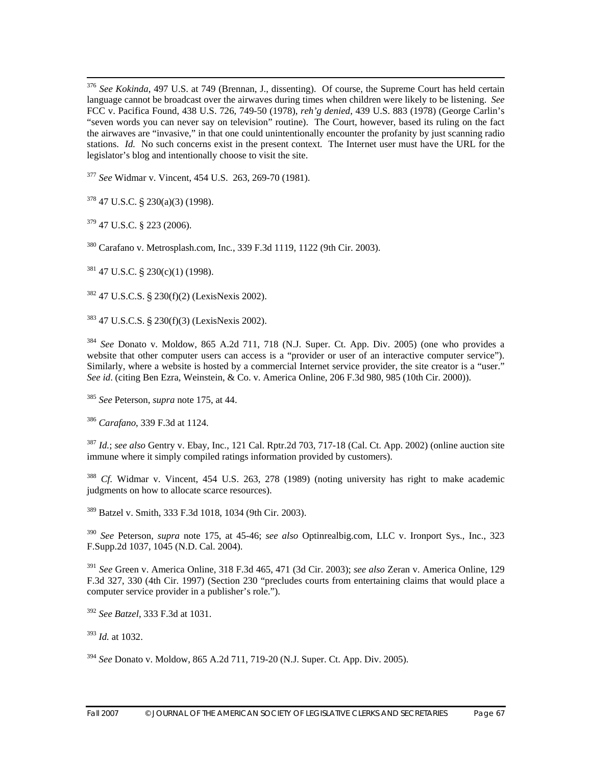376 *See Kokinda*, 497 U.S. at 749 (Brennan, J., dissenting). Of course, the Supreme Court has held certain language cannot be broadcast over the airwaves during times when children were likely to be listening. *See*  FCC v. Pacifica Found, 438 U.S. 726, 749-50 (1978), *reh'g denied*, 439 U.S. 883 (1978) (George Carlin's "seven words you can never say on television" routine). The Court, however, based its ruling on the fact the airwaves are "invasive," in that one could unintentionally encounter the profanity by just scanning radio stations. *Id.* No such concerns exist in the present context. The Internet user must have the URL for the legislator's blog and intentionally choose to visit the site.

<sup>377</sup> *See* Widmar v. Vincent, 454 U.S. 263, 269-70 (1981).

 $378$  47 U.S.C. § 230(a)(3) (1998).

379 47 U.S.C. § 223 (2006).

380 Carafano v. Metrosplash.com, Inc*.*, 339 F.3d 1119, 1122 (9th Cir. 2003).

 $381$  47 U.S.C. § 230(c)(1) (1998).

382 47 U.S.C.S. § 230(f)(2) (LexisNexis 2002).

383 47 U.S.C.S. § 230(f)(3) (LexisNexis 2002).

<sup>384</sup> *See* Donato v. Moldow, 865 A.2d 711, 718 (N.J. Super. Ct. App. Div. 2005) (one who provides a website that other computer users can access is a "provider or user of an interactive computer service"). Similarly, where a website is hosted by a commercial Internet service provider, the site creator is a "user." *See id*. (citing Ben Ezra, Weinstein, & Co. v. America Online, 206 F.3d 980, 985 (10th Cir. 2000)).

<sup>385</sup> *See* Peterson, *supra* note 175, at 44.

<sup>386</sup> *Carafano*, 339 F.3d at 1124.

<sup>387</sup> *Id.*; *see also* Gentry v. Ebay, Inc., 121 Cal. Rptr.2d 703, 717-18 (Cal. Ct. App. 2002) (online auction site immune where it simply compiled ratings information provided by customers).

<sup>388</sup> *Cf.* Widmar v. Vincent, 454 U.S. 263, 278 (1989) (noting university has right to make academic judgments on how to allocate scarce resources).

389 Batzel v. Smith, 333 F.3d 1018, 1034 (9th Cir. 2003).

<sup>390</sup> *See* Peterson, *supra* note 175, at 45-46; *see also* Optinrealbig.com, LLC v. Ironport Sys., Inc., 323 F.Supp.2d 1037, 1045 (N.D. Cal. 2004).

<sup>391</sup> *See* Green v. America Online, 318 F.3d 465, 471 (3d Cir. 2003); *see also* Zeran v. America Online, 129 F.3d 327, 330 (4th Cir. 1997) (Section 230 "precludes courts from entertaining claims that would place a computer service provider in a publisher's role.").

<sup>392</sup> *See Batzel*, 333 F.3d at 1031.

<sup>393</sup> *Id.* at 1032.

<sup>394</sup> *See* Donato v. Moldow, 865 A.2d 711, 719-20 (N.J. Super. Ct. App. Div. 2005).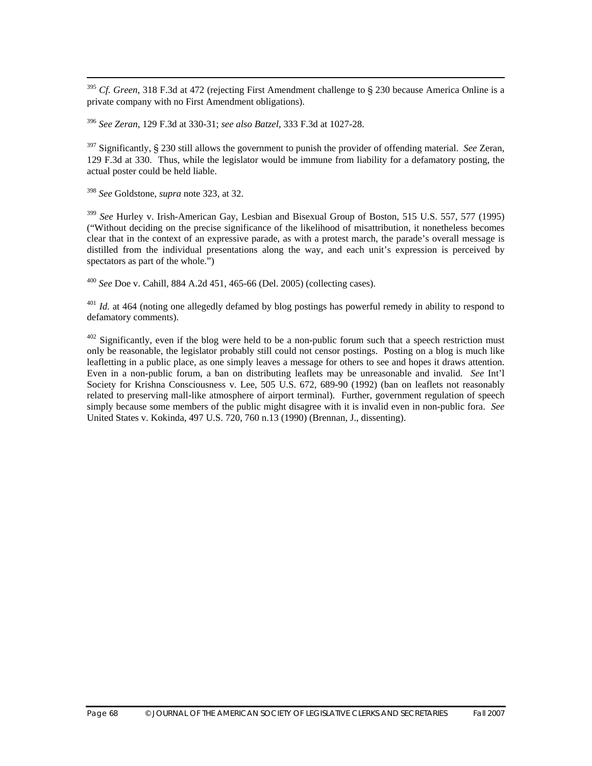395 *Cf. Green*, 318 F.3d at 472 (rejecting First Amendment challenge to § 230 because America Online is a private company with no First Amendment obligations).

<sup>396</sup> *See Zeran*, 129 F.3d at 330-31; *see also Batzel*, 333 F.3d at 1027-28.

397 Significantly, § 230 still allows the government to punish the provider of offending material. *See* Zeran, 129 F.3d at 330. Thus, while the legislator would be immune from liability for a defamatory posting, the actual poster could be held liable.

<sup>398</sup> *See* Goldstone, *supra* note 323, at 32.

<sup>399</sup> *See* Hurley v. Irish-American Gay, Lesbian and Bisexual Group of Boston, 515 U.S. 557, 577 (1995) ("Without deciding on the precise significance of the likelihood of misattribution, it nonetheless becomes clear that in the context of an expressive parade, as with a protest march, the parade's overall message is distilled from the individual presentations along the way, and each unit's expression is perceived by spectators as part of the whole.")

<sup>400</sup> *See* Doe v. Cahill*,* 884 A.2d 451, 465-66 (Del. 2005) (collecting cases).

<sup>401</sup> *Id.* at 464 (noting one allegedly defamed by blog postings has powerful remedy in ability to respond to defamatory comments).

 $402$  Significantly, even if the blog were held to be a non-public forum such that a speech restriction must only be reasonable, the legislator probably still could not censor postings. Posting on a blog is much like leafletting in a public place, as one simply leaves a message for others to see and hopes it draws attention. Even in a non-public forum, a ban on distributing leaflets may be unreasonable and invalid. *See* Int'l Society for Krishna Consciousness v. Lee, 505 U.S. 672, 689-90 (1992) (ban on leaflets not reasonably related to preserving mall-like atmosphere of airport terminal). Further, government regulation of speech simply because some members of the public might disagree with it is invalid even in non-public fora. *See*  United States v. Kokinda, 497 U.S. 720, 760 n.13 (1990) (Brennan, J., dissenting).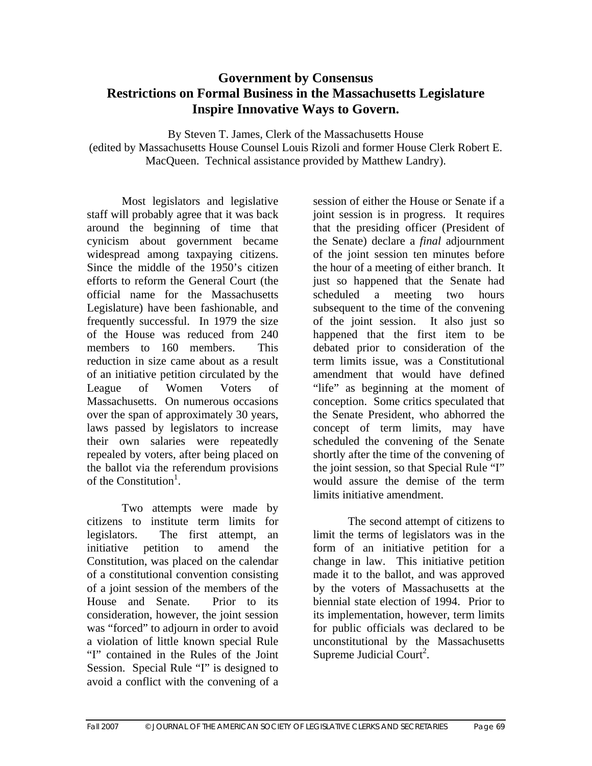# **Government by Consensus Restrictions on Formal Business in the Massachusetts Legislature Inspire Innovative Ways to Govern.**

By Steven T. James, Clerk of the Massachusetts House (edited by Massachusetts House Counsel Louis Rizoli and former House Clerk Robert E. MacQueen. Technical assistance provided by Matthew Landry).

Most legislators and legislative staff will probably agree that it was back around the beginning of time that cynicism about government became widespread among taxpaying citizens. Since the middle of the 1950's citizen efforts to reform the General Court (the official name for the Massachusetts Legislature) have been fashionable, and frequently successful. In 1979 the size of the House was reduced from 240 members to 160 members. This reduction in size came about as a result of an initiative petition circulated by the League of Women Voters of Massachusetts. On numerous occasions over the span of approximately 30 years, laws passed by legislators to increase their own salaries were repeatedly repealed by voters, after being placed on the ballot via the referendum provisions of the Constitution<sup>1</sup>.

Two attempts were made by citizens to institute term limits for legislators. The first attempt, an initiative petition to amend the Constitution, was placed on the calendar of a constitutional convention consisting of a joint session of the members of the House and Senate. Prior to its consideration, however, the joint session was "forced" to adjourn in order to avoid a violation of little known special Rule "I" contained in the Rules of the Joint Session. Special Rule "I" is designed to avoid a conflict with the convening of a

session of either the House or Senate if a joint session is in progress. It requires that the presiding officer (President of the Senate) declare a *final* adjournment of the joint session ten minutes before the hour of a meeting of either branch. It just so happened that the Senate had scheduled a meeting two hours subsequent to the time of the convening of the joint session. It also just so happened that the first item to be debated prior to consideration of the term limits issue, was a Constitutional amendment that would have defined "life" as beginning at the moment of conception. Some critics speculated that the Senate President, who abhorred the concept of term limits, may have scheduled the convening of the Senate shortly after the time of the convening of the joint session, so that Special Rule "I" would assure the demise of the term limits initiative amendment.

The second attempt of citizens to limit the terms of legislators was in the form of an initiative petition for a change in law. This initiative petition made it to the ballot, and was approved by the voters of Massachusetts at the biennial state election of 1994. Prior to its implementation, however, term limits for public officials was declared to be unconstitutional by the Massachusetts Supreme Judicial Court<sup>2</sup>.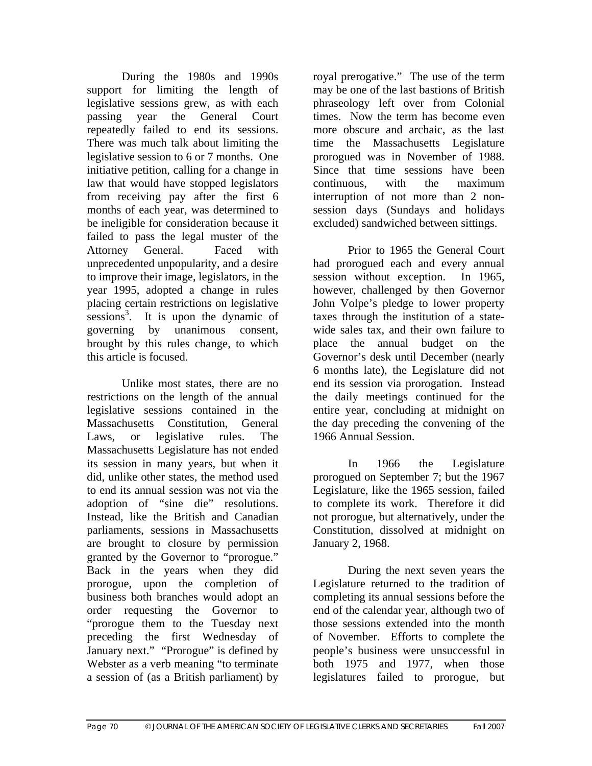During the 1980s and 1990s support for limiting the length of legislative sessions grew, as with each passing year the General Court repeatedly failed to end its sessions. There was much talk about limiting the legislative session to 6 or 7 months. One initiative petition, calling for a change in law that would have stopped legislators from receiving pay after the first 6 months of each year, was determined to be ineligible for consideration because it failed to pass the legal muster of the Attorney General. Faced with unprecedented unpopularity, and a desire to improve their image, legislators, in the year 1995, adopted a change in rules placing certain restrictions on legislative  $s$ essions<sup>3</sup>. It is upon the dynamic of governing by unanimous consent, brought by this rules change, to which this article is focused.

 Unlike most states, there are no restrictions on the length of the annual legislative sessions contained in the Massachusetts Constitution, General Laws, or legislative rules. The Massachusetts Legislature has not ended its session in many years, but when it did, unlike other states, the method used to end its annual session was not via the adoption of "sine die" resolutions. Instead, like the British and Canadian parliaments, sessions in Massachusetts are brought to closure by permission granted by the Governor to "prorogue." Back in the years when they did prorogue, upon the completion of business both branches would adopt an order requesting the Governor to "prorogue them to the Tuesday next preceding the first Wednesday of January next." "Prorogue" is defined by Webster as a verb meaning "to terminate a session of (as a British parliament) by royal prerogative." The use of the term may be one of the last bastions of British phraseology left over from Colonial times. Now the term has become even more obscure and archaic, as the last time the Massachusetts Legislature prorogued was in November of 1988. Since that time sessions have been continuous, with the maximum interruption of not more than 2 nonsession days (Sundays and holidays excluded) sandwiched between sittings.

Prior to 1965 the General Court had prorogued each and every annual session without exception. In 1965, however, challenged by then Governor John Volpe's pledge to lower property taxes through the institution of a statewide sales tax, and their own failure to place the annual budget on the Governor's desk until December (nearly 6 months late), the Legislature did not end its session via prorogation. Instead the daily meetings continued for the entire year, concluding at midnight on the day preceding the convening of the 1966 Annual Session.

In 1966 the Legislature prorogued on September 7; but the 1967 Legislature, like the 1965 session, failed to complete its work. Therefore it did not prorogue, but alternatively, under the Constitution, dissolved at midnight on January 2, 1968.

During the next seven years the Legislature returned to the tradition of completing its annual sessions before the end of the calendar year, although two of those sessions extended into the month of November. Efforts to complete the people's business were unsuccessful in both 1975 and 1977, when those legislatures failed to prorogue, but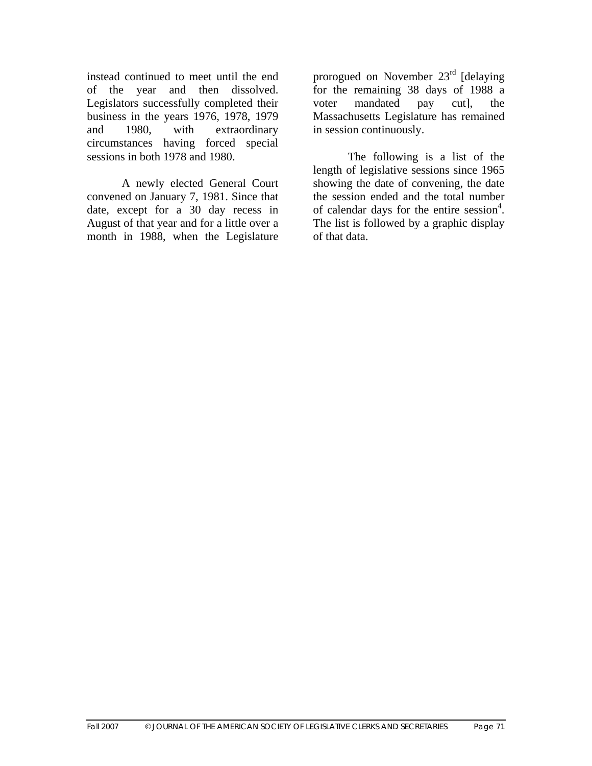instead continued to meet until the end of the year and then dissolved. Legislators successfully completed their business in the years 1976, 1978, 1979 and 1980, with extraordinary circumstances having forced special sessions in both 1978 and 1980.

A newly elected General Court convened on January 7, 1981. Since that date, except for a 30 day recess in August of that year and for a little over a month in 1988, when the Legislature

prorogued on November 23rd [delaying for the remaining 38 days of 1988 a voter mandated pay cut], the Massachusetts Legislature has remained in session continuously.

The following is a list of the length of legislative sessions since 1965 showing the date of convening, the date the session ended and the total number of calendar days for the entire session<sup>4</sup>. The list is followed by a graphic display of that data.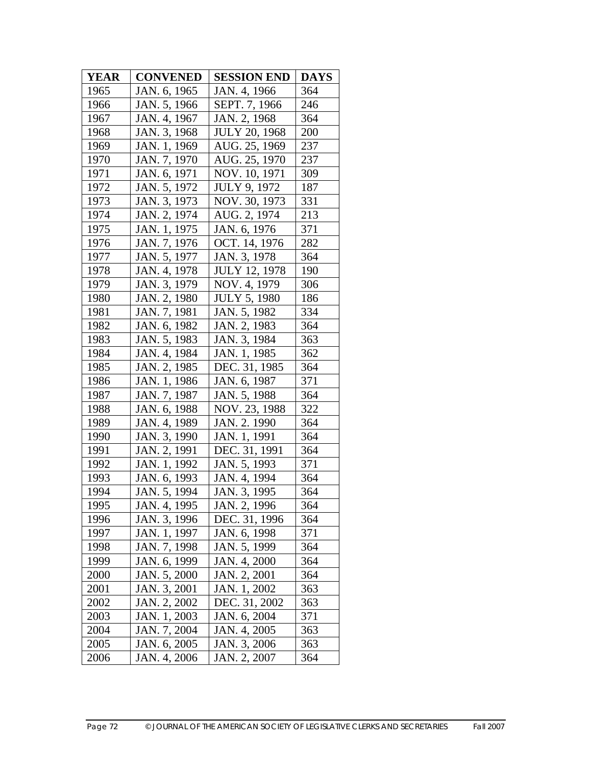| <b>YEAR</b> | <b>CONVENED</b> | <b>SESSION END</b>   | <b>DAYS</b> |
|-------------|-----------------|----------------------|-------------|
| 1965        | JAN. 6, 1965    | JAN. 4, 1966         | 364         |
| 1966        | JAN. 5, 1966    | SEPT. 7, 1966        | 246         |
| 1967        | JAN. 4, 1967    | JAN. 2, 1968         | 364         |
| 1968        | JAN. 3, 1968    | <b>JULY 20, 1968</b> | 200         |
| 1969        | JAN. 1, 1969    | AUG. 25, 1969        | 237         |
| 1970        | JAN. 7, 1970    | AUG. 25, 1970        | 237         |
| 1971        | JAN. 6, 1971    | NOV. 10, 1971        | 309         |
| 1972        | JAN. 5, 1972    | <b>JULY 9, 1972</b>  | 187         |
| 1973        | JAN. 3, 1973    | NOV. 30, 1973        | 331         |
| 1974        | JAN. 2, 1974    | AUG. 2, 1974         | 213         |
| 1975        | JAN. 1, 1975    | JAN. 6, 1976         | 371         |
| 1976        | JAN. 7, 1976    | OCT. 14, 1976        | 282         |
| 1977        | JAN. 5, 1977    | JAN. 3, 1978         | 364         |
| 1978        | JAN. 4, 1978    | <b>JULY 12, 1978</b> | 190         |
| 1979        | JAN. 3, 1979    | NOV. 4, 1979         | 306         |
| 1980        | JAN. 2, 1980    | <b>JULY 5, 1980</b>  | 186         |
| 1981        | JAN. 7, 1981    | JAN. 5, 1982         | 334         |
| 1982        | JAN. 6, 1982    | JAN. 2, 1983         | 364         |
| 1983        | JAN. 5, 1983    | JAN. 3, 1984         | 363         |
| 1984        | JAN. 4, 1984    | JAN. 1, 1985         | 362         |
| 1985        | JAN. 2, 1985    | DEC. 31, 1985        | 364         |
| 1986        | JAN. 1, 1986    | JAN. 6, 1987         | 371         |
| 1987        | JAN. 7, 1987    | JAN. 5, 1988         | 364         |
| 1988        | JAN. 6, 1988    | NOV. 23, 1988        | 322         |
| 1989        | JAN. 4, 1989    | JAN. 2. 1990         | 364         |
| 1990        | JAN. 3, 1990    | JAN. 1, 1991         | 364         |
| 1991        | JAN. 2, 1991    | DEC. 31, 1991        | 364         |
| 1992        | JAN. 1, 1992    | JAN. 5, 1993         | 371         |
| 1993        | JAN. 6, 1993    | JAN. 4, 1994         | 364         |
| 1994        | JAN. 5, 1994    | JAN. 3, 1995         | 364         |
| 1995        | JAN. 4, 1995    | JAN. 2, 1996         | 364         |
| 1996        | JAN. 3, 1996    | DEC. 31, 1996        | 364         |
| 1997        | JAN. 1, 1997    | JAN. 6, 1998         | 371         |
| 1998        | JAN. 7, 1998    | JAN. 5, 1999         | 364         |
| 1999        | JAN. 6, 1999    | JAN. 4, 2000         | 364         |
| 2000        | JAN. 5, 2000    | JAN. 2, 2001         | 364         |
| 2001        | JAN. 3, 2001    | JAN. 1, 2002         | 363         |
| 2002        | JAN. 2, 2002    | DEC. 31, 2002        | 363         |
| 2003        | JAN. 1, 2003    | JAN. 6, 2004         | 371         |
| 2004        | JAN. 7, 2004    | JAN. 4, 2005         | 363         |
| 2005        | JAN. 6, 2005    | JAN. 3, 2006         | 363         |
| 2006        | JAN. 4, 2006    | JAN. 2, 2007         | 364         |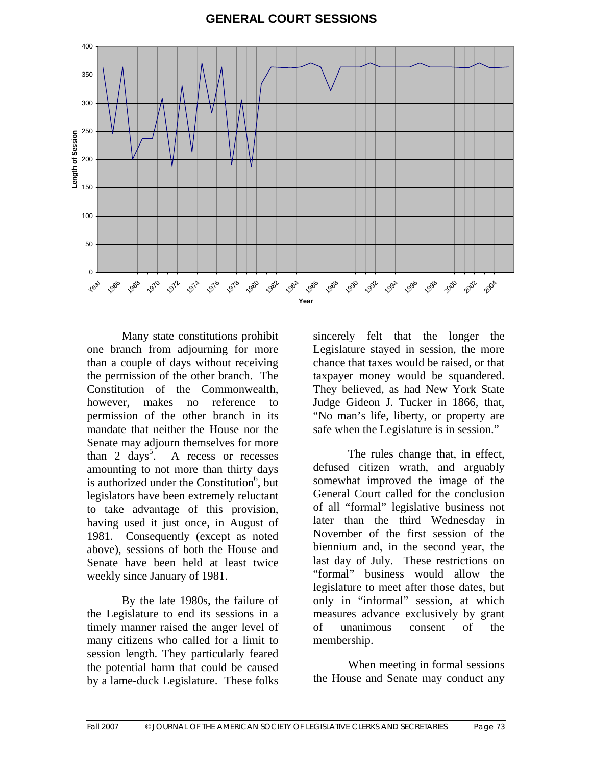#### **GENERAL COURT SESSIONS**



Many state constitutions prohibit one branch from adjourning for more than a couple of days without receiving the permission of the other branch. The Constitution of the Commonwealth, however, makes no reference to permission of the other branch in its mandate that neither the House nor the Senate may adjourn themselves for more than 2 days<sup>5</sup>. A recess or recesses amounting to not more than thirty days is authorized under the Constitution<sup>6</sup>, but legislators have been extremely reluctant to take advantage of this provision, having used it just once, in August of 1981. Consequently (except as noted above), sessions of both the House and Senate have been held at least twice weekly since January of 1981.

By the late 1980s, the failure of the Legislature to end its sessions in a timely manner raised the anger level of many citizens who called for a limit to session length. They particularly feared the potential harm that could be caused by a lame-duck Legislature. These folks

sincerely felt that the longer the Legislature stayed in session, the more chance that taxes would be raised, or that taxpayer money would be squandered. They believed, as had New York State Judge Gideon J. Tucker in 1866, that, "No man's life, liberty, or property are safe when the Legislature is in session."

 The rules change that, in effect, defused citizen wrath, and arguably somewhat improved the image of the General Court called for the conclusion of all "formal" legislative business not later than the third Wednesday in November of the first session of the biennium and, in the second year, the last day of July. These restrictions on "formal" business would allow the legislature to meet after those dates, but only in "informal" session, at which measures advance exclusively by grant of unanimous consent of the membership.

When meeting in formal sessions the House and Senate may conduct any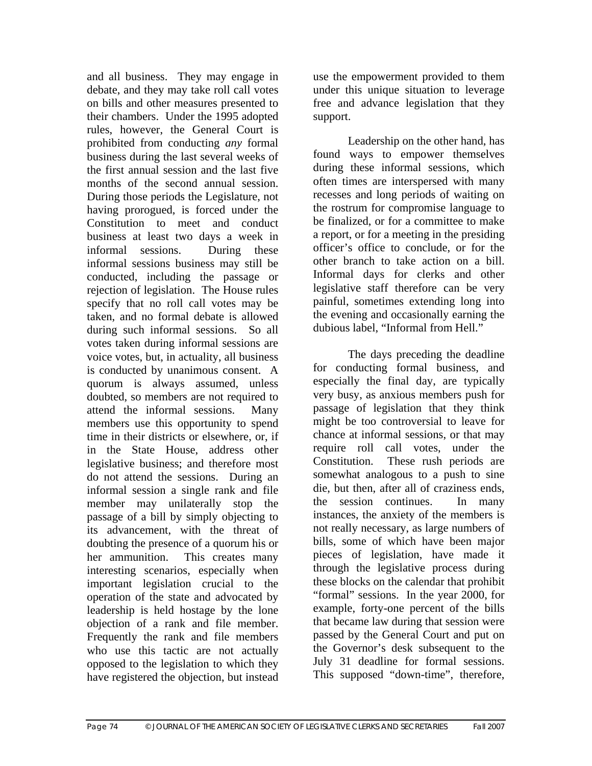and all business. They may engage in debate, and they may take roll call votes on bills and other measures presented to their chambers. Under the 1995 adopted rules, however, the General Court is prohibited from conducting *any* formal business during the last several weeks of the first annual session and the last five months of the second annual session. During those periods the Legislature, not having prorogued, is forced under the Constitution to meet and conduct business at least two days a week in informal sessions. During these informal sessions business may still be conducted, including the passage or rejection of legislation. The House rules specify that no roll call votes may be taken, and no formal debate is allowed during such informal sessions. So all votes taken during informal sessions are voice votes, but, in actuality, all business is conducted by unanimous consent. A quorum is always assumed, unless doubted, so members are not required to attend the informal sessions. Many members use this opportunity to spend time in their districts or elsewhere, or, if in the State House, address other legislative business; and therefore most do not attend the sessions. During an informal session a single rank and file member may unilaterally stop the passage of a bill by simply objecting to its advancement, with the threat of doubting the presence of a quorum his or her ammunition. This creates many interesting scenarios, especially when important legislation crucial to the operation of the state and advocated by leadership is held hostage by the lone objection of a rank and file member. Frequently the rank and file members who use this tactic are not actually opposed to the legislation to which they have registered the objection, but instead use the empowerment provided to them under this unique situation to leverage free and advance legislation that they support.

Leadership on the other hand, has found ways to empower themselves during these informal sessions, which often times are interspersed with many recesses and long periods of waiting on the rostrum for compromise language to be finalized, or for a committee to make a report, or for a meeting in the presiding officer's office to conclude, or for the other branch to take action on a bill. Informal days for clerks and other legislative staff therefore can be very painful, sometimes extending long into the evening and occasionally earning the dubious label, "Informal from Hell."

The days preceding the deadline for conducting formal business, and especially the final day, are typically very busy, as anxious members push for passage of legislation that they think might be too controversial to leave for chance at informal sessions, or that may require roll call votes, under the Constitution. These rush periods are somewhat analogous to a push to sine die, but then, after all of craziness ends, the session continues. In many instances, the anxiety of the members is not really necessary, as large numbers of bills, some of which have been major pieces of legislation, have made it through the legislative process during these blocks on the calendar that prohibit "formal" sessions. In the year 2000, for example, forty-one percent of the bills that became law during that session were passed by the General Court and put on the Governor's desk subsequent to the July 31 deadline for formal sessions. This supposed "down-time", therefore,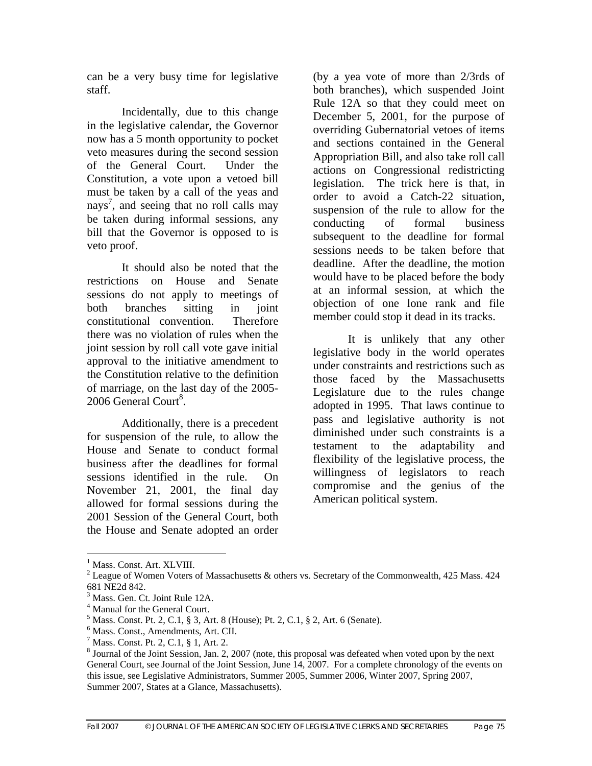can be a very busy time for legislative staff.

Incidentally, due to this change in the legislative calendar, the Governor now has a 5 month opportunity to pocket veto measures during the second session of the General Court. Under the Constitution, a vote upon a vetoed bill must be taken by a call of the yeas and nays<sup>7</sup>, and seeing that no roll calls may be taken during informal sessions, any bill that the Governor is opposed to is veto proof.

It should also be noted that the restrictions on House and Senate sessions do not apply to meetings of both branches sitting in joint constitutional convention. Therefore there was no violation of rules when the joint session by roll call vote gave initial approval to the initiative amendment to the Constitution relative to the definition of marriage, on the last day of the 2005- 2006 General Court<sup>8</sup>.

Additionally, there is a precedent for suspension of the rule, to allow the House and Senate to conduct formal business after the deadlines for formal sessions identified in the rule. On November 21, 2001, the final day allowed for formal sessions during the 2001 Session of the General Court, both the House and Senate adopted an order

(by a yea vote of more than 2/3rds of both branches), which suspended Joint Rule 12A so that they could meet on December 5, 2001, for the purpose of overriding Gubernatorial vetoes of items and sections contained in the General Appropriation Bill, and also take roll call actions on Congressional redistricting legislation. The trick here is that, in order to avoid a Catch-22 situation, suspension of the rule to allow for the conducting of formal business subsequent to the deadline for formal sessions needs to be taken before that deadline. After the deadline, the motion would have to be placed before the body at an informal session, at which the objection of one lone rank and file member could stop it dead in its tracks.

It is unlikely that any other legislative body in the world operates under constraints and restrictions such as those faced by the Massachusetts Legislature due to the rules change adopted in 1995. That laws continue to pass and legislative authority is not diminished under such constraints is a testament to the adaptability and flexibility of the legislative process, the willingness of legislators to reach compromise and the genius of the American political system.

 $\overline{a}$ 

<sup>&</sup>lt;sup>1</sup> Mass. Const. Art. XLVIII.

<sup>&</sup>lt;sup>2</sup> League of Women Voters of Massachusetts & others vs. Secretary of the Commonwealth, 425 Mass. 424 681 NE2d 842.

<sup>3</sup> Mass. Gen. Ct. Joint Rule 12A.

<sup>4</sup> Manual for the General Court.

<sup>5</sup> Mass. Const. Pt. 2, C.1, § 3, Art. 8 (House); Pt. 2, C.1, § 2, Art. 6 (Senate).

<sup>6</sup> Mass. Const., Amendments, Art. CII.

<sup>7</sup> Mass. Const. Pt. 2, C.1, § 1, Art. 2.

<sup>&</sup>lt;sup>8</sup> Journal of the Joint Session, Jan. 2, 2007 (note, this proposal was defeated when voted upon by the next General Court, see Journal of the Joint Session, June 14, 2007. For a complete chronology of the events on this issue, see Legislative Administrators, Summer 2005, Summer 2006, Winter 2007, Spring 2007, Summer 2007, States at a Glance, Massachusetts).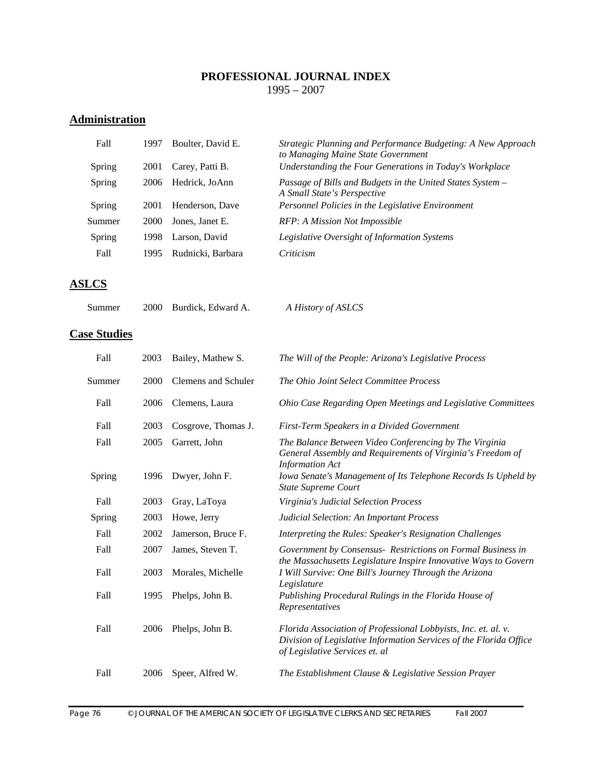#### **PROFESSIONAL JOURNAL INDEX**  1995 – 2007

# **Administration**

| Fall   | 1997 | Boulter, David E. | Strategic Planning and Performance Budgeting: A New Approach<br>to Managing Maine State Government |
|--------|------|-------------------|----------------------------------------------------------------------------------------------------|
| Spring | 2001 | Carey, Patti B.   | Understanding the Four Generations in Today's Workplace                                            |
| Spring | 2006 | Hedrick, JoAnn    | Passage of Bills and Budgets in the United States System –<br>A Small State's Perspective          |
| Spring | 2001 | Henderson, Dave   | Personnel Policies in the Legislative Environment                                                  |
| Summer | 2000 | Jones, Janet E.   | RFP: A Mission Not Impossible                                                                      |
| Spring | 1998 | Larson, David     | Legislative Oversight of Information Systems                                                       |
| Fall   | 1995 | Rudnicki, Barbara | Criticism                                                                                          |

### **ASLCS**

| Summer |  | 2000 Burdick, Edward A. | A History of ASLCS |
|--------|--|-------------------------|--------------------|
|--------|--|-------------------------|--------------------|

## **Case Studies**

| Fall   | 2003 | Bailey, Mathew S.   | The Will of the People: Arizona's Legislative Process                                                                                                                  |
|--------|------|---------------------|------------------------------------------------------------------------------------------------------------------------------------------------------------------------|
| Summer | 2000 | Clemens and Schuler | The Ohio Joint Select Committee Process                                                                                                                                |
| Fall   | 2006 | Clemens, Laura      | Ohio Case Regarding Open Meetings and Legislative Committees                                                                                                           |
| Fall   | 2003 | Cosgrove, Thomas J. | First-Term Speakers in a Divided Government                                                                                                                            |
| Fall   | 2005 | Garrett, John       | The Balance Between Video Conferencing by The Virginia<br>General Assembly and Requirements of Virginia's Freedom of<br><b>Information Act</b>                         |
| Spring | 1996 | Dwyer, John F.      | Iowa Senate's Management of Its Telephone Records Is Upheld by<br><b>State Supreme Court</b>                                                                           |
| Fall   | 2003 | Gray, LaToya        | Virginia's Judicial Selection Process                                                                                                                                  |
| Spring | 2003 | Howe, Jerry         | Judicial Selection: An Important Process                                                                                                                               |
| Fall   | 2002 | Jamerson, Bruce F.  | Interpreting the Rules: Speaker's Resignation Challenges                                                                                                               |
| Fall   | 2007 | James, Steven T.    | Government by Consensus- Restrictions on Formal Business in<br>the Massachusetts Legislature Inspire Innovative Ways to Govern                                         |
| Fall   | 2003 | Morales, Michelle   | I Will Survive: One Bill's Journey Through the Arizona<br>Legislature                                                                                                  |
| Fall   | 1995 | Phelps, John B.     | Publishing Procedural Rulings in the Florida House of<br>Representatives                                                                                               |
| Fall   | 2006 | Phelps, John B.     | Florida Association of Professional Lobbyists, Inc. et. al. v.<br>Division of Legislative Information Services of the Florida Office<br>of Legislative Services et. al |
| Fall   | 2006 | Speer, Alfred W.    | The Establishment Clause & Legislative Session Prayer                                                                                                                  |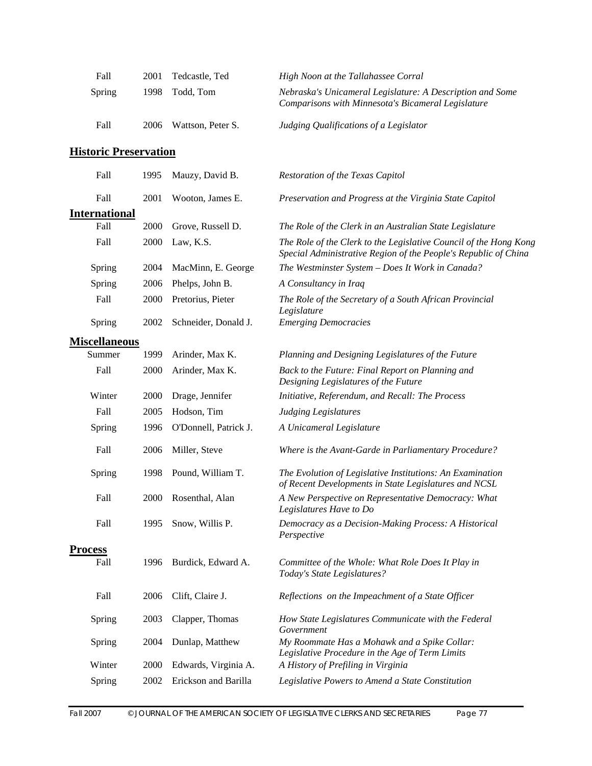| Fall   | 2001  | Tedcastle, Ted    | High Noon at the Tallahassee Corral                                                                             |
|--------|-------|-------------------|-----------------------------------------------------------------------------------------------------------------|
| Spring | 1998. | Todd. Tom         | Nebraska's Unicameral Legislature: A Description and Some<br>Comparisons with Minnesota's Bicameral Legislature |
| Fall   | 2006  | Wattson, Peter S. | Judging Qualifications of a Legislator                                                                          |

# **Historic Preservation**

| Fall                 | 1995 | Mauzy, David B.       | <b>Restoration of the Texas Capitol</b>                                                                                              |
|----------------------|------|-----------------------|--------------------------------------------------------------------------------------------------------------------------------------|
| Fall                 | 2001 | Wooton, James E.      | Preservation and Progress at the Virginia State Capitol                                                                              |
| <b>International</b> |      |                       |                                                                                                                                      |
| Fall                 | 2000 | Grove, Russell D.     | The Role of the Clerk in an Australian State Legislature                                                                             |
| Fall                 | 2000 | Law, K.S.             | The Role of the Clerk to the Legislative Council of the Hong Kong<br>Special Administrative Region of the People's Republic of China |
| Spring               | 2004 | MacMinn, E. George    | The Westminster System - Does It Work in Canada?                                                                                     |
| Spring               | 2006 | Phelps, John B.       | A Consultancy in Iraq                                                                                                                |
| Fall                 | 2000 | Pretorius, Pieter     | The Role of the Secretary of a South African Provincial<br>Legislature                                                               |
| Spring               | 2002 | Schneider, Donald J.  | <b>Emerging Democracies</b>                                                                                                          |
| <b>Miscellaneous</b> |      |                       |                                                                                                                                      |
| Summer               | 1999 | Arinder, Max K.       | Planning and Designing Legislatures of the Future                                                                                    |
| Fall                 | 2000 | Arinder, Max K.       | Back to the Future: Final Report on Planning and<br>Designing Legislatures of the Future                                             |
| Winter               | 2000 | Drage, Jennifer       | Initiative, Referendum, and Recall: The Process                                                                                      |
| Fall                 | 2005 | Hodson, Tim           | <b>Judging Legislatures</b>                                                                                                          |
| Spring               | 1996 | O'Donnell, Patrick J. | A Unicameral Legislature                                                                                                             |
| Fall                 | 2006 | Miller, Steve         | Where is the Avant-Garde in Parliamentary Procedure?                                                                                 |
| Spring               | 1998 | Pound, William T.     | The Evolution of Legislative Institutions: An Examination<br>of Recent Developments in State Legislatures and NCSL                   |
| Fall                 | 2000 | Rosenthal, Alan       | A New Perspective on Representative Democracy: What<br>Legislatures Have to Do                                                       |
| Fall                 | 1995 | Snow, Willis P.       | Democracy as a Decision-Making Process: A Historical<br>Perspective                                                                  |
| <b>Process</b>       |      |                       |                                                                                                                                      |
| Fall                 | 1996 | Burdick, Edward A.    | Committee of the Whole: What Role Does It Play in<br>Today's State Legislatures?                                                     |
| Fall                 | 2006 | Clift, Claire J.      | Reflections on the Impeachment of a State Officer                                                                                    |
| Spring               | 2003 | Clapper, Thomas       | How State Legislatures Communicate with the Federal<br>Government                                                                    |
| Spring               | 2004 | Dunlap, Matthew       | My Roommate Has a Mohawk and a Spike Collar:<br>Legislative Procedure in the Age of Term Limits                                      |
| Winter               | 2000 | Edwards, Virginia A.  | A History of Prefiling in Virginia                                                                                                   |
| Spring               | 2002 | Erickson and Barilla  | Legislative Powers to Amend a State Constitution                                                                                     |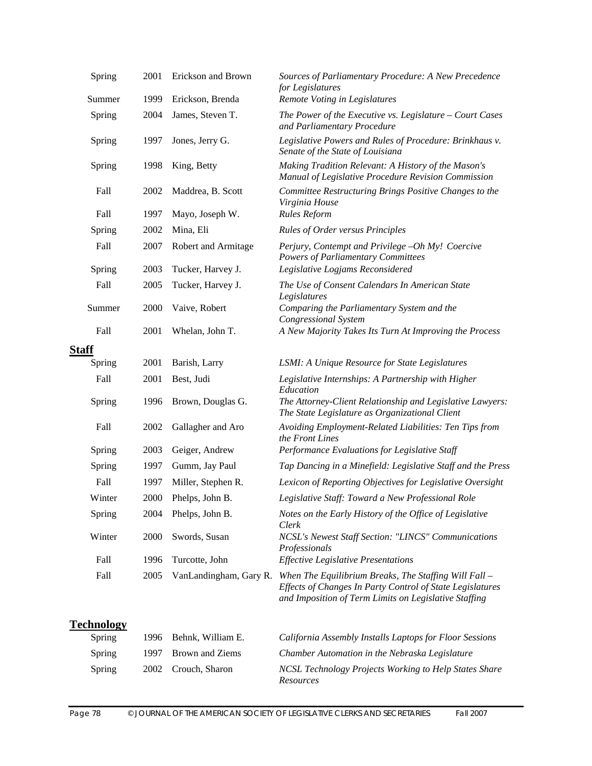| Spring                      | 2001 | Erickson and Brown     | Sources of Parliamentary Procedure: A New Precedence<br>for Legislatures                                                                                                    |
|-----------------------------|------|------------------------|-----------------------------------------------------------------------------------------------------------------------------------------------------------------------------|
| Summer                      | 1999 | Erickson, Brenda       | Remote Voting in Legislatures                                                                                                                                               |
| Spring                      | 2004 | James, Steven T.       | The Power of the Executive vs. Legislature - Court Cases<br>and Parliamentary Procedure                                                                                     |
| Spring                      | 1997 | Jones, Jerry G.        | Legislative Powers and Rules of Procedure: Brinkhaus v.<br>Senate of the State of Louisiana                                                                                 |
| Spring                      | 1998 | King, Betty            | Making Tradition Relevant: A History of the Mason's<br>Manual of Legislative Procedure Revision Commission                                                                  |
| Fall                        | 2002 | Maddrea, B. Scott      | Committee Restructuring Brings Positive Changes to the<br>Virginia House                                                                                                    |
| Fall                        | 1997 | Mayo, Joseph W.        | <b>Rules Reform</b>                                                                                                                                                         |
| Spring                      | 2002 | Mina, Eli              | <b>Rules of Order versus Principles</b>                                                                                                                                     |
| Fall                        | 2007 | Robert and Armitage    | Perjury, Contempt and Privilege -Oh My! Coercive<br><b>Powers of Parliamentary Committees</b>                                                                               |
| Spring                      | 2003 | Tucker, Harvey J.      | Legislative Logjams Reconsidered                                                                                                                                            |
| Fall                        | 2005 | Tucker, Harvey J.      | The Use of Consent Calendars In American State<br>Legislatures                                                                                                              |
| Summer                      | 2000 | Vaive, Robert          | Comparing the Parliamentary System and the<br><b>Congressional System</b>                                                                                                   |
| Fall                        | 2001 | Whelan, John T.        | A New Majority Takes Its Turn At Improving the Process                                                                                                                      |
| <b>Staff</b>                |      |                        |                                                                                                                                                                             |
| Spring                      | 2001 | Barish, Larry          | LSMI: A Unique Resource for State Legislatures                                                                                                                              |
| Fall                        | 2001 | Best, Judi             | Legislative Internships: A Partnership with Higher                                                                                                                          |
| Spring                      | 1996 | Brown, Douglas G.      | Education<br>The Attorney-Client Relationship and Legislative Lawyers:<br>The State Legislature as Organizational Client                                                    |
| Fall                        | 2002 | Gallagher and Aro      | Avoiding Employment-Related Liabilities: Ten Tips from<br>the Front Lines                                                                                                   |
| Spring                      | 2003 | Geiger, Andrew         | Performance Evaluations for Legislative Staff                                                                                                                               |
| Spring                      | 1997 | Gumm, Jay Paul         | Tap Dancing in a Minefield: Legislative Staff and the Press                                                                                                                 |
| Fall                        | 1997 | Miller, Stephen R.     | Lexicon of Reporting Objectives for Legislative Oversight                                                                                                                   |
| Winter                      | 2000 | Phelps, John B.        | Legislative Staff: Toward a New Professional Role                                                                                                                           |
| Spring                      | 2004 | Phelps, John B.        | Notes on the Early History of the Office of Legislative<br>Clerk                                                                                                            |
| Winter                      | 2000 | Swords, Susan          | NCSL's Newest Staff Section: "LINCS" Communications<br>Professionals                                                                                                        |
| Fall                        | 1996 | Turcotte, John         | <b>Effective Legislative Presentations</b>                                                                                                                                  |
| Fall                        | 2005 | VanLandingham, Gary R. | When The Equilibrium Breaks, The Staffing Will Fall -<br>Effects of Changes In Party Control of State Legislatures<br>and Imposition of Term Limits on Legislative Staffing |
| <b>Technology</b><br>Spring | 1996 | Behnk, William E.      | California Assembly Installs Laptops for Floor Sessions                                                                                                                     |
| Spring                      | 1997 | <b>Brown and Ziems</b> | Chamber Automation in the Nebraska Legislature                                                                                                                              |
|                             |      |                        |                                                                                                                                                                             |
| Spring                      | 2002 | Crouch, Sharon         | NCSL Technology Projects Working to Help States Share<br>Resources                                                                                                          |